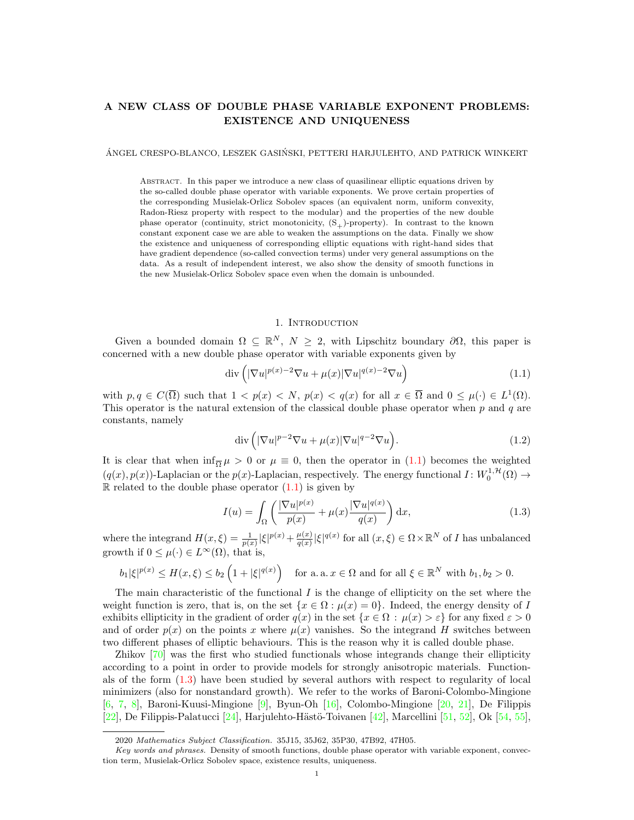# A NEW CLASS OF DOUBLE PHASE VARIABLE EXPONENT PROBLEMS: EXISTENCE AND UNIQUENESS

ÁNGEL CRESPO-BLANCO, LESZEK GASIŃSKI, PETTERI HARJULEHTO, AND PATRICK WINKERT

Abstract. In this paper we introduce a new class of quasilinear elliptic equations driven by the so-called double phase operator with variable exponents. We prove certain properties of the corresponding Musielak-Orlicz Sobolev spaces (an equivalent norm, uniform convexity, Radon-Riesz property with respect to the modular) and the properties of the new double phase operator (continuity, strict monotonicity,  $(S_{+})$ -property). In contrast to the known constant exponent case we are able to weaken the assumptions on the data. Finally we show the existence and uniqueness of corresponding elliptic equations with right-hand sides that have gradient dependence (so-called convection terms) under very general assumptions on the data. As a result of independent interest, we also show the density of smooth functions in the new Musielak-Orlicz Sobolev space even when the domain is unbounded.

# <span id="page-0-2"></span><span id="page-0-0"></span>1. INTRODUCTION

Given a bounded domain  $\Omega \subseteq \mathbb{R}^N$ ,  $N \geq 2$ , with Lipschitz boundary  $\partial \Omega$ , this paper is concerned with a new double phase operator with variable exponents given by

$$
\operatorname{div}\left(|\nabla u|^{p(x)-2}\nabla u + \mu(x)|\nabla u|^{q(x)-2}\nabla u\right) \tag{1.1}
$$

with  $p, q \in C(\overline{\Omega})$  such that  $1 < p(x) < N$ ,  $p(x) < q(x)$  for all  $x \in \overline{\Omega}$  and  $0 \leq \mu(\cdot) \in L^1(\Omega)$ . This operator is the natural extension of the classical double phase operator when  $p$  and  $q$  are constants, namely

<span id="page-0-1"></span>
$$
\operatorname{div}\left(|\nabla u|^{p-2}\nabla u + \mu(x)|\nabla u|^{q-2}\nabla u\right). \tag{1.2}
$$

It is clear that when  $\inf_{\overline{\Omega}} \mu > 0$  or  $\mu \equiv 0$ , then the operator in [\(1.1\)](#page-0-0) becomes the weighted  $(q(x), p(x))$ -Laplacian or the  $p(x)$ -Laplacian, respectively. The energy functional  $I: W_0^{1, H}(\Omega) \to$  $\mathbb R$  related to the double phase operator  $(1.1)$  is given by

$$
I(u) = \int_{\Omega} \left( \frac{|\nabla u|^{p(x)}}{p(x)} + \mu(x) \frac{|\nabla u|^{q(x)}}{q(x)} \right) dx,
$$
\n(1.3)

where the integrand  $H(x,\xi) = \frac{1}{p(x)} |\xi|^{p(x)} + \frac{\mu(x)}{q(x)}$  $\frac{\mu(x)}{q(x)}|\xi|^{q(x)}$  for all  $(x,\xi) \in \Omega \times \mathbb{R}^N$  of I has unbalanced growth if  $0 \leq \mu(\cdot) \in L^{\infty}(\Omega)$ , that is,

$$
b_1|\xi|^{p(x)} \le H(x,\xi) \le b_2\left(1 + |\xi|^{q(x)}\right) \quad \text{for a. a. } x \in \Omega \text{ and for all } \xi \in \mathbb{R}^N \text{ with } b_1, b_2 > 0.
$$

The main characteristic of the functional  $I$  is the change of ellipticity on the set where the weight function is zero, that is, on the set  $\{x \in \Omega : \mu(x) = 0\}$ . Indeed, the energy density of I exhibits ellipticity in the gradient of order  $q(x)$  in the set  $\{x \in \Omega : \mu(x) > \varepsilon\}$  for any fixed  $\varepsilon > 0$ and of order  $p(x)$  on the points x where  $\mu(x)$  vanishes. So the integrand H switches between two different phases of elliptic behaviours. This is the reason why it is called double phase.

Zhikov [\[70\]](#page-31-0) was the first who studied functionals whose integrands change their ellipticity according to a point in order to provide models for strongly anisotropic materials. Functionals of the form [\(1.3\)](#page-0-1) have been studied by several authors with respect to regularity of local minimizers (also for nonstandard growth). We refer to the works of Baroni-Colombo-Mingione [\[6,](#page-29-0) [7,](#page-29-1) [8\]](#page-29-2), Baroni-Kuusi-Mingione [\[9\]](#page-29-3), Byun-Oh [\[16\]](#page-29-4), Colombo-Mingione [\[20,](#page-29-5) [21\]](#page-30-0), De Filippis [\[22\]](#page-30-1), De Filippis-Palatucci [\[24\]](#page-30-2), Harjulehto-Hästö-Toivanen [\[42\]](#page-30-3), Marcellini [\[51,](#page-30-4) [52\]](#page-30-5), Ok [\[54,](#page-30-6) [55\]](#page-30-7),

<sup>2020</sup> Mathematics Subject Classification. 35J15, 35J62, 35P30, 47B92, 47H05.

Key words and phrases. Density of smooth functions, double phase operator with variable exponent, convection term, Musielak-Orlicz Sobolev space, existence results, uniqueness.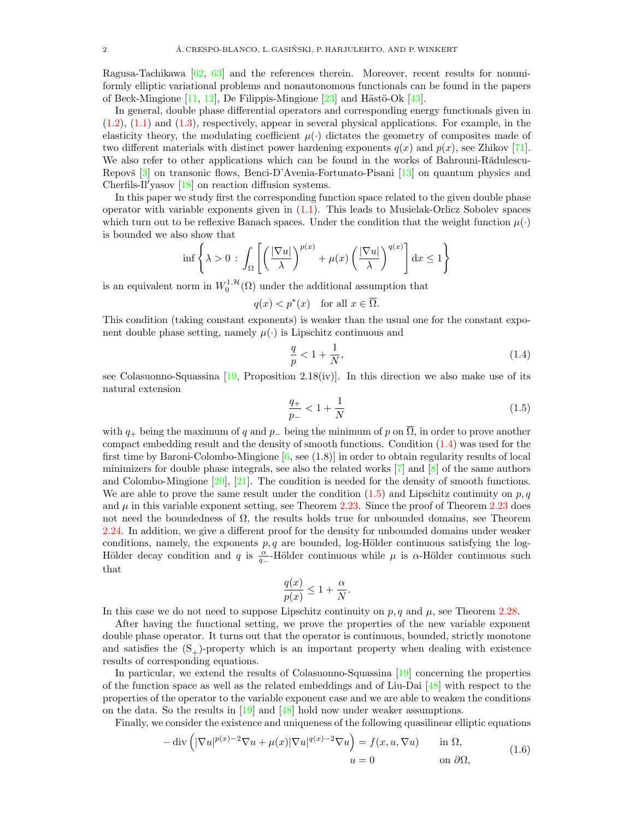Ragusa-Tachikawa [\[62,](#page-31-1) [63\]](#page-31-2) and the references therein. Moreover, recent results for nonuniformly elliptic variational problems and nonautonomous functionals can be found in the papers of Beck-Mingione  $[11, 12]$  $[11, 12]$  $[11, 12]$ , De Filippis-Mingione  $[23]$  and Hästö-Ok  $[43]$ .

In general, double phase differential operators and corresponding energy functionals given in  $(1.2)$ ,  $(1.1)$  and  $(1.3)$ , respectively, appear in several physical applications. For example, in the elasticity theory, the modulating coefficient  $\mu(\cdot)$  dictates the geometry of composites made of two different materials with distinct power hardening exponents  $q(x)$  and  $p(x)$ , see Zhikov [\[71\]](#page-31-3). We also refer to other applications which can be found in the works of Bahrouni-Rădulescu-Repovš [\[3\]](#page-29-8) on transonic flows, Benci-D'Avenia-Fortunato-Pisani [\[13\]](#page-29-9) on quantum physics and Cherfils-Il'yasov  $[18]$  on reaction diffusion systems.

In this paper we study first the corresponding function space related to the given double phase operator with variable exponents given in  $(1.1)$ . This leads to Musielak-Orlicz Sobolev spaces which turn out to be reflexive Banach spaces. Under the condition that the weight function  $\mu(\cdot)$ is bounded we also show that

$$
\inf \left\{ \lambda > 0 \, : \, \int_{\Omega} \left[ \left( \frac{|\nabla u|}{\lambda} \right)^{p(x)} + \mu(x) \left( \frac{|\nabla u|}{\lambda} \right)^{q(x)} \right] dx \le 1 \right\}
$$

is an equivalent norm in  $W_0^{1,\mathcal{H}}(\Omega)$  under the additional assumption that

$$
q(x) < p^*(x) \quad \text{for all } x \in \overline{\Omega}.
$$

This condition (taking constant exponents) is weaker than the usual one for the constant exponent double phase setting, namely  $\mu(\cdot)$  is Lipschitz continuous and

<span id="page-1-0"></span>
$$
\frac{q}{p} < 1 + \frac{1}{N},\tag{1.4}
$$

see Colasuonno-Squassina [\[19,](#page-29-11) Proposition 2.18(iv)]. In this direction we also make use of its natural extension

<span id="page-1-1"></span>
$$
\frac{q_+}{p_-} < 1 + \frac{1}{N} \tag{1.5}
$$

with  $q_+$  being the maximum of q and  $p_-\,$  being the minimum of p on  $\overline{\Omega}$ , in order to prove another compact embedding result and the density of smooth functions. Condition [\(1.4\)](#page-1-0) was used for the first time by Baroni-Colombo-Mingione [\[6,](#page-29-0) see (1.8)] in order to obtain regularity results of local minimizers for double phase integrals, see also the related works [\[7\]](#page-29-1) and [\[8\]](#page-29-2) of the same authors and Colombo-Mingione [\[20\]](#page-29-5), [\[21\]](#page-30-0). The condition is needed for the density of smooth functions. We are able to prove the same result under the condition  $(1.5)$  and Lipschitz continuity on p, q and  $\mu$  in this variable exponent setting, see Theorem [2.23.](#page-14-0) Since the proof of Theorem [2.23](#page-14-0) does not need the boundedness of  $\Omega$ , the results holds true for unbounded domains, see Theorem [2.24.](#page-16-0) In addition, we give a different proof for the density for unbounded domains under weaker conditions, namely, the exponents  $p, q$  are bounded, log-Hölder continuous satisfying the log-Hölder decay condition and q is  $\frac{\alpha}{q-}$ -Hölder continuous while  $\mu$  is  $\alpha$ -Hölder continuous such that

$$
\frac{q(x)}{p(x)} \le 1 + \frac{\alpha}{N}.
$$

In this case we do not need to suppose Lipschitz continuity on  $p, q$  and  $\mu$ , see Theorem [2.28.](#page-18-0)

After having the functional setting, we prove the properties of the new variable exponent double phase operator. It turns out that the operator is continuous, bounded, strictly monotone and satisfies the  $(S_+)$ -property which is an important property when dealing with existence results of corresponding equations.

In particular, we extend the results of Colasuonno-Squassina [\[19\]](#page-29-11) concerning the properties of the function space as well as the related embeddings and of Liu-Dai [\[48\]](#page-30-10) with respect to the properties of the operator to the variable exponent case and we are able to weaken the conditions on the data. So the results in [\[19\]](#page-29-11) and [\[48\]](#page-30-10) hold now under weaker assumptions.

Finally, we consider the existence and uniqueness of the following quasilinear elliptic equations

<span id="page-1-2"></span>
$$
-\operatorname{div}\left(|\nabla u|^{p(x)-2}\nabla u + \mu(x)|\nabla u|^{q(x)-2}\nabla u\right) = f(x, u, \nabla u) \quad \text{in } \Omega,
$$
  
\n
$$
u = 0 \quad \text{on } \partial\Omega,
$$
\n(1.6)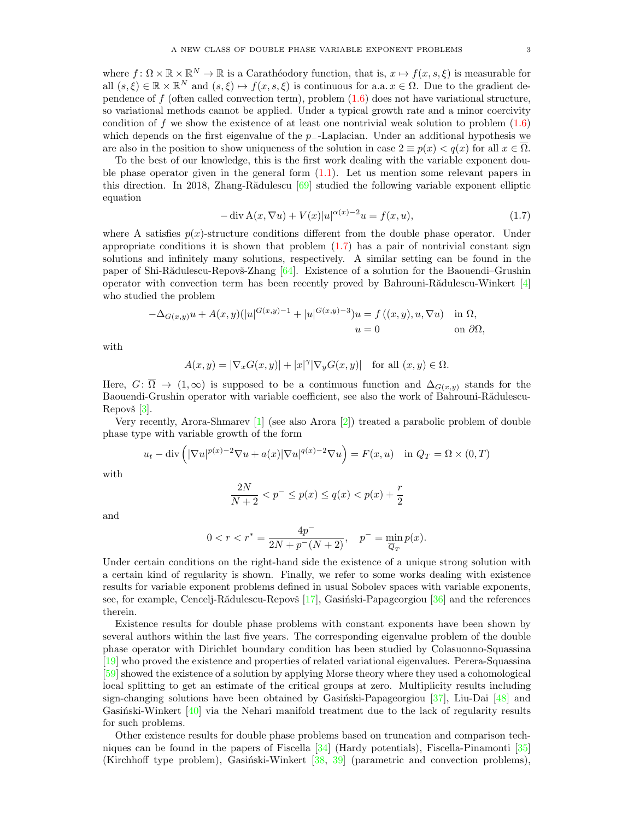where  $f: \Omega \times \mathbb{R} \times \mathbb{R}^N \to \mathbb{R}$  is a Carathéodory function, that is,  $x \mapsto f(x, s, \xi)$  is measurable for all  $(s,\xi) \in \mathbb{R} \times \mathbb{R}^N$  and  $(s,\xi) \mapsto f(x,s,\xi)$  is continuous for a.a.  $x \in \Omega$ . Due to the gradient dependence of f (often called convection term), problem  $(1.6)$  does not have variational structure, so variational methods cannot be applied. Under a typical growth rate and a minor coercivity condition of f we show the existence of at least one nontrivial weak solution to problem  $(1.6)$ which depends on the first eigenvalue of the  $p_$ -Laplacian. Under an additional hypothesis we are also in the position to show uniqueness of the solution in case  $2 \equiv p(x) < q(x)$  for all  $x \in \overline{\Omega}$ .

To the best of our knowledge, this is the first work dealing with the variable exponent double phase operator given in the general form  $(1.1)$ . Let us mention some relevant papers in this direction. In 2018, Zhang-Rădulescu  $\lceil 69 \rceil$  studied the following variable exponent elliptic equation

<span id="page-2-0"></span>
$$
-\operatorname{div}\mathbf{A}(x,\nabla u) + V(x)|u|^{\alpha(x)-2}u = f(x,u),\tag{1.7}
$$

where A satisfies  $p(x)$ -structure conditions different from the double phase operator. Under appropriate conditions it is shown that problem  $(1.7)$  has a pair of nontrivial constant sign solutions and infinitely many solutions, respectively. A similar setting can be found in the paper of Shi-Rădulescu-Repovš-Zhang  $[64]$ . Existence of a solution for the Baouendi–Grushin operator with convection term has been recently proved by Bahrouni-Rădulescu-Winkert  $[4]$ who studied the problem

$$
-\Delta_{G(x,y)}u + A(x,y)(|u|^{G(x,y)-1} + |u|^{G(x,y)-3})u = f((x,y), u, \nabla u) \quad \text{in } \Omega,
$$
  

$$
u = 0 \quad \text{on } \partial\Omega,
$$

with

$$
A(x,y) = |\nabla_x G(x,y)| + |x|^\gamma |\nabla_y G(x,y)| \quad \text{for all } (x,y) \in \Omega.
$$

Here,  $G: \overline{\Omega} \to (1,\infty)$  is supposed to be a continuous function and  $\Delta_{G(x,y)}$  stands for the Baouendi-Grushin operator with variable coefficient, see also the work of Bahrouni-Rădulescu-Repovš $[3]$ .

Very recently, Arora-Shmarev [\[1\]](#page-29-13) (see also Arora [\[2\]](#page-29-14)) treated a parabolic problem of double phase type with variable growth of the form

$$
u_t - \operatorname{div}\left(|\nabla u|^{p(x)-2}\nabla u + a(x)|\nabla u|^{q(x)-2}\nabla u\right) = F(x, u) \quad \text{in } Q_T = \Omega \times (0, T)
$$

with

$$
\frac{2N}{N+2} < p^- \le p(x) \le q(x) < p(x) + \frac{r}{2}
$$

and

$$
0 < r < r^* = \frac{4p^-}{2N + p^-(N+2)}, \quad p^- = \min_{\overline{Q}_T} p(x).
$$

Under certain conditions on the right-hand side the existence of a unique strong solution with a certain kind of regularity is shown. Finally, we refer to some works dealing with existence results for variable exponent problems defined in usual Sobolev spaces with variable exponents, see, for example, Cencelj-Rădulescu-Repovš  $[17]$ , Gasiński-Papageorgiou  $[36]$  and the references therein.

Existence results for double phase problems with constant exponents have been shown by several authors within the last five years. The corresponding eigenvalue problem of the double phase operator with Dirichlet boundary condition has been studied by Colasuonno-Squassina [\[19\]](#page-29-11) who proved the existence and properties of related variational eigenvalues. Perera-Squassina [\[59\]](#page-31-6) showed the existence of a solution by applying Morse theory where they used a cohomological local splitting to get an estimate of the critical groups at zero. Multiplicity results including sign-changing solutions have been obtained by Gasiński-Papageorgiou  $[37]$ , Liu-Dai  $[48]$  and Gasinski-Winkert  $[40]$  via the Nehari manifold treatment due to the lack of regularity results for such problems.

Other existence results for double phase problems based on truncation and comparison techniques can be found in the papers of Fiscella [\[34\]](#page-30-14) (Hardy potentials), Fiscella-Pinamonti [\[35\]](#page-30-15) (Kirchhoff type problem), Gasiński-Winkert  $[38, 39]$  $[38, 39]$  $[38, 39]$  (parametric and convection problems),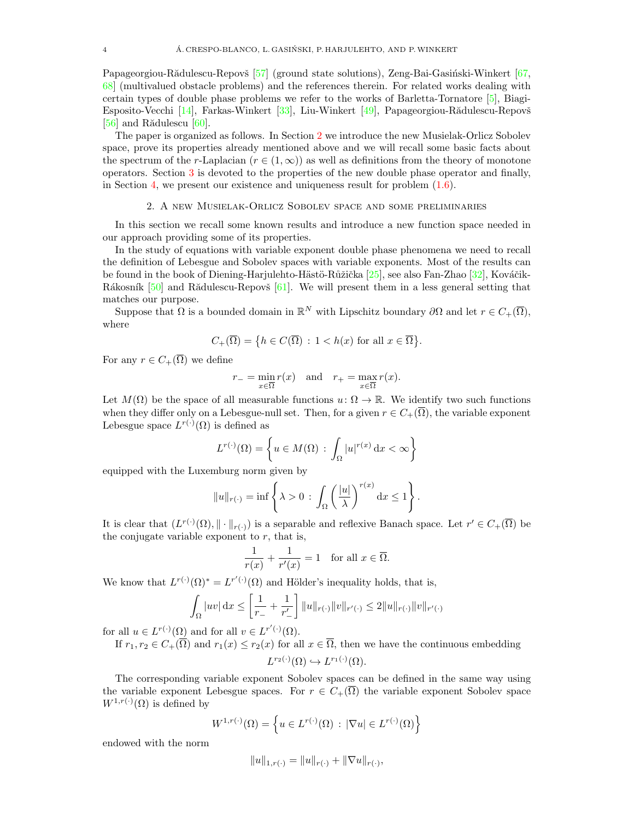Papageorgiou-Rădulescu-Repovš [\[57\]](#page-30-18) (ground state solutions), Zeng-Bai-Gasiński-Winkert [\[67,](#page-31-7) [68\]](#page-31-8) (multivalued obstacle problems) and the references therein. For related works dealing with certain types of double phase problems we refer to the works of Barletta-Tornatore [\[5\]](#page-29-16), Biagi-Esposito-Vecchi [\[14\]](#page-29-17), Farkas-Winkert [\[33\]](#page-30-19), Liu-Winkert [\[49\]](#page-30-20), Papageorgiou-Rădulescu-Repovš [\[56\]](#page-30-21) and Rădulescu  $[60]$ .

The paper is organized as follows. In Section [2](#page-3-0) we introduce the new Musielak-Orlicz Sobolev space, prove its properties already mentioned above and we will recall some basic facts about the spectrum of the r-Laplacian ( $r \in (1,\infty)$ ) as well as definitions from the theory of monotone operators. Section [3](#page-19-0) is devoted to the properties of the new double phase operator and finally, in Section [4,](#page-26-0) we present our existence and uniqueness result for problem [\(1.6\)](#page-1-2).

# 2. A new Musielak-Orlicz Sobolev space and some preliminaries

<span id="page-3-0"></span>In this section we recall some known results and introduce a new function space needed in our approach providing some of its properties.

In the study of equations with variable exponent double phase phenomena we need to recall the definition of Lebesgue and Sobolev spaces with variable exponents. Most of the results can be found in the book of Diening-Harjulehto-Hästö-Růžička [\[25\]](#page-30-22), see also Fan-Zhao [\[32\]](#page-30-23), Kováčik-Rákosník [\[50\]](#page-30-24) and Rădulescu-Repovš [\[61\]](#page-31-10). We will present them in a less general setting that matches our purpose.

Suppose that  $\Omega$  is a bounded domain in  $\mathbb{R}^N$  with Lipschitz boundary  $\partial\Omega$  and let  $r \in C_+(\overline{\Omega})$ , where

$$
C_+(\overline{\Omega})=\big\{h\in C(\overline{\Omega})\,:\,1
$$

For any  $r \in C_+(\overline{\Omega})$  we define

$$
r_{-} = \min_{x \in \overline{\Omega}} r(x) \quad \text{and} \quad r_{+} = \max_{x \in \overline{\Omega}} r(x).
$$

Let  $M(\Omega)$  be the space of all measurable functions  $u: \Omega \to \mathbb{R}$ . We identify two such functions when they differ only on a Lebesgue-null set. Then, for a given  $r \in C_+(\overline{\Omega})$ , the variable exponent Lebesgue space  $L^{r(\cdot)}(\Omega)$  is defined as

$$
L^{r(\cdot)}(\Omega) = \left\{ u \in M(\Omega) \, : \, \int_{\Omega} |u|^{r(x)} \, \mathrm{d}x < \infty \right\}
$$

equipped with the Luxemburg norm given by

$$
||u||_{r(\cdot)} = \inf \left\{ \lambda > 0 \, : \, \int_{\Omega} \left( \frac{|u|}{\lambda} \right)^{r(x)} dx \le 1 \right\}.
$$

It is clear that  $(L^{r(\cdot)}(\Omega), \|\cdot\|_{r(\cdot)})$  is a separable and reflexive Banach space. Let  $r' \in C_+(\overline{\Omega})$  be the conjugate variable exponent to  $r$ , that is,

$$
\frac{1}{r(x)} + \frac{1}{r'(x)} = 1 \quad \text{for all } x \in \overline{\Omega}.
$$

We know that  $L^{r(\cdot)}(\Omega)^* = L^{r'(\cdot)}(\Omega)$  and Hölder's inequality holds, that is,

$$
\int_{\Omega} |uv| \, dx \le \left[ \frac{1}{r_{-}} + \frac{1}{r'_{-}} \right] \|u\|_{r(\cdot)} \|v\|_{r'(\cdot)} \le 2 \|u\|_{r(\cdot)} \|v\|_{r'(\cdot)}
$$

for all  $u \in L^{r(\cdot)}(\Omega)$  and for all  $v \in L^{r'(\cdot)}(\Omega)$ .

If  $r_1, r_2 \in C_+(\overline{\Omega})$  and  $r_1(x) \leq r_2(x)$  for all  $x \in \overline{\Omega}$ , then we have the continuous embedding

$$
L^{r_2(\cdot)}(\Omega) \hookrightarrow L^{r_1(\cdot)}(\Omega).
$$

The corresponding variable exponent Sobolev spaces can be defined in the same way using the variable exponent Lebesgue spaces. For  $r \in C_+(\overline{\Omega})$  the variable exponent Sobolev space  $W^{1,r(\cdot)}(\Omega)$  is defined by

$$
W^{1,r(\cdot)}(\Omega) = \left\{ u \in L^{r(\cdot)}(\Omega) \, : \, |\nabla u| \in L^{r(\cdot)}(\Omega) \right\}
$$

endowed with the norm

$$
||u||_{1,r(\cdot)} = ||u||_{r(\cdot)} + ||\nabla u||_{r(\cdot)},
$$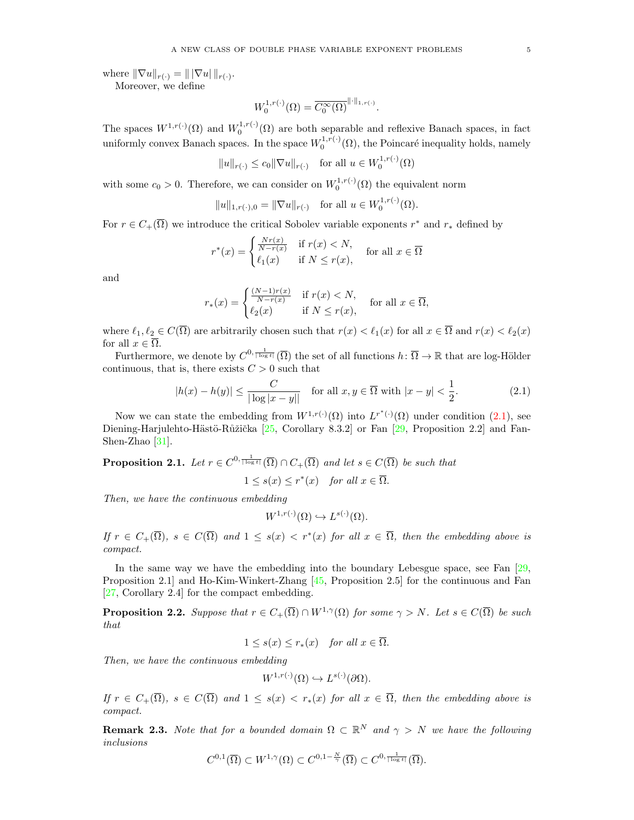where  $\|\nabla u\|_{r(.)} = \|\nabla u\|_{r(.)}$ . Moreover, we define

$$
W_0^{1,r(\cdot)}(\Omega) = \overline{C_0^{\infty}(\Omega)}^{\|\cdot\|_{1,r(\cdot)}}.
$$

The spaces  $W^{1,r(\cdot)}(\Omega)$  and  $W_0^{1,r(\cdot)}(\Omega)$  are both separable and reflexive Banach spaces, in fact uniformly convex Banach spaces. In the space  $W_0^{1,r(\cdot)}(\Omega)$ , the Poincaré inequality holds, namely

$$
||u||_{r(\cdot)} \le c_0 ||\nabla u||_{r(\cdot)}
$$
 for all  $u \in W_0^{1,r(\cdot)}(\Omega)$ 

with some  $c_0 > 0$ . Therefore, we can consider on  $W_0^{1,r(\cdot)}(\Omega)$  the equivalent norm

$$
||u||_{1,r(\cdot),0} = ||\nabla u||_{r(\cdot)}
$$
 for all  $u \in W_0^{1,r(\cdot)}(\Omega)$ .

For  $r \in C_+(\overline{\Omega})$  we introduce the critical Sobolev variable exponents  $r^*$  and  $r_*$  defined by

$$
r^*(x) = \begin{cases} \frac{Nr(x)}{N-r(x)} & \text{if } r(x) < N, \\ \ell_1(x) & \text{if } N \le r(x), \end{cases}
$$
 for all  $x \in \overline{\Omega}$ 

and

$$
r_*(x) = \begin{cases} \frac{(N-1)r(x)}{N-r(x)} & \text{if } r(x) < N, \\ \ell_2(x) & \text{if } N \le r(x), \end{cases} \text{ for all } x \in \overline{\Omega},
$$

where  $\ell_1, \ell_2 \in C(\overline{\Omega})$  are arbitrarily chosen such that  $r(x) < \ell_1(x)$  for all  $x \in \overline{\Omega}$  and  $r(x) < \ell_2(x)$ for all  $x \in \overline{\Omega}$ .

Furthermore, we denote by  $C^{0, \frac{1}{|\log t|}}(\overline{\Omega})$  the set of all functions  $h: \overline{\Omega} \to \mathbb{R}$  that are log-Hölder continuous, that is, there exists  $C > 0$  such that

$$
|h(x) - h(y)| \le \frac{C}{|\log|x - y||} \quad \text{for all } x, y \in \overline{\Omega} \text{ with } |x - y| < \frac{1}{2}.\tag{2.1}
$$

Now we can state the embedding from  $W^{1,r(\cdot)}(\Omega)$  into  $L^{r^*(\cdot)}(\Omega)$  under condition  $(2.1)$ , see Diening-Harjulehto-Hästö-Růžička  $[25,$  Corollary 8.3.2] or Fan  $[29,$  Proposition 2.2] and Fan-Shen-Zhao [\[31\]](#page-30-26).

<span id="page-4-1"></span>**Proposition 2.1.** Let  $r \in C^{0, \frac{1}{|\log t|}}(\overline{\Omega}) \cap C_{+}(\overline{\Omega})$  and let  $s \in C(\overline{\Omega})$  be such that

 $1 \leq s(x) \leq r^*(x)$  for all  $x \in \overline{\Omega}$ .

Then, we have the continuous embedding

<span id="page-4-0"></span>
$$
W^{1,r(\cdot)}(\Omega) \hookrightarrow L^{s(\cdot)}(\Omega).
$$

If  $r \in C_+(\overline{\Omega})$ ,  $s \in C(\overline{\Omega})$  and  $1 \leq s(x) < r^*(x)$  for all  $x \in \overline{\Omega}$ , then the embedding above is compact.

In the same way we have the embedding into the boundary Lebesgue space, see Fan [\[29,](#page-30-25) Proposition 2.1] and Ho-Kim-Winkert-Zhang [\[45,](#page-30-27) Proposition 2.5] for the continuous and Fan [\[27,](#page-30-28) Corollary 2.4] for the compact embedding.

<span id="page-4-2"></span>**Proposition 2.2.** Suppose that  $r \in C_+(\overline{\Omega}) \cap W^{1,\gamma}(\Omega)$  for some  $\gamma > N$ . Let  $s \in C(\overline{\Omega})$  be such that

$$
1 \leq s(x) \leq r_*(x)
$$
 for all  $x \in \overline{\Omega}$ .

Then, we have the continuous embedding

$$
W^{1,r(\cdot)}(\Omega) \hookrightarrow L^{s(\cdot)}(\partial\Omega).
$$

If  $r \in C_+(\overline{\Omega})$ ,  $s \in C(\overline{\Omega})$  and  $1 \leq s(x) < r_*(x)$  for all  $x \in \overline{\Omega}$ , then the embedding above is compact.

**Remark 2.3.** Note that for a bounded domain  $\Omega \subset \mathbb{R}^N$  and  $\gamma > N$  we have the following inclusions

$$
C^{0,1}(\overline{\Omega}) \subset W^{1,\gamma}(\Omega) \subset C^{0,1-\frac{N}{\gamma}}(\overline{\Omega}) \subset C^{0,\frac{1}{|\log t|}}(\overline{\Omega}).
$$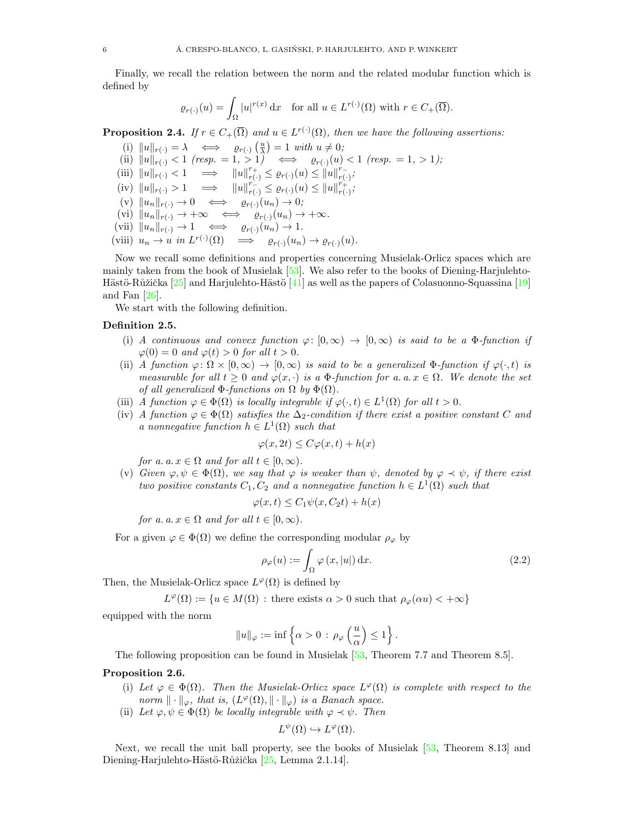Finally, we recall the relation between the norm and the related modular function which is defined by

$$
\varrho_{r(\cdot)}(u) = \int_{\Omega} |u|^{r(x)} \, \mathrm{d}x \quad \text{for all } u \in L^{r(\cdot)}(\Omega) \text{ with } r \in C_{+}(\overline{\Omega}).
$$

<span id="page-5-1"></span>**Proposition 2.4.** If  $r \in C_+(\overline{\Omega})$  and  $u \in L^{r(\cdot)}(\Omega)$ , then we have the following assertions:

- (i)  $||u||_{r(\cdot)} = \lambda \iff \varrho_{r(\cdot)}\left(\frac{u}{\lambda}\right) = 1 \text{ with } u \neq 0;$ (ii)  $||u||_{r(\cdot)} < 1$  (resp. = 1, > 1)  $\iff$   $\varrho_{r(\cdot)}(u) < 1$  (resp. = 1, > 1);
- (iii)  $||u||_{r(\cdot)} < 1 \implies ||u||_{r(\cdot)}^{r_+} \leq \varrho_{r(\cdot)}(u) \leq ||u||_{r(\cdot)}^{r_-}$  $_{r(\cdot)}^{r}$ ;
- (iv)  $||u||_{r(\cdot)} > 1 \implies ||u||_{r(\cdot)}^{r(\cdot)} \leq \varrho_{r(\cdot)}(u) \leq ||u||_{r(\cdot)}^{r(\cdot)}$  $_{r(\cdot)}^{r_+};$
- (v)  $||u_n||_{r(\cdot)} \to 0 \iff \varrho_{r(\cdot)}(u_n) \to 0;$
- (vi)  $||u_n||_{r(\cdot)} \to +\infty \iff \varrho_{r(\cdot)}(u_n) \to +\infty.$
- (vii)  $||u_n||_{r(\cdot)} \to 1 \iff \varrho_{r(\cdot)}(u_n) \to 1.$
- (viii)  $u_n \to u$  in  $L^{r(\cdot)}(\Omega) \implies \varrho_{r(\cdot)}(u_n) \to \varrho_{r(\cdot)}(u)$ .

Now we recall some definitions and properties concerning Musielak-Orlicz spaces which are mainly taken from the book of Musielak [\[53\]](#page-30-29). We also refer to the books of Diening-Harjulehto-Hästö-Růžička  $[25]$  and Harjulehto-Hästö  $[41]$  as well as the papers of Colasuonno-Squassina  $[19]$ and Fan [\[26\]](#page-30-31).

We start with the following definition.

# <span id="page-5-2"></span>Definition 2.5.

- (i) A continuous and convex function  $\varphi: [0, \infty) \to [0, \infty)$  is said to be a  $\Phi$ -function if  $\varphi(0) = 0$  and  $\varphi(t) > 0$  for all  $t > 0$ .
- (ii) A function  $\varphi: \Omega \times [0, \infty) \to [0, \infty)$  is said to be a generalized  $\Phi$ -function if  $\varphi(\cdot, t)$  is measurable for all  $t \geq 0$  and  $\varphi(x, \cdot)$  is a  $\Phi$ -function for a. a.  $x \in \Omega$ . We denote the set of all generalized  $\Phi$ -functions on  $\Omega$  by  $\Phi(\Omega)$ .
- (iii) A function  $\varphi \in \Phi(\Omega)$  is locally integrable if  $\varphi(\cdot,t) \in L^1(\Omega)$  for all  $t > 0$ .
- (iv) A function  $\varphi \in \Phi(\Omega)$  satisfies the  $\Delta_2$ -condition if there exist a positive constant C and a nonnegative function  $h \in L^1(\Omega)$  such that

$$
\varphi(x, 2t) \le C\varphi(x, t) + h(x)
$$

for a. a.  $x \in \Omega$  and for all  $t \in [0, \infty)$ .

(v) Given  $\varphi, \psi \in \Phi(\Omega)$ , we say that  $\varphi$  is weaker than  $\psi$ , denoted by  $\varphi \prec \psi$ , if there exist two positive constants  $C_1, C_2$  and a nonnegative function  $h \in L^1(\Omega)$  such that

$$
\varphi(x,t) \le C_1 \psi(x, C_2 t) + h(x)
$$

for a.  $a \nvert x \in \Omega$  and for all  $t \in [0, \infty)$ .

For a given  $\varphi \in \Phi(\Omega)$  we define the corresponding modular  $\rho_{\varphi}$  by

<span id="page-5-3"></span>
$$
\rho_{\varphi}(u) := \int_{\Omega} \varphi(x, |u|) \, \mathrm{d}x. \tag{2.2}
$$

Then, the Musielak-Orlicz space  $L^{\varphi}(\Omega)$  is defined by

 $L^{\varphi}(\Omega) := \{u \in M(\Omega) : \text{there exists } \alpha > 0 \text{ such that } \rho_{\varphi}(\alpha u) < +\infty\}$ 

equipped with the norm

$$
\|u\|_\varphi:=\inf\left\{\alpha>0\,:\,\rho_\varphi\left(\frac{u}{\alpha}\right)\leq 1\right\}.
$$

The following proposition can be found in Musielak [\[53,](#page-30-29) Theorem 7.7 and Theorem 8.5].

# <span id="page-5-0"></span>Proposition 2.6.

- (i) Let  $\varphi \in \Phi(\Omega)$ . Then the Musielak-Orlicz space  $L^{\varphi}(\Omega)$  is complete with respect to the norm  $\| \cdot \|_{\varphi}$ , that is,  $(L^{\varphi}(\Omega), \| \cdot \|_{\varphi})$  is a Banach space.
- (ii) Let  $\varphi, \psi \in \Phi(\Omega)$  be locally integrable with  $\varphi \prec \psi$ . Then

$$
L^{\psi}(\Omega) \hookrightarrow L^{\varphi}(\Omega).
$$

Next, we recall the unit ball property, see the books of Musielak [\[53,](#page-30-29) Theorem 8.13] and Diening-Harjulehto-Hästö-Růžička [\[25,](#page-30-22) Lemma 2.1.14].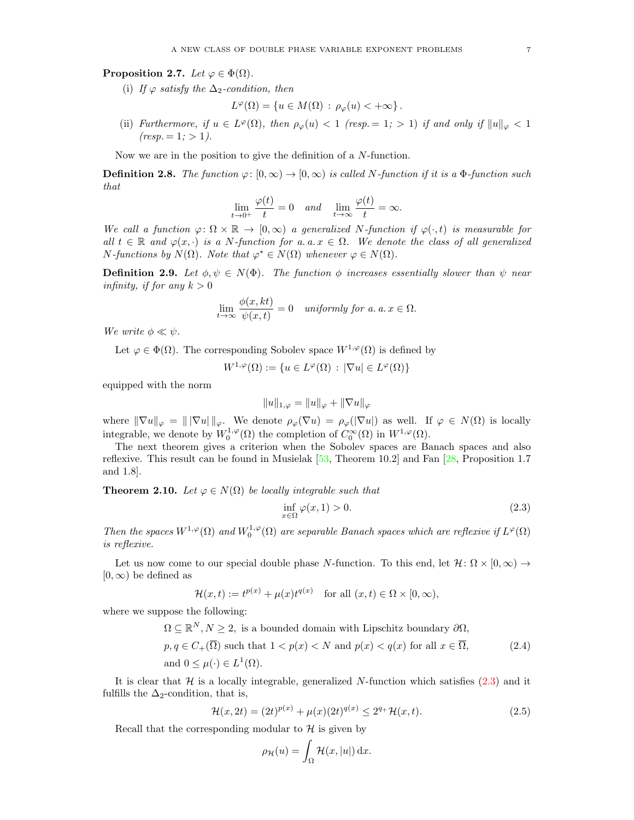<span id="page-6-1"></span>Proposition 2.7. Let  $\varphi \in \Phi(\Omega)$ .

(i) If  $\varphi$  satisfy the  $\Delta_2$ -condition, then

$$
L^{\varphi}(\Omega) = \{ u \in M(\Omega) : \rho_{\varphi}(u) < +\infty \}.
$$

(ii) Furthermore, if  $u \in L^{\varphi}(\Omega)$ , then  $\rho_{\varphi}(u) < 1$  (resp. = 1; > 1) if and only if  $||u||_{\varphi} < 1$  $(resp. = 1; > 1).$ 

Now we are in the position to give the definition of a N-function.

**Definition 2.8.** The function  $\varphi: [0, \infty) \to [0, \infty)$  is called N-function if it is a  $\Phi$ -function such that

$$
\lim_{t \to 0^+} \frac{\varphi(t)}{t} = 0 \quad and \quad \lim_{t \to \infty} \frac{\varphi(t)}{t} = \infty.
$$

We call a function  $\varphi: \Omega \times \mathbb{R} \to [0,\infty)$  a generalized N-function if  $\varphi(\cdot,t)$  is measurable for all  $t \in \mathbb{R}$  and  $\varphi(x, \cdot)$  is a N-function for a. a.  $x \in \Omega$ . We denote the class of all generalized *N*-functions by  $N(\Omega)$ . Note that  $\varphi^* \in N(\Omega)$  whenever  $\varphi \in N(\Omega)$ .

**Definition 2.9.** Let  $\phi, \psi \in N(\Phi)$ . The function  $\phi$  increases essentially slower than  $\psi$  near infinity, if for any  $k > 0$ 

$$
\lim_{t \to \infty} \frac{\phi(x,kt)}{\psi(x,t)} = 0 \quad \text{uniformly for a. } a. x \in \Omega.
$$

We write  $\phi \ll \psi$ .

Let  $\varphi \in \Phi(\Omega)$ . The corresponding Sobolev space  $W^{1,\varphi}(\Omega)$  is defined by

$$
W^{1,\varphi}(\Omega) := \{ u \in L^{\varphi}(\Omega) : |\nabla u| \in L^{\varphi}(\Omega) \}
$$

equipped with the norm

$$
||u||_{1,\varphi} = ||u||_{\varphi} + ||\nabla u||_{\varphi}
$$

where  $\|\nabla u\|_{\varphi} = \| |\nabla u| \|_{\varphi}$ . We denote  $\rho_{\varphi}(\nabla u) = \rho_{\varphi}(|\nabla u|)$  as well. If  $\varphi \in N(\Omega)$  is locally integrable, we denote by  $W_0^{1,\varphi}(\Omega)$  the completion of  $C_0^{\infty}(\Omega)$  in  $W^{1,\varphi}(\Omega)$ .

The next theorem gives a criterion when the Sobolev spaces are Banach spaces and also reflexive. This result can be found in Musielak [\[53,](#page-30-29) Theorem 10.2] and Fan [\[28,](#page-30-32) Proposition 1.7 and 1.8].

<span id="page-6-3"></span>**Theorem 2.10.** Let  $\varphi \in N(\Omega)$  be locally integrable such that

<span id="page-6-2"></span><span id="page-6-0"></span>
$$
\inf_{x \in \Omega} \varphi(x, 1) > 0. \tag{2.3}
$$

Then the spaces  $W^{1,\varphi}(\Omega)$  and  $W_0^{1,\varphi}(\Omega)$  are separable Banach spaces which are reflexive if  $L^{\varphi}(\Omega)$ is reflexive.

Let us now come to our special double phase N-function. To this end, let  $\mathcal{H} \colon \Omega \times [0,\infty) \to$  $[0, \infty)$  be defined as

$$
\mathcal{H}(x,t) := t^{p(x)} + \mu(x)t^{q(x)} \quad \text{for all } (x,t) \in \Omega \times [0,\infty),
$$

where we suppose the following:

 $\Omega \subseteq \mathbb{R}^N, N \geq 2$ , is a bounded domain with Lipschitz boundary  $\partial \Omega$ ,

$$
p, q \in C_{+}(\Omega) \text{ such that } 1 < p(x) < N \text{ and } p(x) < q(x) \text{ for all } x \in \Omega,
$$
\n
$$
\text{and } 0 \leq \mu(\cdot) \in L^{1}(\Omega).
$$
\n(2.4)

It is clear that  $H$  is a locally integrable, generalized N-function which satisfies  $(2.3)$  and it fulfills the  $\Delta_2$ -condition, that is,

$$
\mathcal{H}(x, 2t) = (2t)^{p(x)} + \mu(x)(2t)^{q(x)} \le 2^{q_+}\mathcal{H}(x, t). \tag{2.5}
$$

Recall that the corresponding modular to  $\mathcal H$  is given by

<span id="page-6-4"></span>
$$
\rho_{\mathcal{H}}(u) = \int_{\Omega} \mathcal{H}(x, |u|) \, \mathrm{d}x.
$$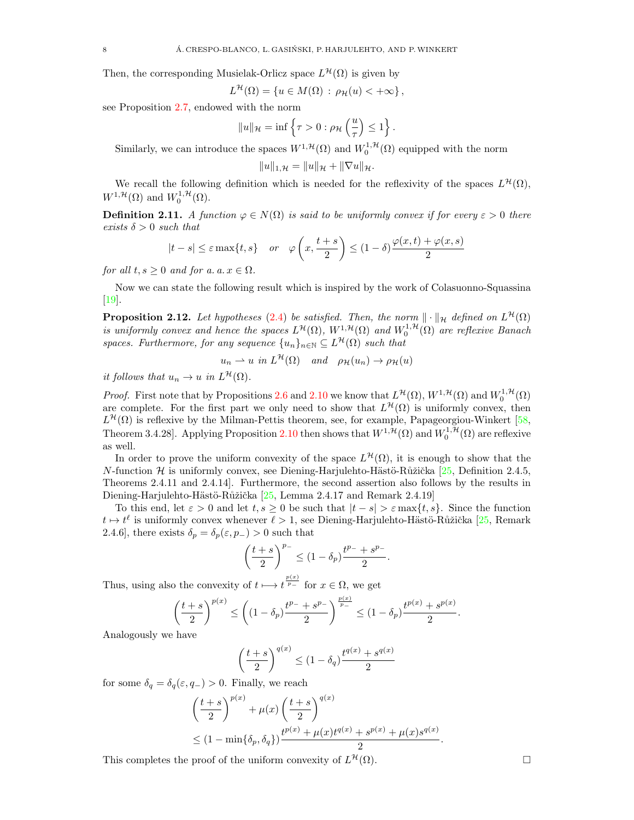Then, the corresponding Musielak-Orlicz space  $L^{\mathcal{H}}(\Omega)$  is given by

$$
L^{\mathcal{H}}(\Omega) = \{ u \in M(\Omega) : \rho_{\mathcal{H}}(u) < +\infty \},
$$

see Proposition [2.7,](#page-6-1) endowed with the norm

$$
||u||_{\mathcal{H}} = \inf \left\{ \tau > 0 : \rho_{\mathcal{H}}\left(\frac{u}{\tau}\right) \leq 1 \right\}.
$$

Similarly, we can introduce the spaces  $W^{1,\mathcal{H}}(\Omega)$  and  $W_0^{1,\mathcal{H}}(\Omega)$  equipped with the norm

$$
||u||_{1,\mathcal{H}} = ||u||_{\mathcal{H}} + ||\nabla u||_{\mathcal{H}}.
$$

We recall the following definition which is needed for the reflexivity of the spaces  $L^{\mathcal{H}}(\Omega)$ ,  $W^{1,\mathcal{H}}(\Omega)$  and  $W_0^{1,\mathcal{H}}(\Omega)$ .

<span id="page-7-0"></span>**Definition 2.11.** A function  $\varphi \in N(\Omega)$  is said to be uniformly convex if for every  $\varepsilon > 0$  there exists  $\delta > 0$  such that

$$
|t - s| \le \varepsilon \max\{t, s\} \quad or \quad \varphi\left(x, \frac{t + s}{2}\right) \le (1 - \delta) \frac{\varphi(x, t) + \varphi(x, s)}{2}
$$

for all  $t, s \geq 0$  and for a.  $a, x \in \Omega$ .

Now we can state the following result which is inspired by the work of Colasuonno-Squassina  $[19]$ .

<span id="page-7-1"></span>**Proposition 2.12.** Let hypotheses [\(2.4\)](#page-6-2) be satisfied. Then, the norm  $\|\cdot\|_{\mathcal{H}}$  defined on  $L^{\mathcal{H}}(\Omega)$ is uniformly convex and hence the spaces  $L^{\mathcal{H}}(\Omega)$ ,  $W^{1,\mathcal{H}}(\Omega)$  and  $W_0^{1,\mathcal{H}}(\Omega)$  are reflexive Banach spaces. Furthermore, for any sequence  $\{u_n\}_{n\in\mathbb{N}} \subseteq L^{\mathcal{H}}(\Omega)$  such that

$$
u_n \rightharpoonup u
$$
 in  $L^{\mathcal{H}}(\Omega)$  and  $\rho_{\mathcal{H}}(u_n) \rightharpoonup \rho_{\mathcal{H}}(u)$ 

it follows that  $u_n \to u$  in  $L^{\mathcal{H}}(\Omega)$ .

*Proof.* First note that by Propositions [2.6](#page-5-0) and [2.10](#page-6-3) we know that  $L^{\mathcal{H}}(\Omega)$ ,  $W^{1,\mathcal{H}}(\Omega)$  and  $W_0^{1,\mathcal{H}}(\Omega)$ are complete. For the first part we only need to show that  $L^{\mathcal{H}}(\Omega)$  is uniformly convex, then  $L^{\mathcal{H}}(\Omega)$  is reflexive by the Milman-Pettis theorem, see, for example, Papageorgiou-Winkert [\[58,](#page-31-11) Theorem 3.4.28]. Applying Proposition [2.10](#page-6-3) then shows that  $W^{1,\mathcal{H}}(\Omega)$  and  $W_0^{1,\mathcal{H}}(\Omega)$  are reflexive as well.

In order to prove the uniform convexity of the space  $L^{\mathcal{H}}(\Omega)$ , it is enough to show that the N-function H is uniformly convex, see Diening-Harjulehto-Hästö-Růžička [\[25,](#page-30-22) Definition 2.4.5, Theorems 2.4.11 and 2.4.14]. Furthermore, the second assertion also follows by the results in Diening-Harjulehto-Hästö-Růžička [\[25,](#page-30-22) Lemma 2.4.17 and Remark 2.4.19]

To this end, let  $\varepsilon > 0$  and let  $t, s \ge 0$  be such that  $|t - s| > \varepsilon \max\{t, s\}$ . Since the function  $t \mapsto t^{\ell}$  is uniformly convex whenever  $\ell > 1$ , see Diening-Harjulehto-Hästö-Růžička [\[25,](#page-30-22) Remark 2.4.6], there exists  $\delta_p = \delta_p(\varepsilon, p_-) > 0$  such that

$$
\left(\frac{t+s}{2}\right)^{p_-} \le (1-\delta_p)\frac{t^{p_-}+s^{p_-}}{2}.
$$

Thus, using also the convexity of  $t \mapsto t^{\frac{p(x)}{p-}}$  for  $x \in \Omega$ , we get

$$
\left(\frac{t+s}{2}\right)^{p(x)} \le \left( (1-\delta_p) \frac{t^{p-1} + s^{p-1}}{2} \right)^{\frac{p(x)}{p-1}} \le (1-\delta_p) \frac{t^{p(x)} + s^{p(x)}}{2}.
$$

Analogously we have

$$
\left(\frac{t+s}{2}\right)^{q(x)} \le (1-\delta_q) \frac{t^{q(x)} + s^{q(x)}}{2}
$$

for some  $\delta_q = \delta_q(\varepsilon, q_-) > 0$ . Finally, we reach

$$
\left(\frac{t+s}{2}\right)^{p(x)} + \mu(x) \left(\frac{t+s}{2}\right)^{q(x)} \leq (1 - \min{\delta_p, \delta_q}) \frac{t^{p(x)} + \mu(x)t^{q(x)} + s^{p(x)} + \mu(x)s^{q(x)}}{2}.
$$

This completes the proof of the uniform convexity of  $L^{\mathcal{H}}(\Omega)$ .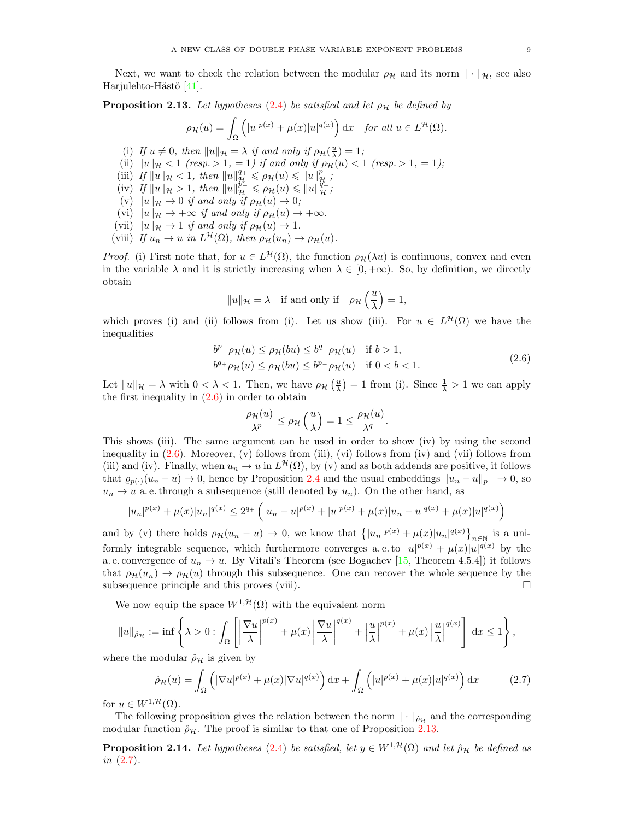Next, we want to check the relation between the modular  $\rho_{\mathcal{H}}$  and its norm  $\|\cdot\|_{\mathcal{H}}$ , see also Harjulehto-Hästö  $[41]$ .

<span id="page-8-1"></span>**Proposition 2.13.** Let hypotheses [\(2.4\)](#page-6-2) be satisfied and let  $\rho_{\mathcal{H}}$  be defined by

$$
\rho_{\mathcal{H}}(u) = \int_{\Omega} \left( |u|^{p(x)} + \mu(x)|u|^{q(x)} \right) dx \quad \text{for all } u \in L^{\mathcal{H}}(\Omega).
$$

- (i) If  $u \neq 0$ , then  $||u||_{\mathcal{H}} = \lambda$  if and only if  $\rho_{\mathcal{H}}(\frac{u}{\lambda}) = 1$ ;
- (ii)  $||u||_{\mathcal{H}} < 1$  (resp. > 1, = 1) if and only if  $\rho_{\mathcal{H}}(u) < 1$  (resp. > 1, = 1);
- (iii) If  $||u||_{\mathcal{H}} < 1$ , then  $||u||_{\mathcal{H}}^{q_+} \leq \rho_{\mathcal{H}}(u) \leq ||u||_{\mathcal{H}}^{p_-}$ ;
- (iv) If  $||u||_{\mathcal{H}} > 1$ , then  $||u||_{\mathcal{H}}^{\rho_-} \leq \rho_{\mathcal{H}}(u) \leq ||u||_{\mathcal{H}}^{q_+}$ ;
- (v)  $||u||_{\mathcal{H}} \to 0$  if and only if  $\rho_{\mathcal{H}}(u) \to 0$ ;
- (vi)  $\|u\|_{\mathcal{H}} \to +\infty$  if and only if  $\rho_{\mathcal{H}}(u) \to +\infty$ .
- (vii)  $||u||_{\mathcal{H}} \to 1$  if and only if  $\rho_{\mathcal{H}}(u) \to 1$ .
- (viii) If  $u_n \to u$  in  $L^{\mathcal{H}}(\Omega)$ , then  $\rho_{\mathcal{H}}(u_n) \to \rho_{\mathcal{H}}(u)$ .

*Proof.* (i) First note that, for  $u \in L^{\mathcal{H}}(\Omega)$ , the function  $\rho_{\mathcal{H}}(\lambda u)$  is continuous, convex and even in the variable  $\lambda$  and it is strictly increasing when  $\lambda \in [0, +\infty)$ . So, by definition, we directly obtain

$$
||u||_{\mathcal{H}} = \lambda
$$
 if and only if  $\rho_{\mathcal{H}}\left(\frac{u}{\lambda}\right) = 1$ ,

which proves (i) and (ii) follows from (i). Let us show (iii). For  $u \in L^{\mathcal{H}}(\Omega)$  we have the inequalities

$$
b^{p-}\rho_{\mathcal{H}}(u) \leq \rho_{\mathcal{H}}(bu) \leq b^{q+}\rho_{\mathcal{H}}(u) \quad \text{if } b > 1,
$$
  

$$
b^{q+}\rho_{\mathcal{H}}(u) \leq \rho_{\mathcal{H}}(bu) \leq b^{p-}\rho_{\mathcal{H}}(u) \quad \text{if } 0 < b < 1.
$$
 (2.6)

Let  $||u||_{\mathcal{H}} = \lambda$  with  $0 < \lambda < 1$ . Then, we have  $\rho_{\mathcal{H}}\left(\frac{u}{\lambda}\right) = 1$  from (i). Since  $\frac{1}{\lambda} > 1$  we can apply the first inequality in  $(2.6)$  in order to obtain

<span id="page-8-0"></span>
$$
\frac{\rho_{\mathcal{H}}(u)}{\lambda^{p_{-}}} \leq \rho_{\mathcal{H}}\left(\frac{u}{\lambda}\right) = 1 \leq \frac{\rho_{\mathcal{H}}(u)}{\lambda^{q_{+}}}.
$$

This shows (iii). The same argument can be used in order to show (iv) by using the second inequality in [\(2.6\)](#page-8-0). Moreover, (v) follows from (iii), (vi) follows from (iv) and (vii) follows from (iii) and (iv). Finally, when  $u_n \to u$  in  $L^{\mathcal{H}}(\Omega)$ , by (v) and as both addends are positive, it follows that  $\varrho_{p(\cdot)}(u_n - u) \to 0$ , hence by Proposition [2.4](#page-5-1) and the usual embeddings  $||u_n - u||_{p_-} \to 0$ , so  $u_n \to u$  a. e. through a subsequence (still denoted by  $u_n$ ). On the other hand, as

$$
|u_n|^{p(x)} + \mu(x)|u_n|^{q(x)} \le 2^{q_+} \left( |u_n - u|^{p(x)} + |u|^{p(x)} + \mu(x)|u_n - u|^{q(x)} + \mu(x)|u|^{q(x)} \right)
$$

and by (v) there holds  $\rho_H(u_n - u) \to 0$ , we know that  $\{|u_n|^{p(x)} + \mu(x)|u_n|^{q(x)}\}_{n \in \mathbb{N}}$  is a uniformly integrable sequence, which furthermore converges a.e. to  $|u|^{p(x)} + \mu(x)|u|^{q(x)}$  by the a. e. convergence of  $u_n \to u$ . By Vitali's Theorem (see Bogachev [\[15,](#page-29-18) Theorem 4.5.4]) it follows that  $\rho_{\mathcal{H}}(u_n) \to \rho_{\mathcal{H}}(u)$  through this subsequence. One can recover the whole sequence by the subsequence principle and this proves (viii).  $\Box$ 

We now equip the space  $W^{1,\mathcal{H}}(\Omega)$  with the equivalent norm

$$
||u||_{\hat{\rho}_\mathcal{H}} := \inf \left\{ \lambda > 0 : \int_{\Omega} \left[ \left| \frac{\nabla u}{\lambda} \right|^{p(x)} + \mu(x) \left| \frac{\nabla u}{\lambda} \right|^{q(x)} + \left| \frac{u}{\lambda} \right|^{p(x)} + \mu(x) \left| \frac{u}{\lambda} \right|^{q(x)} \right] dx \le 1 \right\},\right\}
$$

where the modular  $\rho_{\mathcal{H}}$  is given by

<span id="page-8-2"></span>
$$
\hat{\rho}_{\mathcal{H}}(u) = \int_{\Omega} \left( |\nabla u|^{p(x)} + \mu(x) |\nabla u|^{q(x)} \right) dx + \int_{\Omega} \left( |u|^{p(x)} + \mu(x) |u|^{q(x)} \right) dx \tag{2.7}
$$

for  $u \in W^{1, \mathcal{H}}(\Omega)$ .

The following proposition gives the relation between the norm  $\|\cdot\|_{\hat{\rho}_\mathcal{H}}$  and the corresponding modular function  $\rho_{\mathcal{H}}$ . The proof is similar to that one of Proposition [2.13.](#page-8-1)

<span id="page-8-3"></span>**Proposition 2.14.** Let hypotheses [\(2.4\)](#page-6-2) be satisfied, let  $y \in W^{1, \mathcal{H}}(\Omega)$  and let  $\hat{\rho}_{\mathcal{H}}$  be defined as in [\(2.7\)](#page-8-2).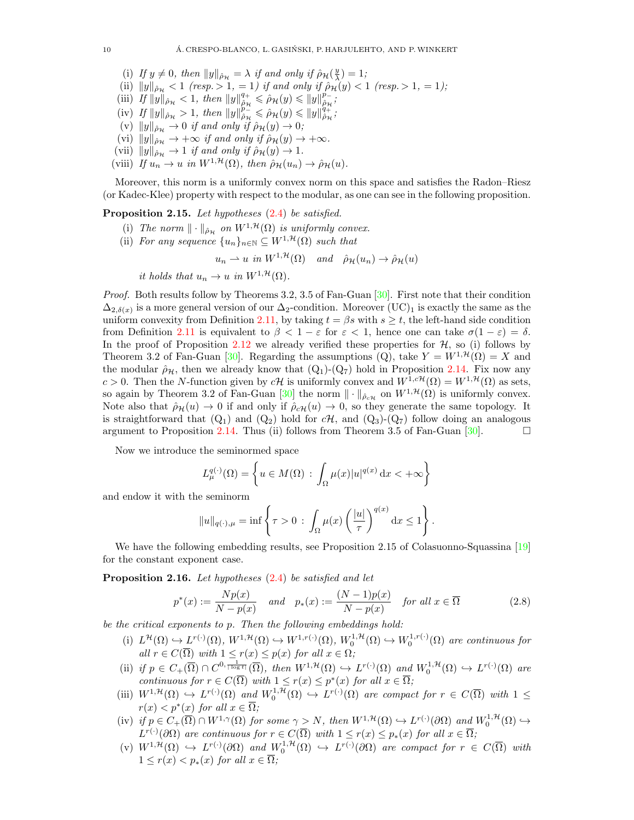- (i) If  $y \neq 0$ , then  $||y||_{\hat{\rho}_{\mathcal{H}}} = \lambda$  if and only if  $\hat{\rho}_{\mathcal{H}}(\frac{y}{\lambda}) = 1$ ;
- (ii)  $||y||_{\hat{\rho}_{\mathcal{H}}} < 1$  (resp.  $> 1, = 1$ ) if and only if  $\hat{\rho}_{\mathcal{H}}(y) < 1$  (resp.  $> 1, = 1$ );
- (iii) If  $||y||_{\hat{\rho}_{\mathcal{H}}} < 1$ , then  $||y||_{\hat{\rho}_{\mathcal{H}}}^{q+1}$  $\hat{\rho}_{\mathcal{H}}^q \leqslant \hat{\rho}_{\mathcal{H}}(y) \leqslant \|y\|_{\hat{\rho}_{\mathcal{H}}}^{p-1}$  $_{\hat{\rho}\mathcal{H}}^{p-}\!$  ;
- (iv) If  $||y||_{\rho_{\mathcal{H}}} > 1$ , then  $||y||_{\rho_{\mathcal{H}}}^{\rho_{\mathcal{L}}}$  $\hat{\tilde{p}}_{\tau}^n \leqslant \hat{\rho}_\mathcal{H}(y) \leqslant \|y\|_{\hat{\rho}_\mathcal{H}}^{q+1}$  $_{\hat{\rho}_{\mathcal{H}}}^{q_+};$
- (v)  $||y||_{\hat{\rho}_{\mathcal{H}}} \to 0$  if and only if  $\hat{\rho}_{\mathcal{H}}(y) \to 0$ ;
- (vi)  $||y||_{\hat{\rho}_\mathcal{H}}^{\rho_n} \to +\infty$  if and only if  $\hat{\rho}_\mathcal{H}(y) \to +\infty$ .
- (vii)  $||y||_{\hat{\rho}_{\mathcal{H}}} \to 1$  if and only if  $\hat{\rho}_{\mathcal{H}}(y) \to 1$ .
- (viii) If  $u_n \to u$  in  $W^{1,\mathcal{H}}(\Omega)$ , then  $\rho_{\mathcal{H}}(u_n) \to \rho_{\mathcal{H}}(u)$ .

Moreover, this norm is a uniformly convex norm on this space and satisfies the Radon–Riesz (or Kadec-Klee) property with respect to the modular, as one can see in the following proposition.

<span id="page-9-1"></span>Proposition 2.15. Let hypotheses  $(2.4)$  be satisfied.

- (i) The norm  $\|\cdot\|_{\hat{\rho}_H}$  on  $W^{1,\mathcal{H}}(\Omega)$  is uniformly convex.
- (ii) For any sequence  $\{u_n\}_{n\in\mathbb{N}} \subseteq W^{1,\mathcal{H}}(\Omega)$  such that

$$
u_n \rightharpoonup u
$$
 in  $W^{1,\mathcal{H}}(\Omega)$  and  $\hat{\rho}_{\mathcal{H}}(u_n) \rightarrow \hat{\rho}_{\mathcal{H}}(u)$ 

it holds that  $u_n \to u$  in  $W^{1,\mathcal{H}}(\Omega)$ .

Proof. Both results follow by Theorems 3.2, 3.5 of Fan-Guan [\[30\]](#page-30-33). First note that their condition  $\Delta_{2,\delta(x)}$  is a more general version of our  $\Delta_2$ -condition. Moreover (UC)<sub>1</sub> is exactly the same as the uniform convexity from Definition [2.11,](#page-7-0) by taking  $t = \beta s$  with  $s \ge t$ , the left-hand side condition from Definition [2.11](#page-7-0) is equivalent to  $\beta < 1 - \varepsilon$  for  $\varepsilon < 1$ , hence one can take  $\sigma(1 - \varepsilon) = \delta$ . In the proof of Proposition [2.12](#page-7-1) we already verified these properties for  $H$ , so (i) follows by Theorem 3.2 of Fan-Guan [\[30\]](#page-30-33). Regarding the assumptions (Q), take  $Y = W^{1, H}(\Omega) = X$  and the modular  $\hat{\rho}_{\mathcal{H}}$ , then we already know that  $(Q_1)-(Q_7)$  hold in Proposition [2.14.](#page-8-3) Fix now any c > 0. Then the N-function given by cH is uniformly convex and  $W^{1,cH}(\Omega) = W^{1,H}(\Omega)$  as sets, so again by Theorem 3.2 of Fan-Guan [\[30\]](#page-30-33) the norm  $\|\cdot\|_{\hat{\rho}_{c\mathcal{H}}}$  on  $W^{1,\mathcal{H}}(\Omega)$  is uniformly convex. Note also that  $\rho_H(u) \to 0$  if and only if  $\rho_c \mu(u) \to 0$ , so they generate the same topology. It is straightforward that  $(Q_1)$  and  $(Q_2)$  hold for  $c\mathcal{H}$ , and  $(Q_3)$ - $(Q_7)$  follow doing an analogous argument to Proposition [2.14.](#page-8-3) Thus (ii) follows from Theorem 3.5 of Fan-Guan  $[30]$ .

Now we introduce the seminormed space

$$
L_{\mu}^{q(\cdot)}(\Omega) = \left\{ u \in M(\Omega) \, : \, \int_{\Omega} \mu(x)|u|^{q(x)} \, \mathrm{d}x < +\infty \right\}
$$

and endow it with the seminorm

<span id="page-9-2"></span>
$$
||u||_{q(\cdot),\mu} = \inf \left\{ \tau > 0 \, : \, \int_{\Omega} \mu(x) \left( \frac{|u|}{\tau} \right)^{q(x)} dx \le 1 \right\}.
$$

We have the following embedding results, see Proposition 2.15 of Colasuonno-Squassina [\[19\]](#page-29-11) for the constant exponent case.

<span id="page-9-0"></span>Proposition 2.16. Let hypotheses  $(2.4)$  be satisfied and let

$$
p^*(x) := \frac{Np(x)}{N - p(x)} \quad and \quad p_*(x) := \frac{(N - 1)p(x)}{N - p(x)} \quad \text{for all } x \in \overline{\Omega}
$$
 (2.8)

be the critical exponents to p. Then the following embeddings hold:

- (i)  $L^{\mathcal{H}}(\Omega) \hookrightarrow L^{r(\cdot)}(\Omega), W^{1,\mathcal{H}}(\Omega) \hookrightarrow W^{1,r(\cdot)}(\Omega), W^{1,\mathcal{H}}_0(\Omega) \hookrightarrow W^{1,r(\cdot)}_0(\Omega)$  are continuous for all  $r \in C(\overline{\Omega})$  with  $1 \leq r(x) \leq p(x)$  for all  $x \in \Omega$ ;
- (ii) if  $p \in C_+(\overline{\Omega}) \cap C^{0, \frac{1}{|\log t|}}(\overline{\Omega})$ , then  $W^{1, \mathcal{H}}(\Omega) \hookrightarrow L^{r(\cdot)}(\Omega)$  and  $W_0^{1, \mathcal{H}}(\Omega) \hookrightarrow L^{r(\cdot)}(\Omega)$  are continuous for  $r \in C(\overline{\Omega})$  with  $1 \leq r(x) \leq p^*(x)$  for all  $x \in \overline{\Omega}$ ;
- (iii)  $W^{1,\mathcal{H}}(\Omega) \hookrightarrow L^{r(\cdot)}(\Omega)$  and  $W_0^{1,\mathcal{H}}(\Omega) \hookrightarrow L^{r(\cdot)}(\Omega)$  are compact for  $r \in C(\overline{\Omega})$  with  $1 \leq$  $r(x) < p^*(x)$  for all  $x \in \overline{\Omega}$ ;
- (iv) if  $p \in C_+(\overline{\Omega}) \cap W^{1,\gamma}(\Omega)$  for some  $\gamma > N$ , then  $W^{1,\mathcal{H}}(\Omega) \hookrightarrow L^{r(\cdot)}(\partial \Omega)$  and  $W_0^{1,\mathcal{H}}(\Omega) \hookrightarrow$  $L^{r(\cdot)}(\partial\Omega)$  are continuous for  $r \in C(\overline{\Omega})$  with  $1 \leq r(x) \leq p_*(x)$  for all  $x \in \overline{\Omega}$ ;
- $(v)$   $W^{1,\mathcal{H}}(\Omega) \hookrightarrow L^{r(\cdot)}(\partial \Omega)$  and  $W_0^{1,\mathcal{H}}(\Omega) \hookrightarrow L^{r(\cdot)}(\partial \Omega)$  are compact for  $r \in C(\overline{\Omega})$  with  $1 \leq r(x) \leq p_*(x)$  for all  $x \in \overline{\Omega}$ ;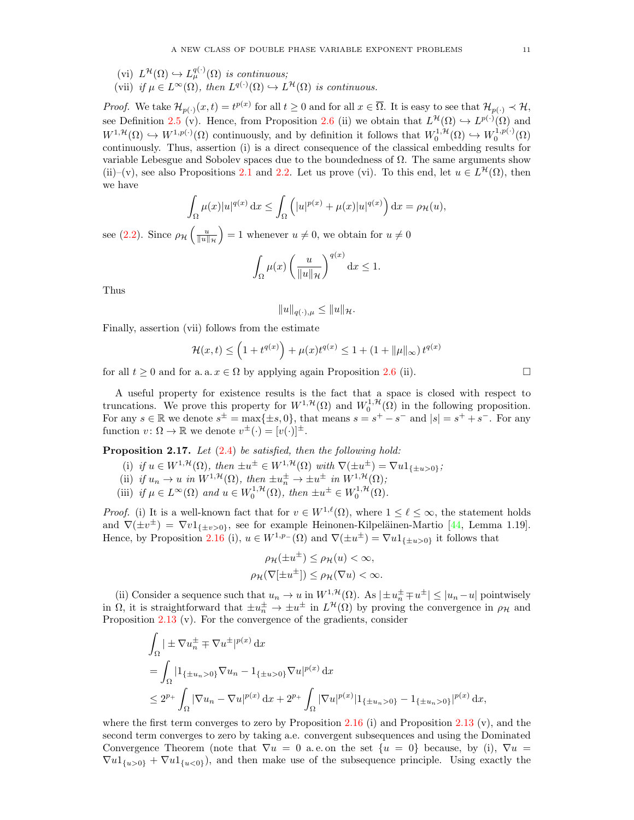- (vi)  $L^{\mathcal{H}}(\Omega) \hookrightarrow L_{\mu}^{q(\cdot)}(\Omega)$  is continuous;
- (vii) if  $\mu \in L^{\infty}(\Omega)$ , then  $L^{q(\cdot)}(\Omega) \hookrightarrow L^{\mathcal{H}}(\Omega)$  is continuous.

*Proof.* We take  $\mathcal{H}_{p(\cdot)}(x,t) = t^{p(x)}$  for all  $t \geq 0$  and for all  $x \in \overline{\Omega}$ . It is easy to see that  $\mathcal{H}_{p(\cdot)} \prec \mathcal{H}$ , see Definition [2.5](#page-5-2) (v). Hence, from Proposition [2.6](#page-5-0) (ii) we obtain that  $L^{\mathcal{H}}(\Omega) \hookrightarrow L^{p(\cdot)}(\Omega)$  and  $W^{1,\mathcal{H}}(\Omega) \hookrightarrow W^{1,p(\cdot)}(\Omega)$  continuously, and by definition it follows that  $W_0^{1,\mathcal{H}}(\Omega) \hookrightarrow W_0^{1,p(\cdot)}(\Omega)$ continuously. Thus, assertion (i) is a direct consequence of the classical embedding results for variable Lebesgue and Sobolev spaces due to the boundedness of  $\Omega$ . The same arguments show (ii)–(v), see also Propositions [2.1](#page-4-1) and [2.2.](#page-4-2) Let us prove (vi). To this end, let  $u \in L^{\mathcal{H}}(\Omega)$ , then we have

$$
\int_{\Omega} \mu(x)|u|^{q(x)} \, \mathrm{d}x \le \int_{\Omega} \left( |u|^{p(x)} + \mu(x)|u|^{q(x)} \right) \mathrm{d}x = \rho_{\mathcal{H}}(u),
$$

see [\(2.2\)](#page-5-3). Since  $\rho_{\mathcal{H}}\left(\frac{u}{\|u\|_{\mathcal{H}}}\right) = 1$  whenever  $u \neq 0$ , we obtain for  $u \neq 0$ 

$$
\int_{\Omega} \mu(x) \left( \frac{u}{\|u\|_{\mathcal{H}}} \right)^{q(x)} \mathrm{d}x \le 1.
$$

Thus

$$
||u||_{q(\cdot),\mu} \leq ||u||_{\mathcal{H}}.
$$

Finally, assertion (vii) follows from the estimate

$$
\mathcal{H}(x,t) \le \left(1 + t^{q(x)}\right) + \mu(x)t^{q(x)} \le 1 + \left(1 + \|\mu\|_{\infty}\right)t^{q(x)}
$$

for all  $t > 0$  and for a. a.  $x \in \Omega$  by applying again Proposition [2.6](#page-5-0) (ii).

A useful property for existence results is the fact that a space is closed with respect to truncations. We prove this property for  $W^{1,\mathcal{H}}(\Omega)$  and  $W_0^{1,\mathcal{H}}(\Omega)$  in the following proposition. For any  $s \in \mathbb{R}$  we denote  $s^{\pm} = \max\{\pm s, 0\}$ , that means  $s = s^+ - s^-$  and  $|s| = s^+ + s^-$ . For any function  $v: \Omega \to \mathbb{R}$  we denote  $v^{\pm}(\cdot) = [v(\cdot)]^{\pm}$ .

**Proposition 2.17.** Let  $(2.4)$  be satisfied, then the following hold:

- (i) if  $u \in W^{1,\mathcal{H}}(\Omega)$ , then  $\pm u^{\pm} \in W^{1,\mathcal{H}}(\Omega)$  with  $\nabla(\pm u^{\pm}) = \nabla u \mathbb{1}_{\{\pm u > 0\}}$ ;
- (ii) if  $u_n \to u$  in  $W^{1,\mathcal{H}}(\Omega)$ , then  $\pm u_n^{\pm} \to \pm u^{\pm}$  in  $W^{1,\mathcal{H}}(\Omega)$ ;
- (iii) if  $\mu \in L^{\infty}(\Omega)$  and  $u \in W_0^{1,\mathcal{H}}(\Omega)$ , then  $\pm u^{\pm} \in W_0^{1,\mathcal{H}}(\Omega)$ .

*Proof.* (i) It is a well-known fact that for  $v \in W^{1,\ell}(\Omega)$ , where  $1 \leq \ell \leq \infty$ , the statement holds and  $\nabla(\pm v^{\pm}) = \nabla v \mathbb{1}_{\{\pm v > 0\}}$ , see for example Heinonen-Kilpeläinen-Martio [\[44,](#page-30-34) Lemma 1.19]. Hence, by Proposition [2.16](#page-9-0) (i),  $u \in W^{1,p-}(\Omega)$  and  $\nabla(\pm u^{\pm}) = \nabla u \mathbb{1}_{\{\pm u > 0\}}$  it follows that

$$
\rho_{\mathcal{H}}(\pm u^{\pm}) \leq \rho_{\mathcal{H}}(u) < \infty,
$$
\n
$$
\rho_{\mathcal{H}}(\nabla[\pm u^{\pm}]) \leq \rho_{\mathcal{H}}(\nabla u) < \infty.
$$

(ii) Consider a sequence such that  $u_n \to u$  in  $W^{1,\mathcal{H}}(\Omega)$ . As  $|\pm u_n^{\pm} \mp u^{\pm}| \leq |u_n - u|$  pointwisely in  $\Omega$ , it is straightforward that  $\pm u_n^{\pm} \to \pm u^{\pm}$  in  $L^{\mathcal{H}}(\Omega)$  by proving the convergence in  $\rho_{\mathcal{H}}$  and Proposition [2.13](#page-8-1) (v). For the convergence of the gradients, consider

$$
\int_{\Omega} |\pm \nabla u_n^{\pm} \mp \nabla u^{\pm}|^{p(x)} dx
$$
\n  
\n
$$
= \int_{\Omega} |1_{\{\pm u_n > 0\}} \nabla u_n - 1_{\{\pm u > 0\}} \nabla u|^{p(x)} dx
$$
\n  
\n
$$
\leq 2^{p_+} \int_{\Omega} |\nabla u_n - \nabla u|^{p(x)} dx + 2^{p_+} \int_{\Omega} |\nabla u|^{p(x)} |1_{\{\pm u_n > 0\}} - 1_{\{\pm u_n > 0\}}|^{p(x)} dx,
$$

where the first term converges to zero by Proposition  $2.16$  (i) and Proposition  $2.13$  (v), and the second term converges to zero by taking a.e. convergent subsequences and using the Dominated Convergence Theorem (note that  $\nabla u = 0$  a.e. on the set  $\{u = 0\}$  because, by (i),  $\nabla u =$  $\nabla u_1_{\{u>0\}} + \nabla u_1_{\{u<0\}}$ , and then make use of the subsequence principle. Using exactly the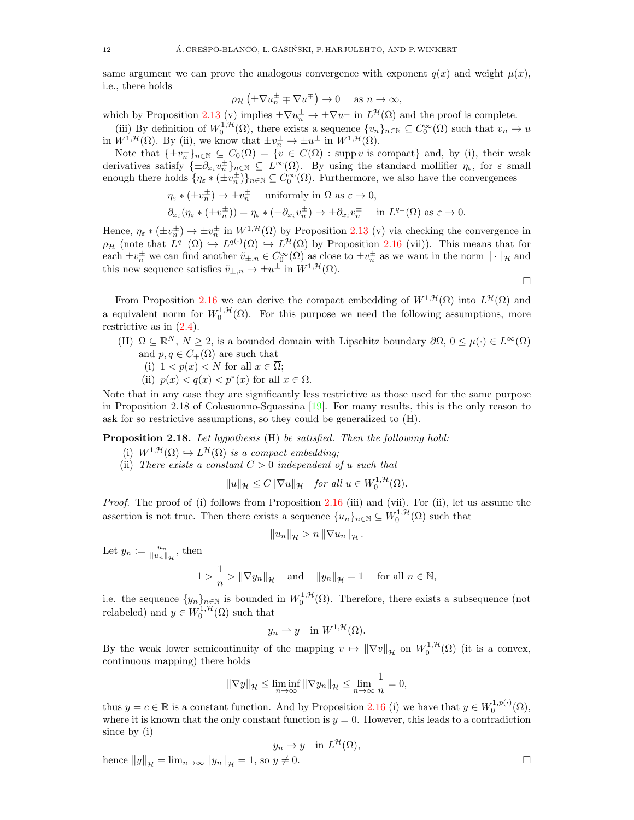same argument we can prove the analogous convergence with exponent  $q(x)$  and weight  $\mu(x)$ , i.e., there holds

$$
\rho_{\mathcal{H}}\left(\pm \nabla u_n^{\pm} \mp \nabla u^{\mp}\right) \to 0 \quad \text{ as } n \to \infty,
$$

which by Proposition [2.13](#page-8-1) (v) implies  $\pm \nabla u_{n}^{\pm} \to \pm \nabla u^{\pm}$  in  $L^{\mathcal{H}}(\Omega)$  and the proof is complete.

(iii) By definition of  $W_0^{1,H}(\Omega)$ , there exists a sequence  $\{v_n\}_{n\in\mathbb{N}}\subseteq C_0^{\infty}(\Omega)$  such that  $v_n\to u$ in  $W^{1,\mathcal{H}}(\Omega)$ . By (ii), we know that  $\pm v_n^{\pm} \to \pm u^{\pm}$  in  $W^{1,\mathcal{H}}(\Omega)$ .

Note that  $\{\pm v_n^{\pm}\}_{n\in\mathbb{N}} \subseteq C_0(\Omega) = \{v \in C(\Omega) : \text{supp } v \text{ is compact}\}\$ and, by (i), their weak derivatives satisfy  $\{\pm \partial_{x_i} v_n^{\pm}\}_{n\in\mathbb{N}} \subseteq L^{\infty}(\Omega)$ . By using the standard mollifier  $\eta_{\varepsilon}$ , for  $\varepsilon$  small enough there holds  $\{\eta_{\varepsilon} * (\pm v_n^{\pm})\}_{n \in \mathbb{N}} \subseteq C_0^{\infty}(\Omega)$ . Furthermore, we also have the convergences

$$
\eta_{\varepsilon} * (\pm v_n^{\pm}) \to \pm v_n^{\pm} \quad \text{uniformly in } \Omega \text{ as } \varepsilon \to 0,
$$
  

$$
\partial_{x_i} (\eta_{\varepsilon} * (\pm v_n^{\pm})) = \eta_{\varepsilon} * (\pm \partial_{x_i} v_n^{\pm}) \to \pm \partial_{x_i} v_n^{\pm} \quad \text{in } L^{q_+}(\Omega) \text{ as } \varepsilon \to 0.
$$

Hence,  $\eta_{\varepsilon} * (\pm v_n^{\pm}) \to \pm v_n^{\pm}$  in  $W^{1,\mathcal{H}}(\Omega)$  by Proposition [2.13](#page-8-1) (v) via checking the convergence in  $\rho_H$  (note that  $L^{q_+}(\Omega) \hookrightarrow L^{q(\cdot)}(\Omega) \hookrightarrow L^{\mathcal{H}}(\Omega)$  by Proposition [2.16](#page-9-0) (vii)). This means that for each  $\pm v_n^{\pm}$  we can find another  $\tilde{v}_{\pm,n} \in C_0^{\infty}(\Omega)$  as close to  $\pm v_n^{\pm}$  as we want in the norm  $\|\cdot\|_{\mathcal{H}}$  and this new sequence satisfies  $\tilde{v}_{\pm,n} \to \pm u^{\pm}$  in  $W^{1,\mathcal{H}}(\Omega)$ .

 $\Box$ 

From Proposition [2.16](#page-9-0) we can derive the compact embedding of  $W^{1, \mathcal{H}}(\Omega)$  into  $L^{\mathcal{H}}(\Omega)$  and a equivalent norm for  $W_0^{1,\mathcal{H}}(\Omega)$ . For this purpose we need the following assumptions, more restrictive as in [\(2.4\)](#page-6-2).

- (H)  $\Omega \subseteq \mathbb{R}^N$ ,  $N \geq 2$ , is a bounded domain with Lipschitz boundary  $\partial \Omega$ ,  $0 \leq \mu(\cdot) \in L^{\infty}(\Omega)$ and  $p, q \in C_+(\overline{\Omega})$  are such that
	- (i)  $1 < p(x) < N$  for all  $x \in \overline{\Omega}$ ;
	- (ii)  $p(x) < q(x) < p^*(x)$  for all  $x \in \overline{\Omega}$ .

Note that in any case they are significantly less restrictive as those used for the same purpose in Proposition 2.18 of Colasuonno-Squassina [\[19\]](#page-29-11). For many results, this is the only reason to ask for so restrictive assumptions, so they could be generalized to (H).

<span id="page-11-0"></span>Proposition 2.18. Let hypothesis (H) be satisfied. Then the following hold:

- (i)  $W^{1,\mathcal{H}}(\Omega) \hookrightarrow L^{\mathcal{H}}(\Omega)$  is a compact embedding;
- (ii) There exists a constant  $C > 0$  independent of u such that

$$
||u||_{\mathcal{H}} \leq C||\nabla u||_{\mathcal{H}} \quad \text{for all } u \in W_0^{1,\mathcal{H}}(\Omega).
$$

Proof. The proof of (i) follows from Proposition [2.16](#page-9-0) (iii) and (vii). For (ii), let us assume the assertion is not true. Then there exists a sequence  $\{u_n\}_{n\in\mathbb{N}}\subseteq W_0^{1,\mathcal{H}}(\Omega)$  such that

$$
||u_n||_{\mathcal{H}} > n ||\nabla u_n||_{\mathcal{H}}.
$$

Let  $y_n := \frac{u_n}{\|u_n\|_{\mathcal{H}}},$  then

$$
1 > \frac{1}{n} > ||\nabla y_n||_{\mathcal{H}} \quad \text{ and } \quad ||y_n||_{\mathcal{H}} = 1 \quad \text{ for all } n \in \mathbb{N},
$$

i.e. the sequence  $\{y_n\}_{n\in\mathbb{N}}$  is bounded in  $W_0^{1,\mathcal{H}}(\Omega)$ . Therefore, there exists a subsequence (not relabeled) and  $y \in W_0^{1, \mathcal{H}}(\Omega)$  such that

$$
y_n \rightharpoonup y
$$
 in  $W^{1,\mathcal{H}}(\Omega)$ .

By the weak lower semicontinuity of the mapping  $v \mapsto ||\nabla v||_{\mathcal{H}}$  on  $W_0^{1,\mathcal{H}}(\Omega)$  (it is a convex, continuous mapping) there holds

$$
\|\nabla y\|_{\mathcal{H}} \le \liminf_{n \to \infty} \|\nabla y_n\|_{\mathcal{H}} \le \lim_{n \to \infty} \frac{1}{n} = 0,
$$

thus  $y = c \in \mathbb{R}$  is a constant function. And by Proposition [2.16](#page-9-0) (i) we have that  $y \in W_0^{1,p(\cdot)}(\Omega)$ , where it is known that the only constant function is  $y = 0$ . However, this leads to a contradiction since by (i)

$$
y_n \to y \quad \text{in } L^{\mathcal{H}}(\Omega),
$$

hence  $||y||_{\mathcal{H}} = \lim_{n \to \infty} ||y_n||_{\mathcal{H}} = 1$ , so  $y \neq 0$ .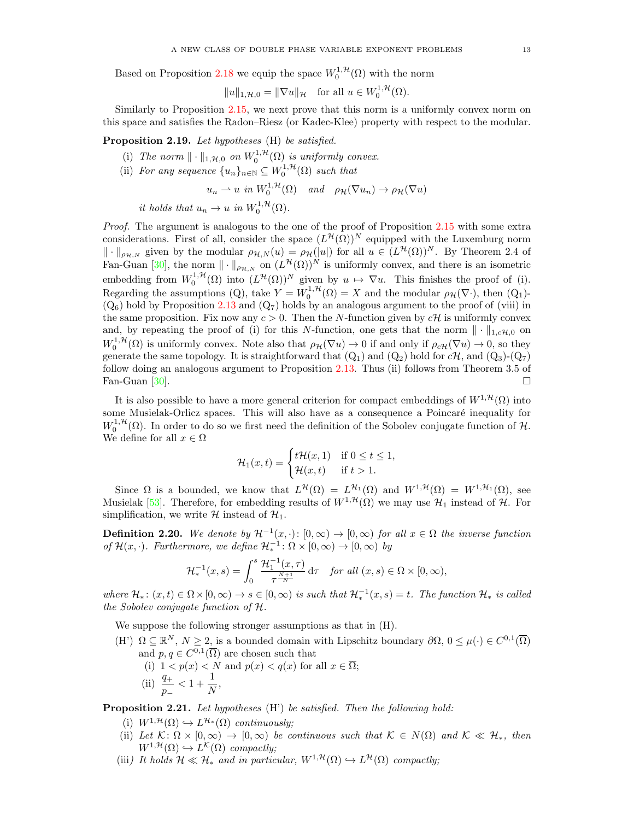Based on Proposition [2.18](#page-11-0) we equip the space  $W_0^{1, \mathcal{H}}(\Omega)$  with the norm

$$
||u||_{1,\mathcal{H},0} = ||\nabla u||_{\mathcal{H}} \quad \text{for all } u \in W_0^{1,\mathcal{H}}(\Omega).
$$

Similarly to Proposition [2.15,](#page-9-1) we next prove that this norm is a uniformly convex norm on this space and satisfies the Radon–Riesz (or Kadec-Klee) property with respect to the modular.

Proposition 2.19. Let hypotheses (H) be satisfied.

- (i) The norm  $\| \cdot \|_{1,\mathcal{H},0}$  on  $W_0^{1,\mathcal{H}}(\Omega)$  is uniformly convex.
- (ii) For any sequence  $\{u_n\}_{n\in\mathbb{N}} \subseteq W_0^{1,\mathcal{H}}(\Omega)$  such that

$$
u_n \rightharpoonup u \text{ in } W_0^{1,\mathcal{H}}(\Omega) \quad \text{and} \quad \rho_{\mathcal{H}}(\nabla u_n) \to \rho_{\mathcal{H}}(\nabla u)
$$

it holds that  $u_n \to u$  in  $W_0^{1, \mathcal{H}}(\Omega)$ .

Proof. The argument is analogous to the one of the proof of Proposition [2.15](#page-9-1) with some extra considerations. First of all, consider the space  $(L^{\mathcal{H}}(\Omega))^N$  equipped with the Luxemburg norm  $\|\cdot\|_{\rho_{\mathcal{H},N}}$  given by the modular  $\rho_{\mathcal{H},N}(u) = \rho_{\mathcal{H}}(|u|)$  for all  $u \in (L^{\mathcal{H}}(\Omega))^N$ . By Theorem 2.4 of Fan-Guan [\[30\]](#page-30-33), the norm  $\|\cdot\|_{\rho_{\mathcal{H},N}}$  on  $(L^{\mathcal{H}}(\Omega))^N$  is uniformly convex, and there is an isometric embedding from  $W_0^{1,\mathcal{H}}(\Omega)$  into  $(L^{\mathcal{H}}(\Omega))^N$  given by  $u \mapsto \nabla u$ . This finishes the proof of (i). Regarding the assumptions (Q), take  $Y = W_0^{1, H}(\Omega) = X$  and the modular  $\rho_H(\nabla \cdot)$ , then (Q<sub>1</sub>)- $(Q_6)$  hold by Proposition [2.13](#page-8-1) and  $(Q_7)$  holds by an analogous argument to the proof of (viii) in the same proposition. Fix now any  $c > 0$ . Then the N-function given by  $c\mathcal{H}$  is uniformly convex and, by repeating the proof of (i) for this N-function, one gets that the norm  $\|\cdot\|_{1,c\mathcal{H},0}$  on  $W_0^{1,\mathcal{H}}(\Omega)$  is uniformly convex. Note also that  $\rho_{\mathcal{H}}(\nabla u) \to 0$  if and only if  $\rho_{c\mathcal{H}}(\nabla u) \to 0$ , so they generate the same topology. It is straightforward that  $(Q_1)$  and  $(Q_2)$  hold for  $c\mathcal{H}$ , and  $(Q_3)$ - $(Q_7)$ follow doing an analogous argument to Proposition [2.13.](#page-8-1) Thus (ii) follows from Theorem 3.5 of Fan-Guan [\[30\]](#page-30-33).  $\Box$ 

It is also possible to have a more general criterion for compact embeddings of  $W^{1, \mathcal{H}}(\Omega)$  into some Musielak-Orlicz spaces. This will also have as a consequence a Poincaré inequality for  $W_0^{1,\mathcal{H}}(\Omega)$ . In order to do so we first need the definition of the Sobolev conjugate function of  $\mathcal{H}$ . We define for all  $x\in\Omega$ 

$$
\mathcal{H}_1(x,t) = \begin{cases} t\mathcal{H}(x,1) & \text{if } 0 \le t \le 1, \\ \mathcal{H}(x,t) & \text{if } t > 1. \end{cases}
$$

Since  $\Omega$  is a bounded, we know that  $L^{\mathcal{H}}(\Omega) = L^{\mathcal{H}_{1}}(\Omega)$  and  $W^{1,\mathcal{H}}(\Omega) = W^{1,\mathcal{H}_{1}}(\Omega)$ , see Musielak [\[53\]](#page-30-29). Therefore, for embedding results of  $W^{1, \mathcal{H}}(\Omega)$  we may use  $\mathcal{H}_1$  instead of  $\mathcal{H}$ . For simplification, we write  $\mathcal H$  instead of  $\mathcal H_1$ .

**Definition 2.20.** We denote by  $\mathcal{H}^{-1}(x, \cdot): [0, \infty) \to [0, \infty)$  for all  $x \in \Omega$  the inverse function of  $\mathcal{H}(x, \cdot)$ . Furthermore, we define  $\mathcal{H}_*^{-1} \colon \Omega \times [0, \infty) \to [0, \infty)$  by

$$
\mathcal{H}_*^{-1}(x,s) = \int_0^s \frac{\mathcal{H}_1^{-1}(x,\tau)}{\tau^{\frac{N+1}{N}}} d\tau \quad \text{for all } (x,s) \in \Omega \times [0,\infty),
$$

where  $\mathcal{H}_*$ :  $(x,t) \in \Omega \times [0,\infty) \to s \in [0,\infty)$  is such that  $\mathcal{H}_*^{-1}(x,s) = t$ . The function  $\mathcal{H}_*$  is called the Sobolev conjugate function of H.

We suppose the following stronger assumptions as that in (H).

(H')  $\Omega \subseteq \mathbb{R}^N$ ,  $N \geq 2$ , is a bounded domain with Lipschitz boundary  $\partial \Omega$ ,  $0 \leq \mu(\cdot) \in C^{0,1}(\overline{\Omega})$ and  $p, q \in C^{0,1}(\overline{\Omega})$  are chosen such that (i)  $1 < p(x) < N$  and  $p(x) < q(x)$  for all  $x \in \overline{\Omega}$ ; (ii)  $\frac{q_+}{p_-} < 1 + \frac{1}{N}$  $\frac{1}{N}$ ,

Proposition 2.21. Let hypotheses (H') be satisfied. Then the following hold:

- (i)  $W^{1,\mathcal{H}}(\Omega) \hookrightarrow L^{\mathcal{H}_{*}}(\Omega)$  continuously;
- (ii) Let  $\mathcal{K}: \Omega \times [0, \infty) \to [0, \infty)$  be continuous such that  $\mathcal{K} \in N(\Omega)$  and  $\mathcal{K} \ll \mathcal{H}_*$ , then  $W^{1,\mathcal{H}}(\Omega) \hookrightarrow L^{\mathcal{K}}(\Omega)$  compactly;
- (iii) It holds  $\mathcal{H} \ll \mathcal{H}_*$  and in particular,  $W^{1,\mathcal{H}}(\Omega) \hookrightarrow L^{\mathcal{H}}(\Omega)$  compactly;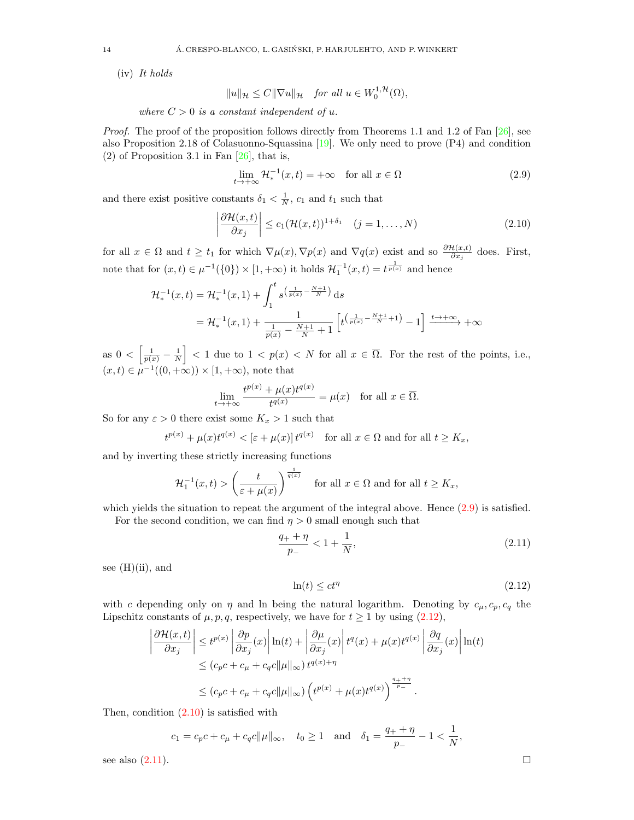(iv) It holds

 $||u||_{\mathcal{H}} \leq C||\nabla u||_{\mathcal{H}}$  for all  $u \in W_0^{1,\mathcal{H}}(\Omega)$ ,

where  $C > 0$  is a constant independent of u.

*Proof.* The proof of the proposition follows directly from Theorems 1.1 and 1.2 of Fan  $[26]$ , see also Proposition 2.18 of Colasuonno-Squassina [\[19\]](#page-29-11). We only need to prove (P4) and condition (2) of Proposition 3.1 in Fan  $[26]$ , that is,

<span id="page-13-2"></span><span id="page-13-0"></span>
$$
\lim_{t \to +\infty} \mathcal{H}_*^{-1}(x, t) = +\infty \quad \text{for all } x \in \Omega \tag{2.9}
$$

and there exist positive constants  $\delta_1 < \frac{1}{N}$ ,  $c_1$  and  $t_1$  such that

$$
\left|\frac{\partial \mathcal{H}(x,t)}{\partial x_j}\right| \le c_1 (\mathcal{H}(x,t))^{1+\delta_1} \quad (j=1,\ldots,N)
$$
\n(2.10)

for all  $x \in \Omega$  and  $t \ge t_1$  for which  $\nabla \mu(x), \nabla p(x)$  and  $\nabla q(x)$  exist and so  $\frac{\partial \mathcal{H}(x,t)}{\partial x_j}$  does. First, note that for  $(x,t) \in \mu^{-1}(\{0\}) \times [1,+\infty)$  it holds  $\mathcal{H}_1^{-1}(x,t) = t^{\frac{1}{p(x)}}$  and hence

$$
\mathcal{H}_*^{-1}(x,t) = \mathcal{H}_*^{-1}(x,1) + \int_1^t s^{\left(\frac{1}{p(x)} - \frac{N+1}{N}\right)} ds
$$
  
=  $\mathcal{H}_*^{-1}(x,1) + \frac{1}{\frac{1}{p(x)} - \frac{N+1}{N} + 1} \left[ t^{\left(\frac{1}{p(x)} - \frac{N+1}{N} + 1\right)} - 1 \right] \xrightarrow{t \to +\infty} +\infty$ 

as  $0 < \left[\frac{1}{p(x)} - \frac{1}{N}\right] < 1$  due to  $1 < p(x) < N$  for all  $x \in \overline{\Omega}$ . For the rest of the points, i.e.,  $(x,t) \in \mu^{-1}((0,+\infty)) \times [1,+\infty)$ , note that

$$
\lim_{t \to +\infty} \frac{t^{p(x)} + \mu(x)t^{q(x)}}{t^{q(x)}} = \mu(x) \quad \text{for all } x \in \overline{\Omega}.
$$

So for any  $\varepsilon > 0$  there exist some  $K_x > 1$  such that

$$
t^{p(x)} + \mu(x)t^{q(x)} < [\varepsilon + \mu(x)]t^{q(x)}
$$
 for all  $x \in \Omega$  and for all  $t \ge K_x$ ,

and by inverting these strictly increasing functions

$$
\mathcal{H}_1^{-1}(x,t) > \left(\frac{t}{\varepsilon + \mu(x)}\right)^{\frac{1}{q(x)}} \quad \text{for all } x \in \Omega \text{ and for all } t \ge K_x,
$$

which yields the situation to repeat the argument of the integral above. Hence  $(2.9)$  is satisfied.

For the second condition, we can find  $\eta > 0$  small enough such that

$$
\frac{q_+ + \eta}{p_-} < 1 + \frac{1}{N},\tag{2.11}
$$

see  $(H)(ii)$ , and

<span id="page-13-3"></span><span id="page-13-1"></span>
$$
\ln(t) \le ct^{\eta} \tag{2.12}
$$

with c depending only on  $\eta$  and ln being the natural logarithm. Denoting by  $c_{\mu}, c_{p}, c_{q}$  the Lipschitz constants of  $\mu$ ,  $p$ ,  $q$ , respectively, we have for  $t \ge 1$  by using [\(2.12\)](#page-13-1),

$$
\left| \frac{\partial \mathcal{H}(x,t)}{\partial x_j} \right| \le t^{p(x)} \left| \frac{\partial p}{\partial x_j}(x) \right| \ln(t) + \left| \frac{\partial \mu}{\partial x_j}(x) \right| t^q(x) + \mu(x) t^{q(x)} \left| \frac{\partial q}{\partial x_j}(x) \right| \ln(t)
$$
  

$$
\le (c_p c + c_\mu + c_q c \|\mu\|_\infty) t^{q(x)+\eta}
$$
  

$$
\le (c_p c + c_\mu + c_q c \|\mu\|_\infty) \left( t^{p(x)} + \mu(x) t^{q(x)} \right)^{\frac{q_++\eta}{p_-}}.
$$

Then, condition [\(2.10\)](#page-13-2) is satisfied with

$$
c_1 = c_p c + c_\mu + c_q c ||\mu||_\infty
$$
,  $t_0 \ge 1$  and  $\delta_1 = \frac{q_+ + \eta}{p_-} - 1 < \frac{1}{N}$ ,

see also  $(2.11)$ .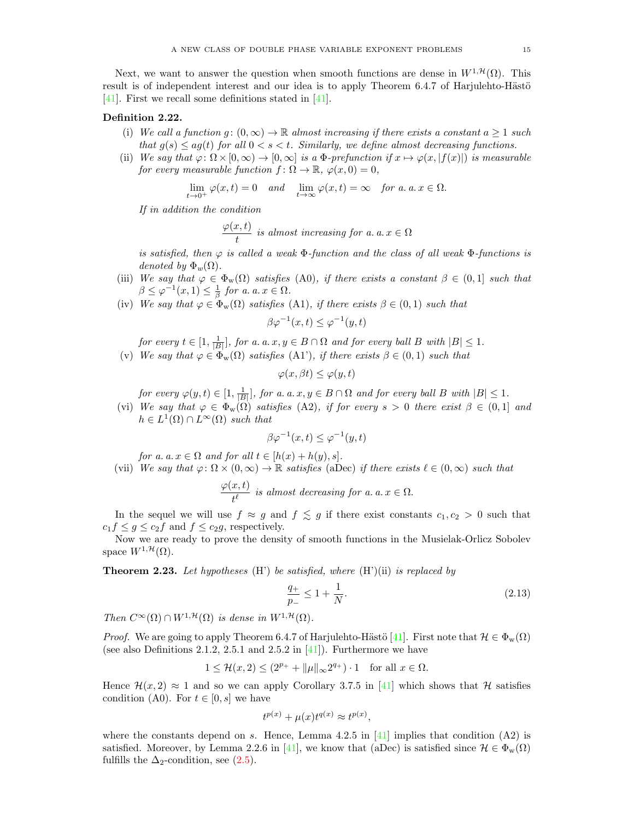Next, we want to answer the question when smooth functions are dense in  $W^{1,\mathcal{H}}(\Omega)$ . This result is of independent interest and our idea is to apply Theorem 6.4.7 of Harjulehto-Hästö [\[41\]](#page-30-30). First we recall some definitions stated in [\[41\]](#page-30-30).

# Definition 2.22.

- (i) We call a function  $g: (0, \infty) \to \mathbb{R}$  almost increasing if there exists a constant  $a \ge 1$  such that  $q(s) \leq aq(t)$  for all  $0 \leq s \leq t$ . Similarly, we define almost decreasing functions.
- (ii) We say that  $\varphi: \Omega \times [0, \infty) \to [0, \infty]$  is a  $\Phi$ -prefunction if  $x \mapsto \varphi(x, |f(x)|)$  is measurable for every measurable function  $f: \Omega \to \mathbb{R}, \varphi(x,0) = 0$ ,

$$
\lim_{t \to 0^+} \varphi(x, t) = 0 \quad and \quad \lim_{t \to \infty} \varphi(x, t) = \infty \quad \text{for a. a. } x \in \Omega.
$$

If in addition the condition

$$
\frac{\varphi(x,t)}{t}
$$
 is almost increasing for a.  $a, x \in \Omega$ 

is satisfied, then  $\varphi$  is called a weak  $\Phi$ -function and the class of all weak  $\Phi$ -functions is denoted by  $\Phi_w(\Omega)$ .

- (iii) We say that  $\varphi \in \Phi_w(\Omega)$  satisfies (A0), if there exists a constant  $\beta \in (0,1]$  such that  $\beta \leq \varphi^{-1}(x,1) \leq \frac{1}{\beta}$  for a. a.  $x \in \Omega$ .
- (iv) We say that  $\varphi \in \Phi_w(\Omega)$  satisfies (A1), if there exists  $\beta \in (0,1)$  such that

$$
\beta \varphi^{-1}(x,t) \le \varphi^{-1}(y,t)
$$

for every  $t \in [1, \frac{1}{|B|}]$ , for a. a. x,  $y \in B \cap \Omega$  and for every ball B with  $|B| \leq 1$ .

(v) We say that  $\varphi \in \Phi_{\rm w}(\Omega)$  satisfies (A1'), if there exists  $\beta \in (0,1)$  such that

$$
\varphi(x,\beta t) \le \varphi(y,t)
$$

for every  $\varphi(y,t) \in [1, \frac{1}{|B|}],$  for a. a. x,  $y \in B \cap \Omega$  and for every ball B with  $|B| \leq 1$ .

(vi) We say that  $\varphi \in \Phi_w(\Omega)$  satisfies (A2), if for every  $s > 0$  there exist  $\beta \in (0,1]$  and  $h \in L^1(\Omega) \cap L^{\infty}(\Omega)$  such that

$$
\beta \varphi^{-1}(x,t) \le \varphi^{-1}(y,t)
$$

for a. a.  $x \in \Omega$  and for all  $t \in [h(x) + h(y), s]$ .

(vii) We say that  $\varphi: \Omega \times (0, \infty) \to \mathbb{R}$  satisfies (aDec) if there exists  $\ell \in (0, \infty)$  such that

$$
\frac{\varphi(x,t)}{t^{\ell}}\ \ is\ almost\ decreasing\ for\ a.\ a.x \in \Omega.
$$

In the sequel we will use  $f \approx g$  and  $f \lesssim g$  if there exist constants  $c_1, c_2 > 0$  such that  $c_1 f \leq g \leq c_2 f$  and  $f \leq c_2 g$ , respectively.

Now we are ready to prove the density of smooth functions in the Musielak-Orlicz Sobolev space  $W^{1,\mathcal{H}}(\Omega)$ .

<span id="page-14-0"></span>**Theorem 2.23.** Let hypotheses  $(H')$  be satisfied, where  $(H')$ (ii) is replaced by

<span id="page-14-1"></span>
$$
\frac{q_+}{p_-} \le 1 + \frac{1}{N}.\tag{2.13}
$$

Then  $C^{\infty}(\Omega) \cap W^{1, \mathcal{H}}(\Omega)$  is dense in  $W^{1, \mathcal{H}}(\Omega)$ .

*Proof.* We are going to apply Theorem 6.4.7 of Harjulehto-Hästö [\[41\]](#page-30-30). First note that  $\mathcal{H} \in \Phi_{w}(\Omega)$ (see also Definitions 2.1.2, 2.5.1 and 2.5.2 in  $[41]$ ). Furthermore we have

$$
1 \leq \mathcal{H}(x, 2) \leq (2^{p_+} + ||\mu||_{\infty} 2^{q_+}) \cdot 1 \quad \text{for all } x \in \Omega.
$$

Hence  $\mathcal{H}(x, 2) \approx 1$  and so we can apply Corollary 3.7.5 in [\[41\]](#page-30-30) which shows that H satisfies condition (A0). For  $t \in [0, s]$  we have

$$
t^{p(x)} + \mu(x)t^{q(x)} \approx t^{p(x)},
$$

where the constants depend on s. Hence, Lemma 4.2.5 in  $[41]$  implies that condition  $(A2)$  is satisfied. Moreover, by Lemma 2.2.6 in [\[41\]](#page-30-30), we know that (aDec) is satisfied since  $\mathcal{H} \in \Phi_{w}(\Omega)$ fulfills the  $\Delta_2$ -condition, see [\(2.5\)](#page-6-4).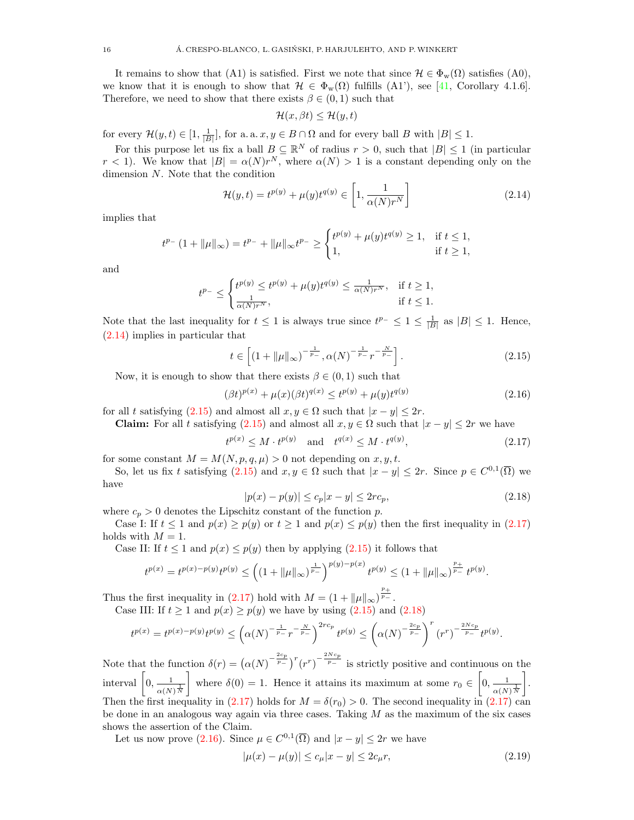It remains to show that (A1) is satisfied. First we note that since  $\mathcal{H} \in \Phi_{w}(\Omega)$  satisfies (A0), we know that it is enough to show that  $\mathcal{H} \in \Phi_{w}(\Omega)$  fulfills (A1'), see [\[41,](#page-30-30) Corollary 4.1.6]. Therefore, we need to show that there exists  $\beta \in (0,1)$  such that

<span id="page-15-0"></span>
$$
\mathcal{H}(x,\beta t) \le \mathcal{H}(y,t)
$$

for every  $\mathcal{H}(y,t) \in [1, \frac{1}{|B|}],$  for a. a.  $x, y \in B \cap \Omega$  and for every ball B with  $|B| \leq 1$ .

For this purpose let us fix a ball  $B \subseteq \mathbb{R}^N$  of radius  $r > 0$ , such that  $|B| \leq 1$  (in particular  $r < 1$ ). We know that  $|B| = \alpha(N)r^N$ , where  $\alpha(N) > 1$  is a constant depending only on the dimension N. Note that the condition

$$
\mathcal{H}(y,t) = t^{p(y)} + \mu(y)t^{q(y)} \in \left[1, \frac{1}{\alpha(N)r^N}\right]
$$
\n(2.14)

implies that

$$
t^{p_-}(1+\|\mu\|_{\infty}) = t^{p_-} + \|\mu\|_{\infty} t^{p_-} \ge \begin{cases} t^{p(y)} + \mu(y)t^{q(y)} \ge 1, & \text{if } t \le 1, \\ 1, & \text{if } t \ge 1, \end{cases}
$$

and

$$
t^{p-} \leq \begin{cases} t^{p(y)} \leq t^{p(y)} + \mu(y)t^{q(y)} \leq \frac{1}{\alpha(N)r^N}, & \text{if } t \geq 1, \\ \frac{1}{\alpha(N)r^N}, & \text{if } t \leq 1. \end{cases}
$$

Note that the last inequality for  $t \leq 1$  is always true since  $t^{p-} \leq 1 \leq \frac{1}{|B|}$  as  $|B| \leq 1$ . Hence, [\(2.14\)](#page-15-0) implies in particular that

<span id="page-15-1"></span>
$$
t \in \left[ \left( 1 + \|\mu\|_{\infty} \right)^{-\frac{1}{p_{-}}}, \alpha(N)^{-\frac{1}{p_{-}}}r^{-\frac{N}{p_{-}}} \right]. \tag{2.15}
$$

Now, it is enough to show that there exists  $\beta \in (0,1)$  such that

<span id="page-15-4"></span>
$$
(\beta t)^{p(x)} + \mu(x)(\beta t)^{q(x)} \le t^{p(y)} + \mu(y)t^{q(y)}
$$
\n(2.16)

for all t satisfying [\(2.15\)](#page-15-1) and almost all  $x, y \in \Omega$  such that  $|x - y| \leq 2r$ .

Claim: For all t satisfying  $(2.15)$  and almost all  $x, y \in \Omega$  such that  $|x - y| \leq 2r$  we have

<span id="page-15-2"></span>
$$
t^{p(x)} \le M \cdot t^{p(y)}
$$
 and  $t^{q(x)} \le M \cdot t^{q(y)}$ , (2.17)

for some constant  $M = M(N, p, q, \mu) > 0$  not depending on x, y, t.

So, let us fix t satisfying  $(2.15)$  and  $x, y \in \Omega$  such that  $|x - y| \leq 2r$ . Since  $p \in C^{0,1}(\overline{\Omega})$  we have

<span id="page-15-3"></span>
$$
|p(x) - p(y)| \le c_p |x - y| \le 2rc_p,
$$
\n(2.18)

where  $c_p > 0$  denotes the Lipschitz constant of the function p.

Case I: If  $t \le 1$  and  $p(x) \ge p(y)$  or  $t \ge 1$  and  $p(x) \le p(y)$  then the first inequality in [\(2.17\)](#page-15-2) holds with  $M = 1$ .

Case II: If  $t \le 1$  and  $p(x) \le p(y)$  then by applying  $(2.15)$  it follows that

$$
t^{p(x)} = t^{p(x)-p(y)}t^{p(y)} \le \left((1+\|\mu\|_{\infty})^{\frac{1}{p_{-}}}\right)^{p(y)-p(x)}t^{p(y)} \le (1+\|\mu\|_{\infty})^{\frac{p_{+}}{p_{-}}}t^{p(y)}.
$$

Thus the first inequality in [\(2.17\)](#page-15-2) hold with  $M = (1 + ||\mu||_{\infty})^{\frac{p_+}{p_-}}$ .

Case III: If  $t \ge 1$  and  $p(x) \ge p(y)$  we have by using  $(2.15)$  and  $(2.18)$ 

$$
t^{p(x)} = t^{p(x) - p(y)} t^{p(y)} \le \left( \alpha(N)^{-\frac{1}{p_{-}}} r^{-\frac{N}{p_{-}}} \right)^{2rc_p} t^{p(y)} \le \left( \alpha(N)^{-\frac{2c_p}{p_{-}}} \right)^r (r^r)^{-\frac{2Nc_p}{p_{-}}} t^{p(y)}.
$$

Note that the function  $\delta(r) = (\alpha(N)^{-\frac{2c_p}{p_-}})^r (r^r)^{-\frac{2Nc_p}{p_-}}$  is strictly positive and continuous on the interval  $\left[0, \frac{1}{\sqrt{1-\frac{1}{2}}}\right]$  $\alpha(N)^{\frac{1}{N}}$ where  $\delta(0) = 1$ . Hence it attains its maximum at some  $r_0 \in \left[0, \frac{1}{\sqrt{N}}\right]$  $\alpha(N)^{\frac{1}{N}}$  . Then the first inequality in [\(2.17\)](#page-15-2) holds for  $M = \delta(r_0) > 0$ . The second inequality in (2.17) can be done in an analogous way again via three cases. Taking  $M$  as the maximum of the six cases shows the assertion of the Claim.

Let us now prove [\(2.16\)](#page-15-4). Since  $\mu \in C^{0,1}(\overline{\Omega})$  and  $|x - y| \leq 2r$  we have

<span id="page-15-5"></span>
$$
|\mu(x) - \mu(y)| \le c_{\mu}|x - y| \le 2c_{\mu}r,
$$
\n(2.19)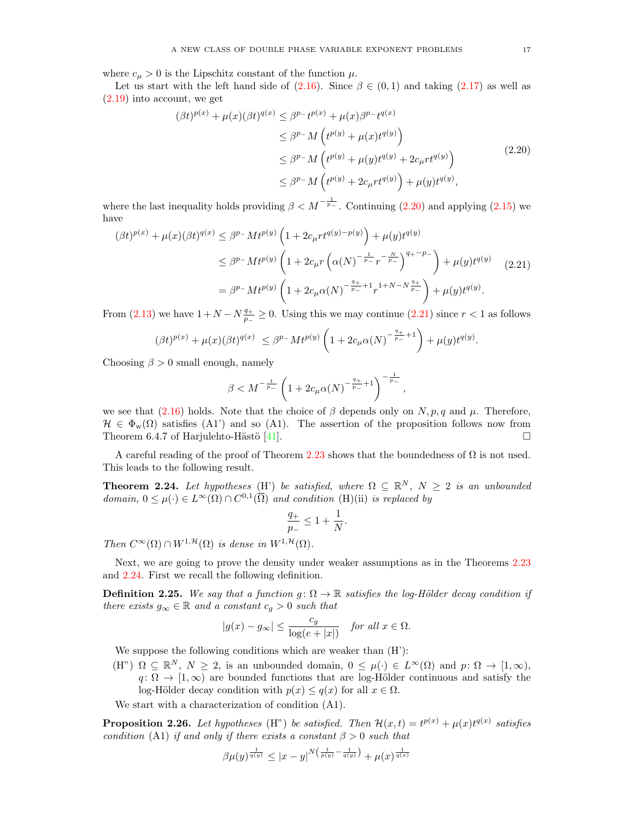where  $c_{\mu} > 0$  is the Lipschitz constant of the function  $\mu$ .

Let us start with the left hand side of [\(2.16\)](#page-15-4). Since  $\beta \in (0,1)$  and taking [\(2.17\)](#page-15-2) as well as [\(2.19\)](#page-15-5) into account, we get

<span id="page-16-1"></span>
$$
(\beta t)^{p(x)} + \mu(x)(\beta t)^{q(x)} \leq \beta^{p} - t^{p(x)} + \mu(x)\beta^{p} - t^{q(x)}
$$
  
\n
$$
\leq \beta^{p} - M \left( t^{p(y)} + \mu(x)t^{q(y)} \right)
$$
  
\n
$$
\leq \beta^{p} - M \left( t^{p(y)} + \mu(y)t^{q(y)} + 2c_{\mu}rt^{q(y)} \right)
$$
  
\n
$$
\leq \beta^{p} - M \left( t^{p(y)} + 2c_{\mu}rt^{q(y)} \right) + \mu(y)t^{q(y)},
$$
\n(2.20)

where the last inequality holds providing  $\beta < M^{-\frac{1}{p_-}}$ . Continuing [\(2.20\)](#page-16-1) and applying [\(2.15\)](#page-15-1) we have

$$
(\beta t)^{p(x)} + \mu(x)(\beta t)^{q(x)} \le \beta^{p_{-}} M t^{p(y)} \left( 1 + 2c_{\mu} r t^{q(y)-p(y)} \right) + \mu(y) t^{q(y)}
$$
  
\n
$$
\le \beta^{p_{-}} M t^{p(y)} \left( 1 + 2c_{\mu} r \left( \alpha(N)^{-\frac{1}{p_{-}}} r^{-\frac{N}{p_{-}}} \right)^{q_{+} - p_{-}} \right) + \mu(y) t^{q(y)} \quad (2.21)
$$
  
\n
$$
= \beta^{p_{-}} M t^{p(y)} \left( 1 + 2c_{\mu} \alpha(N)^{-\frac{q_{+}}{p_{-}}} + 1 r^{1+N-N\frac{q_{+}}{p_{-}}} \right) + \mu(y) t^{q(y)}.
$$

From [\(2.13\)](#page-14-1) we have  $1 + N - N\frac{q_+}{r_+}$  $\frac{q_+}{p_-}$  ≥ 0. Using this we may continue [\(2.21\)](#page-16-2) since  $r < 1$  as follows

$$
(\beta t)^{p(x)} + \mu(x)(\beta t)^{q(x)} \leq \beta^{p-} M t^{p(y)} \left(1 + 2c_{\mu} \alpha(N)^{-\frac{q_+}{p_-}+1}\right) + \mu(y) t^{q(y)}.
$$

Choosing  $\beta > 0$  small enough, namely

<span id="page-16-2"></span>
$$
\beta < M^{-\frac{1}{p_-}} \left( 1 + 2c_\mu \alpha(N)^{-\frac{q_+}{p_-}+1} \right)^{-\frac{1}{p_-}},
$$

we see that [\(2.16\)](#page-15-4) holds. Note that the choice of  $\beta$  depends only on N, p, q and  $\mu$ . Therefore,  $\mathcal{H} \in \Phi_{\rm w}(\Omega)$  satisfies (A1') and so (A1). The assertion of the proposition follows now from Theorem 6.4.7 of Harjulehto-Hästö [\[41\]](#page-30-30).

A careful reading of the proof of Theorem [2.23](#page-14-0) shows that the boundedness of  $\Omega$  is not used. This leads to the following result.

<span id="page-16-0"></span>**Theorem 2.24.** Let hypotheses (H') be satisfied, where  $\Omega \subseteq \mathbb{R}^N$ ,  $N \geq 2$  is an unbounded domain,  $0 \leq \mu(\cdot) \in L^{\infty}(\Omega) \cap C^{0,1}(\overline{\Omega})$  and condition (H)(ii) is replaced by

$$
\frac{q_+}{p_-} \le 1 + \frac{1}{N}.
$$

Then  $C^{\infty}(\Omega) \cap W^{1, \mathcal{H}}(\Omega)$  is dense in  $W^{1, \mathcal{H}}(\Omega)$ .

Next, we are going to prove the density under weaker assumptions as in the Theorems [2.23](#page-14-0) and [2.24.](#page-16-0) First we recall the following definition.

**Definition 2.25.** We say that a function  $g: \Omega \to \mathbb{R}$  satisfies the log-Hölder decay condition if there exists  $g_{\infty} \in \mathbb{R}$  and a constant  $c_g > 0$  such that

$$
|g(x)-g_\infty|\leq \frac{c_g}{\log(e+|x|)}\quad \textit{for all }x\in \Omega.
$$

We suppose the following conditions which are weaker than  $(H')$ :

(H")  $\Omega \subseteq \mathbb{R}^N$ ,  $N \geq 2$ , is an unbounded domain,  $0 \leq \mu(\cdot) \in L^{\infty}(\Omega)$  and  $p: \Omega \to [1, \infty)$ ,  $q: \Omega \to [1,\infty)$  are bounded functions that are log-Hölder continuous and satisfy the log-Hölder decay condition with  $p(x) \leq q(x)$  for all  $x \in \Omega$ .

We start with a characterization of condition (A1).

<span id="page-16-3"></span>**Proposition 2.26.** Let hypotheses (H") be satisfied. Then  $\mathcal{H}(x,t) = t^{p(x)} + \mu(x)t^{q(x)}$  satisfies condition (A1) if and only if there exists a constant  $\beta > 0$  such that

$$
\beta \mu(y)^{\frac{1}{q(y)}} \le |x-y|^{N(\frac{1}{p(y)} - \frac{1}{q(y)})} + \mu(x)^{\frac{1}{q(x)}}
$$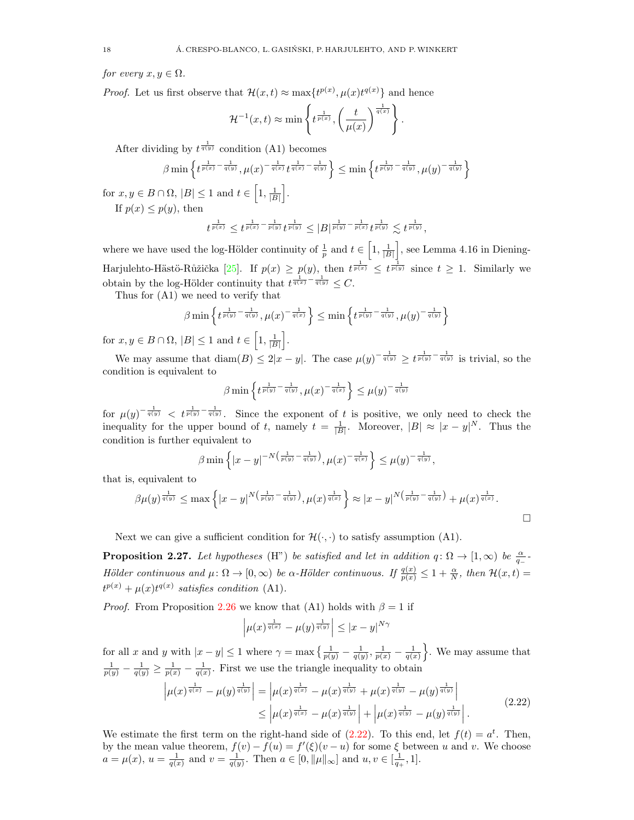for every  $x, y \in \Omega$ .

*Proof.* Let us first observe that  $\mathcal{H}(x,t) \approx \max\{t^{p(x)}, \mu(x)t^{q(x)}\}$  and hence

$$
\mathcal{H}^{-1}(x,t) \approx \min\left\{t^{\frac{1}{p(x)}}, \left(\frac{t}{\mu(x)}\right)^{\frac{1}{q(x)}}\right\}.
$$

After dividing by  $t^{\frac{1}{q(y)}}$  condition (A1) becomes

$$
\beta \min\left\{ t^{\frac{1}{p(x)} - \frac{1}{q(y)}}, \mu(x)^{-\frac{1}{q(x)}} t^{\frac{1}{q(x)} - \frac{1}{q(y)}} \right\} \le \min\left\{ t^{\frac{1}{p(y)} - \frac{1}{q(y)}}, \mu(y)^{-\frac{1}{q(y)}} \right\}
$$

for  $x, y \in B \cap \Omega$ ,  $|B| \leq 1$  and  $t \in \left[1, \frac{1}{|B|}\right]$ . If  $p(x) \leq p(y)$ , then

$$
t^{\frac{1}{p(x)}} \leq t^{\frac{1}{p(x)} - \frac{1}{p(y)}t^{\frac{1}{p(y)}}} \leq |B|^{\frac{1}{p(y)} - \frac{1}{p(x)}t^{\frac{1}{p(y)}}} \lesssim t^{\frac{1}{p(y)}},
$$

where we have used the log-Hölder continuity of  $\frac{1}{p}$  and  $t \in \left[1, \frac{1}{|B|}\right]$ , see Lemma 4.16 in Diening-Harjulehto-Hästö-Růžička [\[25\]](#page-30-22). If  $p(x) \geq p(y)$ , then  $t^{\frac{1}{p(x)}} \leq t^{\frac{1}{p(y)}}$  since  $t \geq 1$ . Similarly we obtain by the log-Hölder continuity that  $t^{\frac{1}{q(x)} - \frac{1}{q(y)}} \leq C$ .

Thus for (A1) we need to verify that

$$
\beta \min \left\{ t^{\frac{1}{p(y)} - \frac{1}{q(y)}}, \mu(x)^{-\frac{1}{q(x)}} \right\} \le \min \left\{ t^{\frac{1}{p(y)} - \frac{1}{q(y)}}, \mu(y)^{-\frac{1}{q(y)}} \right\}
$$

for  $x, y \in B \cap \Omega$ ,  $|B| \leq 1$  and  $t \in \left[1, \frac{1}{|B|}\right]$ .

We may assume that  $\text{diam}(B) \leq 2|x-y|$ . The case  $\mu(y)^{-\frac{1}{q(y)}} \geq t^{\frac{1}{p(y)} - \frac{1}{q(y)}}$  is trivial, so the condition is equivalent to

$$
\beta \min \left\{ t^{\frac{1}{p(y)} - \frac{1}{q(y)}}, \mu(x)^{-\frac{1}{q(x)}} \right\} \leq \mu(y)^{-\frac{1}{q(y)}}
$$

for  $\mu(y)^{-\frac{1}{q(y)}} < t^{\frac{1}{p(y)}-\frac{1}{q(y)}}$ . Since the exponent of t is positive, we only need to check the inequality for the upper bound of t, namely  $t = \frac{1}{|B|}$ . Moreover,  $|B| \approx |x - y|^N$ . Thus the condition is further equivalent to

$$
\beta \min \left\{ |x - y|^{-N\left(\frac{1}{p(y)} - \frac{1}{q(y)}\right)}, \mu(x)^{-\frac{1}{q(x)}} \right\} \le \mu(y)^{-\frac{1}{q(y)}},
$$

that is, equivalent to

$$
\beta \mu(y)^{\frac{1}{q(y)}} \leq \max \left\{ |x-y|^{N(\frac{1}{p(y)} - \frac{1}{q(y)})}, \mu(x)^{\frac{1}{q(x)}} \right\} \approx |x-y|^{N(\frac{1}{p(y)} - \frac{1}{q(y)})} + \mu(x)^{\frac{1}{q(x)}}.
$$

Next we can give a sufficient condition for  $\mathcal{H}(\cdot, \cdot)$  to satisfy assumption (A1).

<span id="page-17-1"></span>**Proposition 2.27.** Let hypotheses (H") be satisfied and let in addition  $q: \Omega \to [1,\infty)$  be  $\frac{\alpha}{q_-}$ Hölder continuous and  $\mu \colon \Omega \to [0, \infty)$  be  $\alpha$ -Hölder continuous. If  $\frac{q(x)}{p(x)} \leq 1 + \frac{\alpha}{N}$ , then  $\mathcal{H}(x, t) =$  $t^{p(x)} + \mu(x)t^{q(x)}$  satisfies condition (A1).

*Proof.* From Proposition [2.26](#page-16-3) we know that (A1) holds with  $\beta = 1$  if

<span id="page-17-0"></span>
$$
\left|\mu(x)^{\frac{1}{q(x)}} - \mu(y)^{\frac{1}{q(y)}}\right| \leq |x-y|^{N\gamma}
$$

for all x and y with  $|x-y| \leq 1$  where  $\gamma = \max\left\{\frac{1}{p(y)} - \frac{1}{q(y)}, \frac{1}{p(x)} - \frac{1}{q(x)}\right\}$ . We may assume that  $\frac{1}{p(y)} - \frac{1}{q(y)} \ge \frac{1}{p(x)} - \frac{1}{q(x)}$ . First we use the triangle inequality to obtain

$$
\left| \mu(x)^{\frac{1}{q(x)}} - \mu(y)^{\frac{1}{q(y)}} \right| = \left| \mu(x)^{\frac{1}{q(x)}} - \mu(x)^{\frac{1}{q(y)}} + \mu(x)^{\frac{1}{q(y)}} - \mu(y)^{\frac{1}{q(y)}} \right|
$$
  
 
$$
\leq \left| \mu(x)^{\frac{1}{q(x)}} - \mu(x)^{\frac{1}{q(y)}} \right| + \left| \mu(x)^{\frac{1}{q(y)}} - \mu(y)^{\frac{1}{q(y)}} \right|.
$$
 (2.22)

We estimate the first term on the right-hand side of  $(2.22)$ . To this end, let  $f(t) = a^t$ . Then, by the mean value theorem,  $f(v) - f(u) = f'(\xi)(v - u)$  for some  $\xi$  between u and v. We choose  $a = \mu(x), u = \frac{1}{q(x)}$  and  $v = \frac{1}{q(y)}$ . Then  $a \in [0, ||\mu||_{\infty}]$  and  $u, v \in [\frac{1}{q_+}, 1]$ .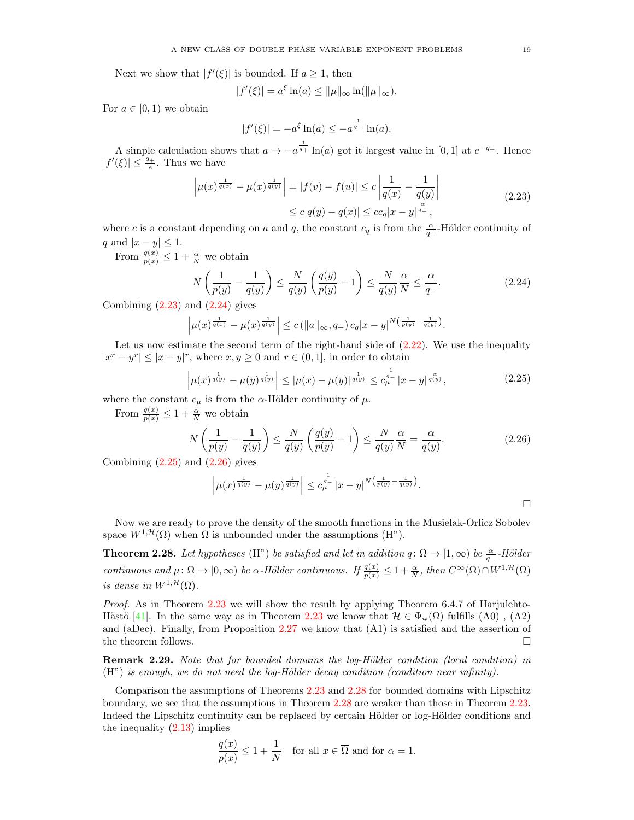Next we show that  $|f'(\xi)|$  is bounded. If  $a \geq 1$ , then

$$
|f'(\xi)| = a^{\xi} \ln(a) \le ||\mu||_{\infty} \ln(||\mu||_{\infty}).
$$

For  $a \in [0, 1)$  we obtain

<span id="page-18-2"></span><span id="page-18-1"></span>
$$
|f'(\xi)| = -a^{\xi} \ln(a) \le -a^{\frac{1}{q_+}} \ln(a).
$$

A simple calculation shows that  $a \mapsto -a^{\frac{1}{q_+}} \ln(a)$  got it largest value in [0, 1] at  $e^{-q_+}$ . Hence  $|f'(\xi)| \leq \frac{q_+}{e}$ . Thus we have

$$
\left| \mu(x)^{\frac{1}{q(x)}} - \mu(x)^{\frac{1}{q(y)}} \right| = |f(v) - f(u)| \leq c \left| \frac{1}{q(x)} - \frac{1}{q(y)} \right|
$$
  
 
$$
\leq c|q(y) - q(x)| \leq cc_q |x - y|^{\frac{\alpha}{q_-}},
$$
 (2.23)

where c is a constant depending on a and q, the constant  $c_q$  is from the  $\frac{\alpha}{q_-}$ -Hölder continuity of q and  $|x-y| \leq 1$ .

From  $\frac{q(x)}{p(x)} \leq 1 + \frac{\alpha}{N}$  we obtain

$$
N\left(\frac{1}{p(y)} - \frac{1}{q(y)}\right) \le \frac{N}{q(y)}\left(\frac{q(y)}{p(y)} - 1\right) \le \frac{N}{q(y)}\frac{\alpha}{N} \le \frac{\alpha}{q_{-}}.\tag{2.24}
$$

Combining  $(2.23)$  and  $(2.24)$  gives

$$
\left|\mu(x)^{\frac{1}{q(x)}}-\mu(x)^{\frac{1}{q(y)}}\right|\le c \left(\|a\|_{\infty},q_{+}\right)c_{q}|x-y|^{N\left(\frac{1}{p(y)}-\frac{1}{q(y)}\right)}.
$$

Let us now estimate the second term of the right-hand side of  $(2.22)$ . We use the inequality  $|x^r - y^r| \le |x - y|^r$ , where  $x, y \ge 0$  and  $r \in (0, 1]$ , in order to obtain

$$
\left|\mu(x)^{\frac{1}{q(y)}} - \mu(y)^{\frac{1}{q(y)}}\right| \le |\mu(x) - \mu(y)|^{\frac{1}{q(y)}} \le c_{\mu}^{\frac{1}{q_{-}}}|x - y|^{\frac{\alpha}{q(y)}},\tag{2.25}
$$

where the constant  $c_{\mu}$  is from the  $\alpha$ -Hölder continuity of  $\mu$ .

From  $\frac{q(x)}{p(x)} \leq 1 + \frac{\alpha}{N}$  we obtain

$$
N\left(\frac{1}{p(y)} - \frac{1}{q(y)}\right) \le \frac{N}{q(y)}\left(\frac{q(y)}{p(y)} - 1\right) \le \frac{N}{q(y)}\frac{\alpha}{N} = \frac{\alpha}{q(y)}.
$$
\n(2.26)

Combining  $(2.25)$  and  $(2.26)$  gives

<span id="page-18-4"></span><span id="page-18-3"></span>
$$
\left|\mu(x)^{\frac{1}{q(y)}} - \mu(y)^{\frac{1}{q(y)}}\right| \leq c_{\mu}^{\frac{1}{q_{-}}}|x-y|^{N\left(\frac{1}{p(y)} - \frac{1}{q(y)}\right)}.
$$

Now we are ready to prove the density of the smooth functions in the Musielak-Orlicz Sobolev space  $W^{1,\mathcal{H}}(\Omega)$  when  $\Omega$  is unbounded under the assumptions (H").

<span id="page-18-0"></span>**Theorem 2.28.** Let hypotheses (H") be satisfied and let in addition  $q: \Omega \to [1,\infty)$  be  $\frac{\alpha}{q_-}$ -Hölder continuous and  $\mu: \Omega \to [0, \infty)$  be  $\alpha$ -Hölder continuous. If  $\frac{q(x)}{p(x)} \leq 1 + \frac{\alpha}{N}$ , then  $C^{\infty}(\Omega) \cap W^{1, \mathcal{H}}(\Omega)$ is dense in  $W^{1,\mathcal{H}}(\Omega)$ .

Proof. As in Theorem [2.23](#page-14-0) we will show the result by applying Theorem 6.4.7 of Harjulehto-Hästö [\[41\]](#page-30-30). In the same way as in Theorem [2.23](#page-14-0) we know that  $\mathcal{H} \in \Phi_w(\Omega)$  fulfills (A0), (A2) and (aDec). Finally, from Proposition [2.27](#page-17-1) we know that (A1) is satisfied and the assertion of the theorem follows.  $\Box$ 

Remark 2.29. Note that for bounded domains the log-Hölder condition (local condition) in  $(H'')$  is enough, we do not need the log-Hölder decay condition (condition near infinity).

Comparison the assumptions of Theorems [2.23](#page-14-0) and [2.28](#page-18-0) for bounded domains with Lipschitz boundary, we see that the assumptions in Theorem [2.28](#page-18-0) are weaker than those in Theorem [2.23.](#page-14-0) Indeed the Lipschitz continuity can be replaced by certain Hölder or log-Hölder conditions and the inequality [\(2.13\)](#page-14-1) implies

$$
\frac{q(x)}{p(x)} \le 1 + \frac{1}{N} \quad \text{for all } x \in \overline{\Omega} \text{ and for } \alpha = 1.
$$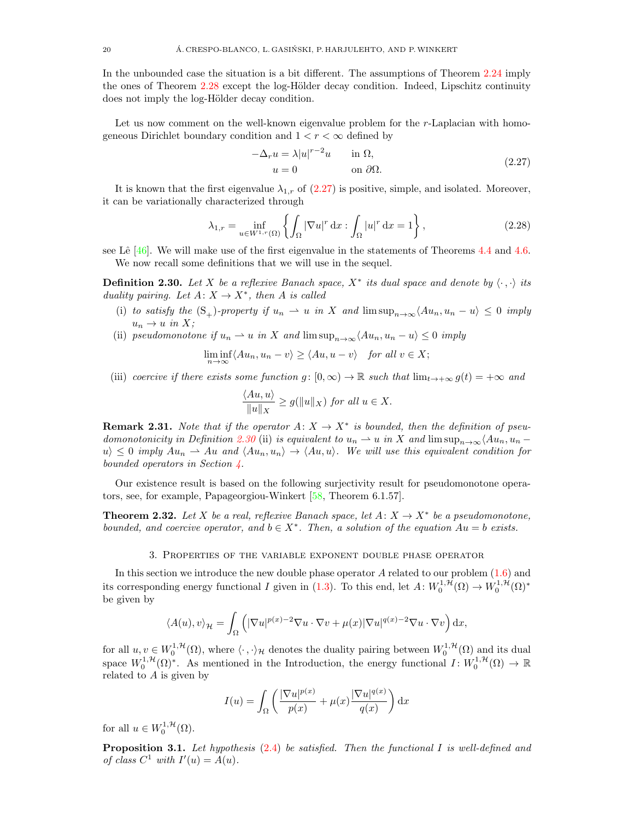In the unbounded case the situation is a bit different. The assumptions of Theorem [2.24](#page-16-0) imply the ones of Theorem [2.28](#page-18-0) except the log-Hölder decay condition. Indeed, Lipschitz continuity does not imply the log-Hölder decay condition.

Let us now comment on the well-known eigenvalue problem for the r-Laplacian with homogeneous Dirichlet boundary condition and  $1 < r < \infty$  defined by

<span id="page-19-6"></span><span id="page-19-1"></span>
$$
-\Delta_r u = \lambda |u|^{r-2}u \quad \text{in } \Omega,
$$
  
 
$$
u = 0 \quad \text{on } \partial\Omega.
$$
 (2.27)

It is known that the first eigenvalue  $\lambda_{1,r}$  of [\(2.27\)](#page-19-1) is positive, simple, and isolated. Moreover, it can be variationally characterized through

$$
\lambda_{1,r} = \inf_{u \in W^{1,r}(\Omega)} \left\{ \int_{\Omega} |\nabla u|^r \, \mathrm{d}x : \int_{\Omega} |u|^r \, \mathrm{d}x = 1 \right\},\tag{2.28}
$$

see Lê  $[46]$ . We will make use of the first eigenvalue in the statements of Theorems [4.4](#page-27-0) and [4.6.](#page-28-0) We now recall some definitions that we will use in the sequel.

<span id="page-19-2"></span>**Definition 2.30.** Let X be a reflexive Banach space,  $X^*$  its dual space and denote by  $\langle \cdot, \cdot \rangle$  its duality pairing. Let  $A: X \to X^*$ , then A is called

- (i) to satisfy the  $(S_+)$ -property if  $u_n \rightharpoonup u$  in X and  $\limsup_{n\to\infty} \langle Au_n, u_n u \rangle \leq 0$  imply  $u_n \to u$  in X;
- (ii) pseudomonotone if  $u_n \rightharpoonup u$  in X and  $\limsup_{n\to\infty}$   $\langle Au_n, u_n u \rangle \leq 0$  imply

$$
\liminf_{n \to \infty} \langle Au_n, u_n - v \rangle \ge \langle Au, u - v \rangle \quad \text{for all } v \in X;
$$

(iii) coercive if there exists some function  $g: [0, \infty) \to \mathbb{R}$  such that  $\lim_{t \to +\infty} g(t) = +\infty$  and

$$
\frac{\langle Au, u \rangle}{\|u\|_X} \ge g(\|u\|_X) \text{ for all } u \in X.
$$

<span id="page-19-5"></span>**Remark 2.31.** Note that if the operator  $A: X \to X^*$  is bounded, then the definition of pseu-domonotonicity in Definition [2.30](#page-19-2) (ii) is equivalent to  $u_n \rightharpoonup u$  in X and  $\limsup_{n\to\infty} \langle Au_n, u_n$  $u \geq 0$  imply  $Au_n \rightharpoonup Au$  and  $\langle Au_n, u_n \rangle \rightarrow \langle Au, u \rangle$ . We will use this equivalent condition for bounded operators in Section [4.](#page-26-0)

Our existence result is based on the following surjectivity result for pseudomonotone operators, see, for example, Papageorgiou-Winkert [\[58,](#page-31-11) Theorem 6.1.57].

<span id="page-19-4"></span>**Theorem 2.32.** Let X be a real, reflexive Banach space, let  $A: X \to X^*$  be a pseudomonotone, bounded, and coercive operator, and  $b \in X^*$ . Then, a solution of the equation  $Au = b$  exists.

#### 3. Properties of the variable exponent double phase operator

<span id="page-19-0"></span>In this section we introduce the new double phase operator A related to our problem [\(1.6\)](#page-1-2) and its corresponding energy functional I given in [\(1.3\)](#page-0-1). To this end, let  $A: W_0^{1, H}(\Omega) \to W_0^{1, H}(\Omega)^*$ be given by

$$
\langle A(u), v \rangle_{\mathcal{H}} = \int_{\Omega} \left( |\nabla u|^{p(x)-2} \nabla u \cdot \nabla v + \mu(x) |\nabla u|^{q(x)-2} \nabla u \cdot \nabla v \right) dx,
$$

for all  $u, v \in W_0^{1, H}(\Omega)$ , where  $\langle \cdot, \cdot \rangle_H$  denotes the duality pairing between  $W_0^{1, H}(\Omega)$  and its dual space  $W_0^{1,\mathcal{H}}(\Omega)^*$ . As mentioned in the Introduction, the energy functional  $I: W_0^{1,\mathcal{H}}(\Omega) \to \mathbb{R}$ related to  $A$  is given by

$$
I(u) = \int_{\Omega} \left( \frac{|\nabla u|^{p(x)}}{p(x)} + \mu(x) \frac{|\nabla u|^{q(x)}}{q(x)} \right) dx
$$

for all  $u \in W_0^{1, \mathcal{H}}(\Omega)$ .

<span id="page-19-3"></span>**Proposition 3.1.** Let hypothesis  $(2.4)$  be satisfied. Then the functional I is well-defined and of class  $C^1$  with  $I'(u) = A(u)$ .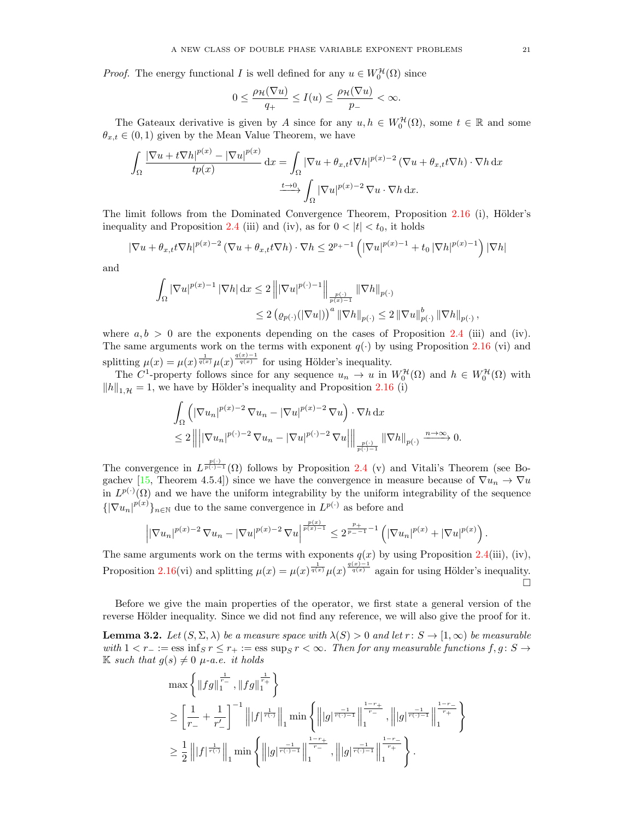*Proof.* The energy functional I is well defined for any  $u \in W_0^{\mathcal{H}}(\Omega)$  since

$$
0\leq \frac{\rho_{\mathcal{H}}(\nabla u)}{q_+}\leq I(u)\leq \frac{\rho_{\mathcal{H}}(\nabla u)}{p_-}<\infty.
$$

The Gateaux derivative is given by A since for any  $u, h \in W_0^{\mathcal{H}}(\Omega)$ , some  $t \in \mathbb{R}$  and some  $\theta_{x,t} \in (0,1)$  given by the Mean Value Theorem, we have

$$
\int_{\Omega} \frac{|\nabla u + t \nabla h|^{p(x)} - |\nabla u|^{p(x)}}{tp(x)} dx = \int_{\Omega} |\nabla u + \theta_{x,t} t \nabla h|^{p(x)-2} (\nabla u + \theta_{x,t} t \nabla h) \cdot \nabla h dx
$$

$$
\xrightarrow{t \to 0} \int_{\Omega} |\nabla u|^{p(x)-2} \nabla u \cdot \nabla h dx.
$$

The limit follows from the Dominated Convergence Theorem, Proposition [2.16](#page-9-0) (i), Hölder's inequality and Proposition [2.4](#page-5-1) (iii) and (iv), as for  $0 < |t| < t_0$ , it holds

$$
|\nabla u + \theta_{x,t} t \nabla h|^{p(x)-2} \left( \nabla u + \theta_{x,t} t \nabla h \right) \cdot \nabla h \le 2^{p+1} \left( |\nabla u|^{p(x)-1} + t_0 |\nabla h|^{p(x)-1} \right) |\nabla h|
$$

and

$$
\int_{\Omega} |\nabla u|^{p(x)-1} |\nabla h| dx \le 2 \left\| |\nabla u|^{p(\cdot)-1} \right\|_{\frac{p(\cdot)}{p(x)-1}} \|\nabla h\|_{p(\cdot)} \n\le 2 \left( \varrho_{p(\cdot)}(|\nabla u|) \right)^a \|\nabla h\|_{p(\cdot)} \le 2 \left\| \nabla u \right\|_{p(\cdot)}^b \|\nabla h\|_{p(\cdot)},
$$

where  $a, b > 0$  are the exponents depending on the cases of Proposition [2.4](#page-5-1) (iii) and (iv). The same arguments work on the terms with exponent  $q(\cdot)$  by using Proposition [2.16](#page-9-0) (vi) and splitting  $\mu(x) = \mu(x)^{\frac{1}{q(x)}} \mu(x)^{\frac{q(x)-1}{q(x)}}$  for using Hölder's inequality.

The C<sup>1</sup>-property follows since for any sequence  $u_n \to u$  in  $W_0^{\mathcal{H}}(\Omega)$  and  $h \in W_0^{\mathcal{H}}(\Omega)$  with  $||h||_{1,\mathcal{H}} = 1$ , we have by Hölder's inequality and Proposition [2.16](#page-9-0) (i)

$$
\begin{split} &\int_{\Omega} \left( |\nabla u_n|^{p(x)-2} \, \nabla u_n - |\nabla u|^{p(x)-2} \, \nabla u \right) \cdot \nabla h \, \mathrm{d}x \\ &\leq 2 \left\| \left| |\nabla u_n|^{p(\cdot)-2} \, \nabla u_n - |\nabla u|^{p(\cdot)-2} \, \nabla u \right| \right\|_{\frac{p(\cdot)}{p(\cdot)-1}} \|\nabla h\|_{p(\cdot)} \xrightarrow{n \to \infty} 0. \end{split}
$$

The convergence in  $L^{\frac{p(\cdot)}{p(\cdot)-1}}(\Omega)$  follows by Proposition [2.4](#page-5-1) (v) and Vitali's Theorem (see Bo-gachev [\[15,](#page-29-18) Theorem 4.5.4]) since we have the convergence in measure because of  $\nabla u_n \to \nabla u$ in  $L^{p(\cdot)}(\Omega)$  and we have the uniform integrability by the uniform integrability of the sequence  ${\lbrace |\nabla u_n|^{p(x)} \rbrace_{n \in \mathbb{N}}}$  due to the same convergence in  $L^{p(\cdot)}$  as before and

$$
\left| |\nabla u_n|^{p(x)-2} \nabla u_n - |\nabla u|^{p(x)-2} \nabla u \right|^{\frac{p(x)}{p(x)-1}} \leq 2^{\frac{p_+}{p_- - 1} - 1} \left( |\nabla u_n|^{p(x)} + |\nabla u|^{p(x)} \right).
$$

The same arguments work on the terms with exponents  $q(x)$  by using Proposition [2.4\(](#page-5-1)iii), (iv), Proposition [2.16\(](#page-9-0)vi) and splitting  $\mu(x) = \mu(x)^{\frac{1}{q(x)}} \mu(x)^{\frac{q(x)-1}{q(x)}}$  again for using Hölder's inequality.  $\Box$ 

Before we give the main properties of the operator, we first state a general version of the reverse Hölder inequality. Since we did not find any reference, we will also give the proof for it.

<span id="page-20-0"></span>**Lemma 3.2.** Let  $(S, \Sigma, \lambda)$  be a measure space with  $\lambda(S) > 0$  and let  $r : S \to [1, \infty)$  be measurable with  $1 < r_ - := \text{ess inf}_{S} r \leq r_ + := \text{ess sup}_{S} r < \infty$ . Then for any measurable functions  $f, g \colon S \to$ K such that  $g(s) \neq 0$   $\mu$ -a.e. it holds

$$
\max\left\{\left\|fg\right\|_{1}^{\frac{1}{r_{-}}},\left\|fg\right\|_{1}^{\frac{1}{r_{+}}}\right\}
$$
\n
$$
\geq \left[\frac{1}{r_{-}}+\frac{1}{r'_{-}}\right]^{-1}\left\|f\right\|_{1}^{\frac{1}{r\left(\cdot\right)}}\right\|_{1}\min\left\{\left\|g\right\|_{\frac{r\left(\cdot\right)-1}{r_{-}}}\right\|_{1}^{\frac{1-r_{+}}{r_{-}}},\left\|g\right\|_{\frac{r\left(\cdot\right)-1}{r_{+}}}\right\|_{1}^{\frac{1-r_{-}}{r_{+}}}\right\}
$$
\n
$$
\geq \frac{1}{2}\left\|f\right|_{\frac{r\left(\cdot\right)}{r\left(\cdot\right)}}\right\|_{1}\min\left\{\left\|g\right\|_{\frac{r\left(\cdot\right)-1}{r_{-}}}\right\|_{1}^{\frac{1-r_{+}}{r_{-}}},\left\|g\right\|_{\frac{r\left(\cdot\right)-1}{r_{+}}}\right\|_{1}^{\frac{1-r_{-}}{r_{+}}}\right\}.
$$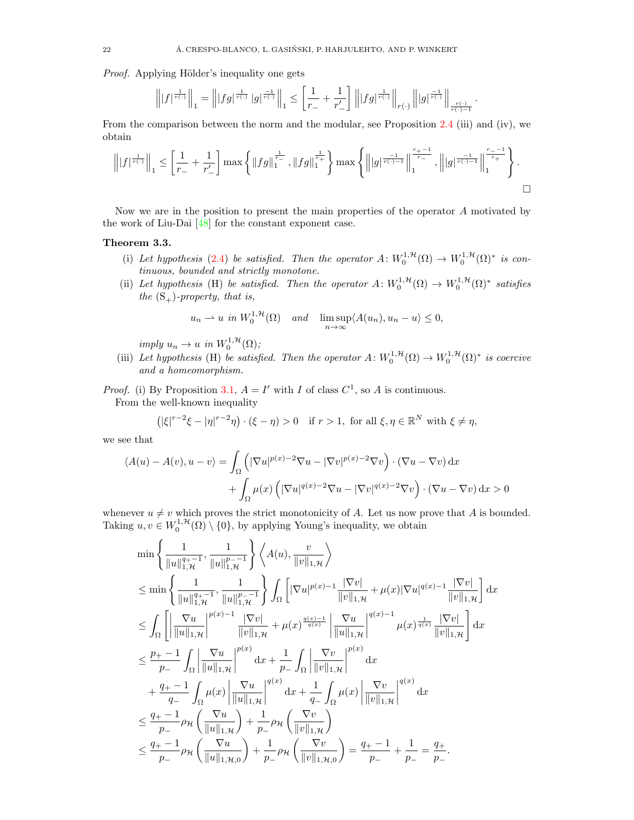Proof. Applying Hölder's inequality one gets

$$
\left\||f|^{\frac{1}{r(\cdot)}}\right\|_1 = \left\||fg|^{\frac{1}{r(\cdot)}}\,|g|^{\frac{-1}{r(\cdot)}}\right\|_1 \le \left[\frac{1}{r_-} + \frac{1}{r'_-}\right] \left\||fg|^{\frac{1}{r(\cdot)}}\right\|_{r(\cdot)} \left\||g|^{\frac{-1}{r(\cdot)}}\right\|_{\frac{r(\cdot)}{r(\cdot)-1}}
$$

.

From the comparison between the norm and the modular, see Proposition [2.4](#page-5-1) (iii) and (iv), we obtain

$$
\left\||f|^{\frac{1}{r(\cdot)}}\right\|_{1} \leq \left[\frac{1}{r_{-}} + \frac{1}{r'_{-}}\right] \max\left\{ \left\|fg\right\|_{1}^{\frac{1}{r_{-}}}, \left\|fg\right\|_{1}^{\frac{1}{r_{+}}}\right\} \max\left\{\left\||g|^{\frac{-1}{r(\cdot)-1}}\right\|_{1}^{\frac{r_{+}-1}{r_{-}}}, \left\||g|^{\frac{-1}{r(\cdot)-1}}\right\|_{1}^{\frac{r_{-}-1}{r_{+}}}\right\}.
$$

Now we are in the position to present the main properties of the operator A motivated by the work of Liu-Dai [\[48\]](#page-30-10) for the constant exponent case.

# <span id="page-21-0"></span>Theorem 3.3.

- (i) Let hypothesis [\(2.4\)](#page-6-2) be satisfied. Then the operator  $A: W_0^{1,\mathcal{H}}(\Omega) \to W_0^{1,\mathcal{H}}(\Omega)^*$  is continuous, bounded and strictly monotone.
- (ii) Let hypothesis (H) be satisfied. Then the operator  $A: W_0^{1, H}(\Omega) \to W_0^{1, H}(\Omega)^*$  satisfies the  $(S_+)$ -property, that is,

$$
u_n \rightharpoonup u \text{ in } W_0^{1,\mathcal{H}}(\Omega) \quad \text{and} \quad \limsup_{n \to \infty} \langle A(u_n), u_n - u \rangle \le 0,
$$

imply  $u_n \to u$  in  $W_0^{1,\mathcal{H}}(\Omega)$ ;

(iii) Let hypothesis (H) be satisfied. Then the operator  $A: W_0^{1, H}(\Omega) \to W_0^{1, H}(\Omega)^*$  is coercive and a homeomorphism.

*Proof.* (i) By Proposition [3.1,](#page-19-3)  $A = I'$  with I of class  $C^1$ , so A is continuous. From the well-known inequality

$$
(|\xi|^{r-2}\xi - |\eta|^{r-2}\eta) \cdot (\xi - \eta) > 0 \quad \text{if } r > 1, \text{ for all } \xi, \eta \in \mathbb{R}^N \text{ with } \xi \neq \eta,
$$

we see that

$$
\langle A(u) - A(v), u - v \rangle = \int_{\Omega} \left( |\nabla u|^{p(x)-2} \nabla u - |\nabla v|^{p(x)-2} \nabla v \right) \cdot (\nabla u - \nabla v) \, dx + \int_{\Omega} \mu(x) \left( |\nabla u|^{q(x)-2} \nabla u - |\nabla v|^{q(x)-2} \nabla v \right) \cdot (\nabla u - \nabla v) \, dx > 0
$$

whenever  $u \neq v$  which proves the strict monotonicity of A. Let us now prove that A is bounded. Taking  $u, v \in W_0^{1, H}(\Omega) \setminus \{0\}$ , by applying Young's inequality, we obtain

$$
\min\left\{\frac{1}{\|u\|_{1,\mathcal{H}}^{q_{+-}1}},\frac{1}{\|u\|_{1,\mathcal{H}}^{p_{--}1}}\right\} \left\langle A(u),\frac{v}{\|v\|_{1,\mathcal{H}}}\right\rangle
$$
\n
$$
\leq \min\left\{\frac{1}{\|u\|_{1,\mathcal{H}}^{q_{+-}1}},\frac{1}{\|u\|_{1,\mathcal{H}}^{p_{--}1}}\right\} \int_{\Omega} \left[|\nabla u|^{p(x)-1} \frac{|\nabla v|}{\|v\|_{1,\mathcal{H}}} + \mu(x)|\nabla u|^{q(x)-1} \frac{|\nabla v|}{\|v\|_{1,\mathcal{H}}}\right] dx
$$
\n
$$
\leq \int_{\Omega} \left[\left|\frac{\nabla u}{\|u\|_{1,\mathcal{H}}}\right|^{p(x)-1} \frac{|\nabla v|}{\|v\|_{1,\mathcal{H}}} + \mu(x)^{\frac{q(x)-1}{q(x)}} \left|\frac{\nabla u}{\|u\|_{1,\mathcal{H}}}\right|^{q(x)-1} \mu(x)^{\frac{1}{q(x)}} \frac{|\nabla v|}{\|v\|_{1,\mathcal{H}}}\right] dx
$$
\n
$$
\leq \frac{p_{+-}-1}{p_{--}} \int_{\Omega} \left|\frac{\nabla u}{\|u\|_{1,\mathcal{H}}}\right|^{p(x)} dx + \frac{1}{p_{--}} \int_{\Omega} \left|\frac{\nabla v}{\|v\|_{1,\mathcal{H}}}\right|^{p(x)} dx
$$
\n
$$
+ \frac{q_{+-}-1}{q_{--}} \int_{\Omega} \mu(x) \left|\frac{\nabla u}{\|u\|_{1,\mathcal{H}}}\right|^{q(x)} dx + \frac{1}{q_{--}} \int_{\Omega} \mu(x) \left|\frac{\nabla v}{\|v\|_{1,\mathcal{H}}}\right|^{q(x)} dx
$$
\n
$$
\leq \frac{q_{+-}-1}{p_{--}} \rho_{\mathcal{H}} \left(\frac{\nabla u}{\|u\|_{1,\mathcal{H}}}\right) + \frac{1}{p_{--}} \rho_{\mathcal{H}} \left(\frac{\nabla v}{\|v\|_{1,\mathcal{H}}}\right)
$$
\n
$$
\leq \frac{q_{+-}-1}{p
$$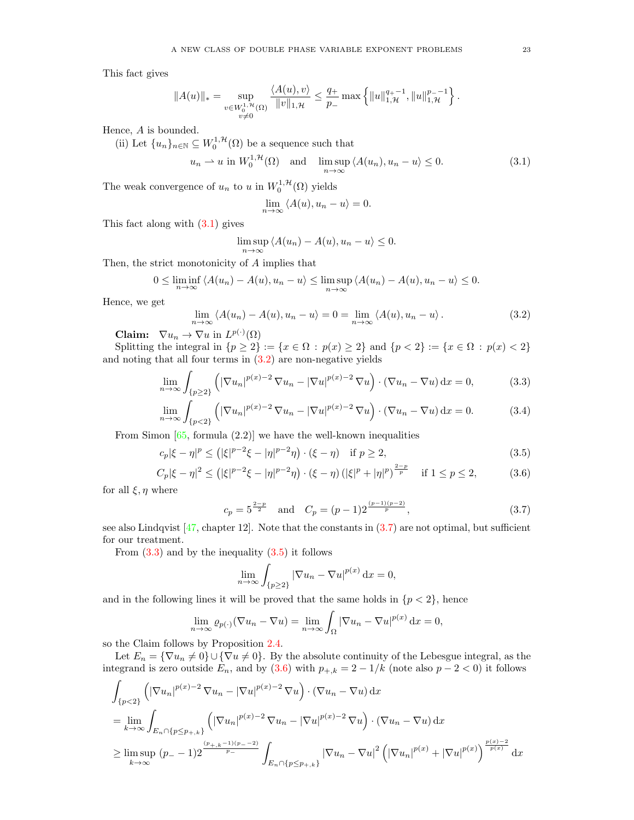This fact gives

$$
||A(u)||_* = \sup_{\substack{v \in W_0^{1,\mathcal{H}}(\Omega) \\ v \neq 0}} \frac{\langle A(u), v \rangle}{||v||_{1,\mathcal{H}}} \le \frac{q_+}{p_-} \max \left\{ ||u||_{1,\mathcal{H}}^{q_+-1}, ||u||_{1,\mathcal{H}}^{p_--1} \right\}.
$$

Hence, A is bounded.

(ii) Let  $\{u_n\}_{n\in\mathbb{N}}\subseteq W_0^{1,\mathcal{H}}(\Omega)$  be a sequence such that

$$
u_n \rightharpoonup u \text{ in } W_0^{1,\mathcal{H}}(\Omega) \quad \text{and} \quad \limsup_{n \to \infty} \langle A(u_n), u_n - u \rangle \le 0. \tag{3.1}
$$

The weak convergence of  $u_n$  to u in  $W_0^{1,\mathcal{H}}(\Omega)$  yields

<span id="page-22-3"></span><span id="page-22-0"></span>
$$
\lim_{n \to \infty} \langle A(u), u_n - u \rangle = 0.
$$

This fact along with [\(3.1\)](#page-22-0) gives

$$
\limsup_{n \to \infty} \langle A(u_n) - A(u), u_n - u \rangle \le 0.
$$

Then, the strict monotonicity of A implies that

$$
0 \leq \liminf_{n \to \infty} \langle A(u_n) - A(u), u_n - u \rangle \leq \limsup_{n \to \infty} \langle A(u_n) - A(u), u_n - u \rangle \leq 0.
$$

Hence, we get

<span id="page-22-1"></span>
$$
\lim_{n \to \infty} \langle A(u_n) - A(u), u_n - u \rangle = 0 = \lim_{n \to \infty} \langle A(u), u_n - u \rangle.
$$
 (3.2)

**Claim:**  $\nabla u_n \to \nabla u$  in  $L^{p(\cdot)}(\Omega)$ 

Splitting the integral in  $\{p \ge 2\} := \{x \in \Omega : p(x) \ge 2\}$  and  $\{p < 2\} := \{x \in \Omega : p(x) < 2\}$ and noting that all four terms in [\(3.2\)](#page-22-1) are non-negative yields

$$
\lim_{n \to \infty} \int_{\{p \ge 2\}} \left( |\nabla u_n|^{p(x)-2} \nabla u_n - |\nabla u|^{p(x)-2} \nabla u \right) \cdot \left( \nabla u_n - \nabla u \right) dx = 0,
$$
\n(3.3)

$$
\lim_{n \to \infty} \int_{\{p < 2\}} \left( |\nabla u_n|^{p(x)-2} \nabla u_n - |\nabla u|^{p(x)-2} \nabla u \right) \cdot \left( \nabla u_n - \nabla u \right) \mathrm{d}x = 0. \tag{3.4}
$$

From Simon  $[65,$  formula  $(2.2)$ ] we have the well-known inequalities

$$
c_p|\xi - \eta|^p \le (|\xi|^{p-2}\xi - |\eta|^{p-2}\eta) \cdot (\xi - \eta) \quad \text{if } p \ge 2,
$$
\n(3.5)

$$
C_p|\xi - \eta|^2 \le (|\xi|^{p-2}\xi - |\eta|^{p-2}\eta) \cdot (\xi - \eta) (|\xi|^p + |\eta|^p)^{\frac{2-p}{p}} \quad \text{if } 1 \le p \le 2,
$$
 (3.6)

for all  $\xi, \eta$  where

<span id="page-22-6"></span><span id="page-22-4"></span>
$$
c_p = 5^{\frac{2-p}{2}} \quad \text{and} \quad C_p = (p-1)2^{\frac{(p-1)(p-2)}{p}}, \tag{3.7}
$$

see also Lindqvist  $[47,$  chapter 12. Note that the constants in  $(3.7)$  are not optimal, but sufficient for our treatment.

From  $(3.3)$  and by the inequality  $(3.5)$  it follows

<span id="page-22-5"></span><span id="page-22-2"></span>
$$
\lim_{n \to \infty} \int_{\{p \ge 2\}} |\nabla u_n - \nabla u|^{p(x)} \, \mathrm{d}x = 0,
$$

and in the following lines it will be proved that the same holds in  ${p < 2}$ , hence

$$
\lim_{n \to \infty} \varrho_{p(\cdot)}(\nabla u_n - \nabla u) = \lim_{n \to \infty} \int_{\Omega} |\nabla u_n - \nabla u|^{p(x)} \, \mathrm{d}x = 0,
$$

so the Claim follows by Proposition [2.4.](#page-5-1)

Let  $E_n = \{\nabla u_n \neq 0\} \cup \{\nabla u \neq 0\}$ . By the absolute continuity of the Lebesgue integral, as the integrand is zero outside  $E_n$ , and by  $(3.6)$  with  $p_{+,k} = 2 - 1/k$  (note also  $p - 2 < 0$ ) it follows

$$
\int_{\{p<2\}} \left( |\nabla u_n|^{p(x)-2} \nabla u_n - |\nabla u|^{p(x)-2} \nabla u \right) \cdot (\nabla u_n - \nabla u) \, dx
$$
\n
$$
= \lim_{k \to \infty} \int_{E_n \cap \{p \le p_{+,k}\}} \left( |\nabla u_n|^{p(x)-2} \nabla u_n - |\nabla u|^{p(x)-2} \nabla u \right) \cdot (\nabla u_n - \nabla u) \, dx
$$
\n
$$
\ge \limsup_{k \to \infty} (p-1) 2^{\frac{(p_{+,k}-1)(p_{-,2})}{p_{-}}} \int_{E_n \cap \{p \le p_{+,k}\}} |\nabla u_n - \nabla u|^2 \left( |\nabla u_n|^{p(x)} + |\nabla u|^{p(x)} \right)^{\frac{p(x)-2}{p(x)}} \, dx
$$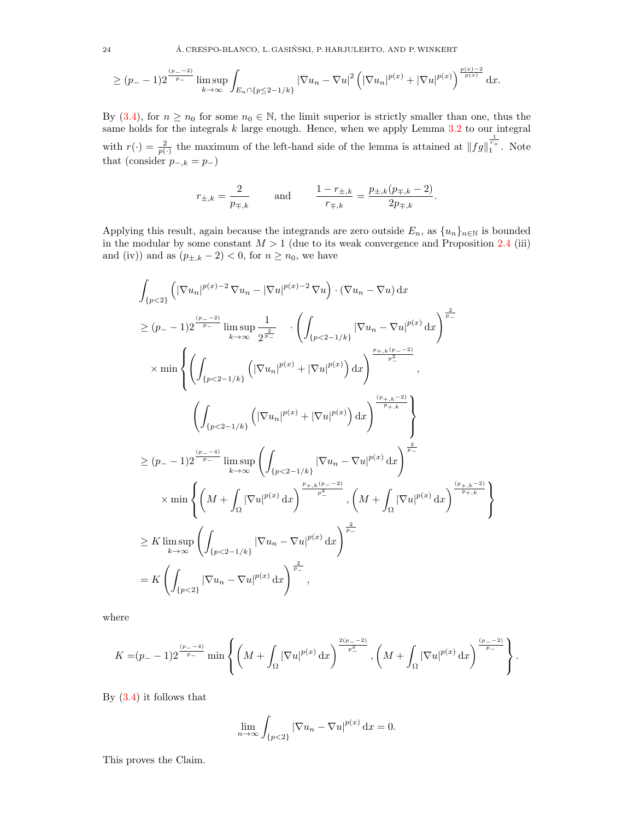$$
\geq (p_{-}-1)2^{\frac{(p_{-}-2)}{p_{-}}}\limsup_{k\to\infty}\int_{E_n\cap\{p\leq 2-1/k\}}|\nabla u_n-\nabla u|^2\left(|\nabla u_n|^{p(x)}+|\nabla u|^{p(x)}\right)^{\frac{p(x)-2}{p(x)}}\mathrm{d} x.
$$

By [\(3.4\)](#page-22-6), for  $n \ge n_0$  for some  $n_0 \in \mathbb{N}$ , the limit superior is strictly smaller than one, thus the same holds for the integrals  $k$  large enough. Hence, when we apply Lemma  $3.2$  to our integral with  $r(\cdot) = \frac{2}{p(\cdot)}$  the maximum of the left-hand side of the lemma is attained at  $||fg||_1^{\frac{1}{r_+}}$ . Note that (consider  $p_{-,k} = p_{-}$ )

$$
r_{\pm,k} = \frac{2}{p_{\mp,k}}
$$
 and  $\frac{1-r_{\pm,k}}{r_{\mp,k}} = \frac{p_{\pm,k}(p_{\mp,k}-2)}{2p_{\mp,k}}.$ 

Applying this result, again because the integrands are zero outside  $E_n$ , as  $\{u_n\}_{n\in\mathbb{N}}$  is bounded in the modular by some constant  $M > 1$  (due to its weak convergence and Proposition [2.4](#page-5-1) (iii) and (iv)) and as  $(p_{\pm,k} - 2) < 0$ , for  $n \ge n_0$ , we have

$$
\int_{\{p<2\}} \left( |\nabla u_n|^{p(x)-2} \nabla u_n - |\nabla u|^{p(x)-2} \nabla u \right) \cdot (\nabla u_n - \nabla u) \, dx
$$
\n
$$
\geq (p_{-} - 1) 2^{\frac{(p_{-} - 2)}{p_{-}}} \limsup_{k \to \infty} \frac{1}{2^{\frac{2}{p_{-}}}} \cdot \left( \int_{\{p<2-1/k\}} |\nabla u_n - \nabla u|^{p(x)} \, dx \right)^{\frac{2}{p_{-}}}
$$
\n
$$
\times \min \left\{ \left( \int_{\{p<2-1/k\}} \left( |\nabla u_n|^{p(x)} + |\nabla u|^{p(x)} \right) \, dx \right)^{\frac{p_{+,k}(p_{-} - 2)}{p_{-}^2}}, \right. \left. \left( \int_{\{p<2-1/k\}} \left( |\nabla u_n|^{p(x)} + |\nabla u|^{p(x)} \right) \, dx \right)^{\frac{(p_{+,k} - 2)}{p_{+,k}}} \right\}
$$
\n
$$
\geq (p_{-} - 1) 2^{\frac{(p_{-} - 4)}{p_{-}}} \limsup_{k \to \infty} \left( \int_{\{p<2-1/k\}} |\nabla u_n - \nabla u|^{p(x)} \, dx \right)^{\frac{2}{p_{-}}}
$$
\n
$$
\times \min \left\{ \left( M + \int_{\Omega} |\nabla u|^{p(x)} \, dx \right)^{\frac{p_{+,k}(p_{-} - 2)}{p_{-}}}, \left( M + \int_{\Omega} |\nabla u|^{p(x)} \, dx \right)^{\frac{(p_{+,k} - 2)}{p_{+,k}}} \right\}
$$
\n
$$
\geq K \limsup_{k \to \infty} \left( \int_{\{p<2-1/k\}} |\nabla u_n - \nabla u|^{p(x)} \, dx \right)^{\frac{2}{p_{-}}}
$$
\n
$$
= K \left( \int_{\{p<2\}} |\nabla u_n - \nabla u|^{p(x)} \, dx \right)^{\frac{2}{p_{-}}},
$$

where

$$
K = (p_{-} - 1)2^{\frac{(p_{-} - 4)}{p_{-}}} \min \left\{ \left( M + \int_{\Omega} |\nabla u|^{p(x)} dx \right)^{\frac{2(p_{-} - 2)}{p_{-}^{2}}}, \left( M + \int_{\Omega} |\nabla u|^{p(x)} dx \right)^{\frac{(p_{-} - 2)}{p_{-}}} \right\}.
$$

By [\(3.4\)](#page-22-6) it follows that

$$
\lim_{n \to \infty} \int_{\{p < 2\}} |\nabla u_n - \nabla u|^{p(x)} \, \mathrm{d}x = 0.
$$

This proves the Claim.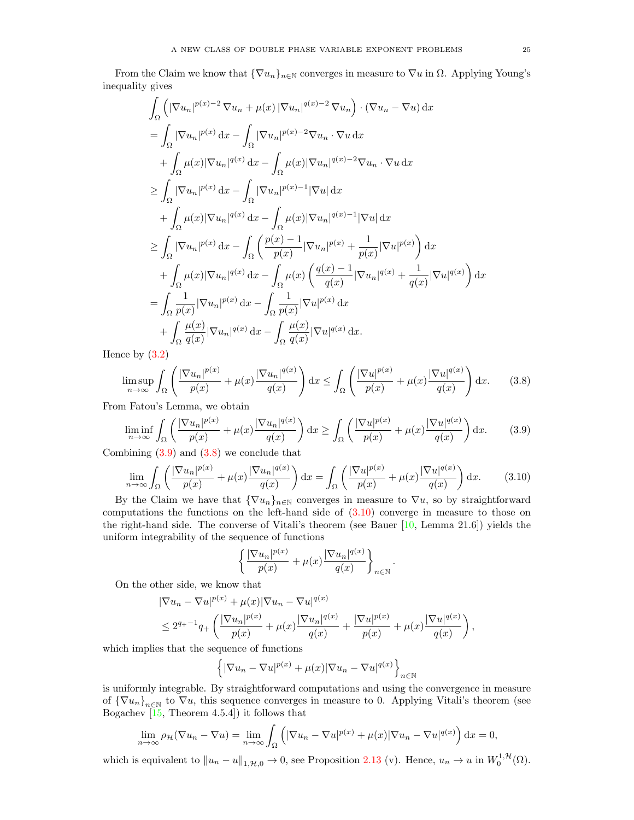From the Claim we know that  ${\nabla u_n}_{n\in\mathbb{N}}$  converges in measure to  $\nabla u$  in  $\Omega$ . Applying Young's inequality gives

$$
\int_{\Omega} \left( |\nabla u_n|^{p(x)-2} \nabla u_n + \mu(x) |\nabla u_n|^{q(x)-2} \nabla u_n \right) \cdot (\nabla u_n - \nabla u) dx
$$
\n
$$
= \int_{\Omega} |\nabla u_n|^{p(x)} dx - \int_{\Omega} |\nabla u_n|^{p(x)-2} \nabla u_n \cdot \nabla u dx
$$
\n
$$
+ \int_{\Omega} \mu(x) |\nabla u_n|^{q(x)} dx - \int_{\Omega} \mu(x) |\nabla u_n|^{q(x)-2} \nabla u_n \cdot \nabla u dx
$$
\n
$$
\geq \int_{\Omega} |\nabla u_n|^{p(x)} dx - \int_{\Omega} |\nabla u_n|^{p(x)-1} |\nabla u| dx
$$
\n
$$
+ \int_{\Omega} \mu(x) |\nabla u_n|^{q(x)} dx - \int_{\Omega} \mu(x) |\nabla u_n|^{q(x)-1} |\nabla u| dx
$$
\n
$$
\geq \int_{\Omega} |\nabla u_n|^{p(x)} dx - \int_{\Omega} \left( \frac{p(x)-1}{p(x)} |\nabla u_n|^{p(x)} + \frac{1}{p(x)} |\nabla u|^{p(x)} \right) dx
$$
\n
$$
+ \int_{\Omega} \mu(x) |\nabla u_n|^{q(x)} dx - \int_{\Omega} \mu(x) \left( \frac{q(x)-1}{q(x)} |\nabla u_n|^{q(x)} + \frac{1}{q(x)} |\nabla u|^{q(x)} \right) dx
$$
\n
$$
= \int_{\Omega} \frac{1}{p(x)} |\nabla u_n|^{p(x)} dx - \int_{\Omega} \frac{1}{p(x)} |\nabla u|^{p(x)} dx
$$
\n
$$
+ \int_{\Omega} \frac{\mu(x)}{q(x)} |\nabla u_n|^{q(x)} dx - \int_{\Omega} \frac{\mu(x)}{q(x)} |\nabla u|^{q(x)} dx.
$$

Hence by [\(3.2\)](#page-22-1)

$$
\limsup_{n \to \infty} \int_{\Omega} \left( \frac{|\nabla u_n|^{p(x)}}{p(x)} + \mu(x) \frac{|\nabla u_n|^{q(x)}}{q(x)} \right) dx \le \int_{\Omega} \left( \frac{|\nabla u|^{p(x)}}{p(x)} + \mu(x) \frac{|\nabla u|^{q(x)}}{q(x)} \right) dx. \tag{3.8}
$$

From Fatou's Lemma, we obtain

$$
\liminf_{n \to \infty} \int_{\Omega} \left( \frac{|\nabla u_n|^{p(x)}}{p(x)} + \mu(x) \frac{|\nabla u_n|^{q(x)}}{q(x)} \right) dx \ge \int_{\Omega} \left( \frac{|\nabla u|^{p(x)}}{p(x)} + \mu(x) \frac{|\nabla u|^{q(x)}}{q(x)} \right) dx. \tag{3.9}
$$

Combining [\(3.9\)](#page-24-0) and [\(3.8\)](#page-24-1) we conclude that

$$
\lim_{n \to \infty} \int_{\Omega} \left( \frac{|\nabla u_n|^{p(x)}}{p(x)} + \mu(x) \frac{|\nabla u_n|^{q(x)}}{q(x)} \right) dx = \int_{\Omega} \left( \frac{|\nabla u|^{p(x)}}{p(x)} + \mu(x) \frac{|\nabla u|^{q(x)}}{q(x)} \right) dx. \tag{3.10}
$$

By the Claim we have that  ${\nabla u_n}_{n\in\mathbb{N}}$  converges in measure to  $\nabla u$ , so by straightforward computations the functions on the left-hand side of  $(3.10)$  converge in measure to those on the right-hand side. The converse of Vitali's theorem (see Bauer [\[10,](#page-29-19) Lemma 21.6]) yields the uniform integrability of the sequence of functions

$$
\left\{\frac{|\nabla u_n|^{p(x)}}{p(x)} + \mu(x)\frac{|\nabla u_n|^{q(x)}}{q(x)}\right\}_{n\in\mathbb{N}}
$$

<span id="page-24-2"></span><span id="page-24-1"></span><span id="page-24-0"></span>.

On the other side, we know that

$$
\begin{split} &|\nabla u_n - \nabla u|^{p(x)} + \mu(x)|\nabla u_n - \nabla u|^{q(x)} \\ &\leq 2^{q_+ - 1} q_+ \left( \frac{|\nabla u_n|^{p(x)}}{p(x)} + \mu(x) \frac{|\nabla u_n|^{q(x)}}{q(x)} + \frac{|\nabla u|^{p(x)}}{p(x)} + \mu(x) \frac{|\nabla u|^{q(x)}}{q(x)} \right), \end{split}
$$

which implies that the sequence of functions

$$
\left\{ |\nabla u_n - \nabla u|^{p(x)} + \mu(x) |\nabla u_n - \nabla u|^{q(x)} \right\}_{n \in \mathbb{N}}
$$

is uniformly integrable. By straightforward computations and using the convergence in measure of  ${\nabla u_n}_{n\in\mathbb{N}}$  to  $\nabla u$ , this sequence converges in measure to 0. Applying Vitali's theorem (see Bogachev [\[15,](#page-29-18) Theorem 4.5.4]) it follows that

$$
\lim_{n \to \infty} \rho_{\mathcal{H}}(\nabla u_n - \nabla u) = \lim_{n \to \infty} \int_{\Omega} \left( |\nabla u_n - \nabla u|^{p(x)} + \mu(x) |\nabla u_n - \nabla u|^{q(x)} \right) dx = 0,
$$

which is equivalent to  $||u_n - u||_{1,\mathcal{H},0} \to 0$ , see Proposition [2.13](#page-8-1) (v). Hence,  $u_n \to u$  in  $W_0^{1,\mathcal{H}}(\Omega)$ .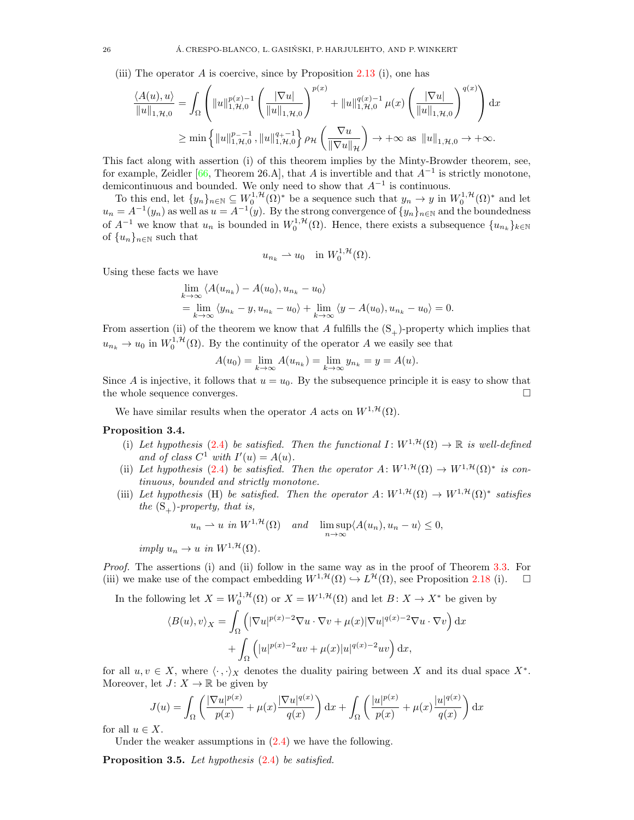(iii) The operator  $A$  is coercive, since by Proposition [2.13](#page-8-1) (i), one has

$$
\frac{\langle A(u), u \rangle}{\|u\|_{1, \mathcal{H}, 0}} = \int_{\Omega} \left( \|u\|_{1, \mathcal{H}, 0}^{p(x)-1} \left( \frac{|\nabla u|}{\|u\|_{1, \mathcal{H}, 0}} \right)^{p(x)} + \|u\|_{1, \mathcal{H}, 0}^{q(x)-1} \mu(x) \left( \frac{|\nabla u|}{\|u\|_{1, \mathcal{H}, 0}} \right)^{q(x)} \right) dx
$$
  
\n
$$
\geq \min \left\{ \|u\|_{1, \mathcal{H}, 0}^{p(-1)}, \|u\|_{1, \mathcal{H}, 0}^{q(-1)} \right\} \rho_{\mathcal{H}} \left( \frac{\nabla u}{\|\nabla u\|_{\mathcal{H}}} \right) \to +\infty \text{ as } \|u\|_{1, \mathcal{H}, 0} \to +\infty.
$$

This fact along with assertion (i) of this theorem implies by the Minty-Browder theorem, see, for example, Zeidler [\[66,](#page-31-13) Theorem 26.A], that A is invertible and that  $A^{-1}$  is strictly monotone, demicontinuous and bounded. We only need to show that  $A^{-1}$  is continuous.

To this end, let  $\{y_n\}_{n\in\mathbb{N}}\subseteq W_0^{1,\mathcal{H}}(\Omega)^*$  be a sequence such that  $y_n\to y$  in  $W_0^{1,\mathcal{H}}(\Omega)^*$  and let  $u_n = A^{-1}(y_n)$  as well as  $u = A^{-1}(y)$ . By the strong convergence of  $\{y_n\}_{n\in\mathbb{N}}$  and the boundedness of  $A^{-1}$  we know that  $u_n$  is bounded in  $W_0^{1,\mathcal{H}}(\Omega)$ . Hence, there exists a subsequence  $\{u_{n_k}\}_{k\in\mathbb{N}}$ of  $\{u_n\}_{n\in\mathbb{N}}$  such that

$$
u_{n_k} \rightharpoonup u_0 \quad \text{in } W_0^{1,\mathcal{H}}(\Omega).
$$

Using these facts we have

$$
\lim_{k \to \infty} \langle A(u_{n_k}) - A(u_0), u_{n_k} - u_0 \rangle
$$
  
= 
$$
\lim_{k \to \infty} \langle y_{n_k} - y, u_{n_k} - u_0 \rangle + \lim_{k \to \infty} \langle y - A(u_0), u_{n_k} - u_0 \rangle = 0.
$$

From assertion (ii) of the theorem we know that A fulfills the  $(S_+)$ -property which implies that  $u_{n_k} \to u_0$  in  $W_0^{1,\mathcal{H}}(\Omega)$ . By the continuity of the operator A we easily see that

$$
A(u_0) = \lim_{k \to \infty} A(u_{n_k}) = \lim_{k \to \infty} y_{n_k} = y = A(u).
$$

Since A is injective, it follows that  $u = u_0$ . By the subsequence principle it is easy to show that the whole sequence converges.  $\Box$ 

We have similar results when the operator A acts on  $W^{1, \mathcal{H}}(\Omega)$ .

# Proposition 3.4.

- (i) Let hypothesis [\(2.4\)](#page-6-2) be satisfied. Then the functional  $I: W^{1, \mathcal{H}}(\Omega) \to \mathbb{R}$  is well-defined and of class  $C^1$  with  $I'(u) = A(u)$ .
- (ii) Let hypothesis [\(2.4\)](#page-6-2) be satisfied. Then the operator  $A: W^{1, \mathcal{H}}(\Omega) \to W^{1, \mathcal{H}}(\Omega)^*$  is continuous, bounded and strictly monotone.
- (iii) Let hypothesis (H) be satisfied. Then the operator  $A: W^{1, \mathcal{H}}(\Omega) \to W^{1, \mathcal{H}}(\Omega)^*$  satisfies the  $(S_+)$ -property, that is,

$$
u_n \rightharpoonup u
$$
 in  $W^{1,\mathcal{H}}(\Omega)$  and  $\limsup_{n \to \infty} \langle A(u_n), u_n - u \rangle \leq 0$ ,

imply  $u_n \to u$  in  $W^{1, \mathcal{H}}(\Omega)$ .

Proof. The assertions (i) and (ii) follow in the same way as in the proof of Theorem [3.3.](#page-21-0) For (iii) we make use of the compact embedding  $W^{1, H}(\Omega) \hookrightarrow L^{\mathcal{H}}(\Omega)$ , see Proposition [2.18](#page-11-0) (i).  $\square$ 

In the following let  $X = W_0^{1, \mathcal{H}}(\Omega)$  or  $X = W^{1, \mathcal{H}}(\Omega)$  and let  $B: X \to X^*$  be given by  $\langle B(u), v \rangle_X =$ Ω  $\left( |\nabla u|^{p(x)-2}\nabla u \cdot \nabla v + \mu(x)|\nabla u|^{q(x)-2}\nabla u \cdot \nabla v \right) dx$  $+$   $\overline{1}$ Ω  $\left(|u|^{p(x)-2}uv + \mu(x)|u|^{q(x)-2}uv\right) dx,$ 

for all  $u, v \in X$ , where  $\langle \cdot, \cdot \rangle_X$  denotes the duality pairing between X and its dual space  $X^*$ . Moreover, let  $J: X \to \mathbb{R}$  be given by

$$
J(u) = \int_{\Omega} \left( \frac{|\nabla u|^{p(x)}}{p(x)} + \mu(x) \frac{|\nabla u|^{q(x)}}{q(x)} \right) dx + \int_{\Omega} \left( \frac{|u|^{p(x)}}{p(x)} + \mu(x) \frac{|u|^{q(x)}}{q(x)} \right) dx
$$

for all  $u \in X$ .

Under the weaker assumptions in  $(2.4)$  we have the following.

Proposition 3.5. Let hypothesis  $(2.4)$  be satisfied.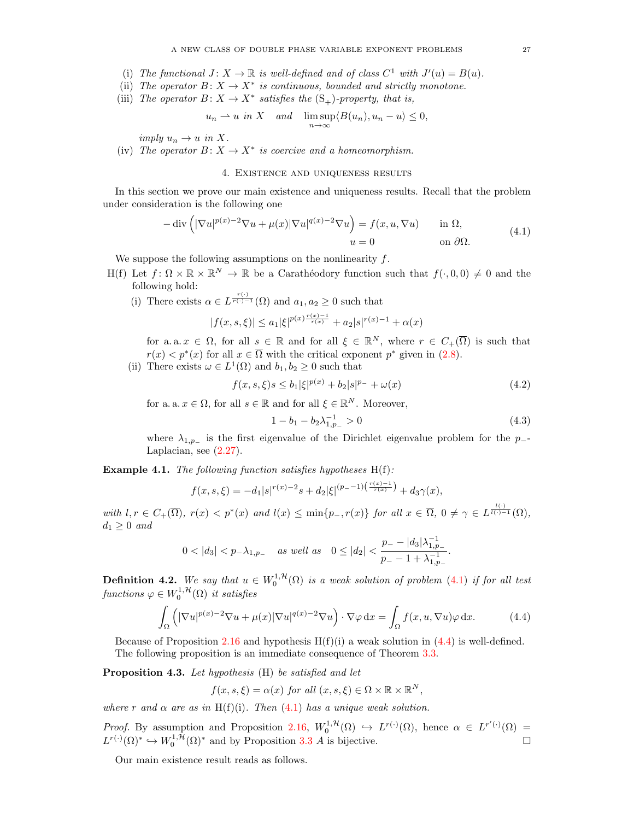- (i) The functional  $J: X \to \mathbb{R}$  is well-defined and of class  $C^1$  with  $J'(u) = B(u)$ .
- (ii) The operator  $B: X \to X^*$  is continuous, bounded and strictly monotone.
- (iii) The operator  $B\colon X\to X^*$  satisfies the  $(S_+)$ -property, that is,

$$
u_n \rightharpoonup u
$$
 in X and  $\limsup_{n \to \infty} \langle B(u_n), u_n - u \rangle \leq 0$ ,

imply  $u_n \to u$  in X.

(iv) The operator  $B: X \to X^*$  is coercive and a homeomorphism.

# 4. Existence and uniqueness results

<span id="page-26-0"></span>In this section we prove our main existence and uniqueness results. Recall that the problem under consideration is the following one

<span id="page-26-1"></span>
$$
-\operatorname{div}\left(|\nabla u|^{p(x)-2}\nabla u + \mu(x)|\nabla u|^{q(x)-2}\nabla u\right) = f(x, u, \nabla u) \quad \text{in } \Omega,
$$
  
\n
$$
u = 0 \quad \text{on } \partial\Omega.
$$
 (4.1)

We suppose the following assumptions on the nonlinearity f.

- H(f) Let  $f: \Omega \times \mathbb{R} \times \mathbb{R}^N \to \mathbb{R}$  be a Caratheodory function such that  $f(\cdot, 0, 0) \neq 0$  and the following hold:
	- (i) There exists  $\alpha \in L^{\frac{r(\cdot)}{r(\cdot)-1}}(\Omega)$  and  $a_1, a_2 \geq 0$  such that

$$
|f(x,s,\xi)|\leq a_1 |\xi|^{p(x)\frac{r(x)-1}{r(x)}}+a_2|s|^{r(x)-1}+\alpha(x)
$$

for a. a.  $x \in \Omega$ , for all  $s \in \mathbb{R}$  and for all  $\xi \in \mathbb{R}^N$ , where  $r \in C_+(\overline{\Omega})$  is such that  $r(x) < p^*(x)$  for all  $x \in \overline{\Omega}$  with the critical exponent  $p^*$  given in [\(2.8\)](#page-9-2).

(ii) There exists  $\omega \in L^1(\Omega)$  and  $b_1, b_2 \geq 0$  such that

$$
f(x, s, \xi)s \le b_1 |\xi|^{p(x)} + b_2 |s|^{p_-} + \omega(x)
$$
\n(4.2)

for a. a.  $x \in \Omega$ , for all  $s \in \mathbb{R}$  and for all  $\xi \in \mathbb{R}^N$ . Moreover,

<span id="page-26-4"></span><span id="page-26-3"></span><span id="page-26-2"></span>
$$
1 - b_1 - b_2 \lambda_{1, p}^{-1} > 0 \tag{4.3}
$$

where  $\lambda_{1,p-}$  is the first eigenvalue of the Dirichlet eigenvalue problem for the p--Laplacian, see [\(2.27\)](#page-19-1).

**Example 4.1.** The following function satisfies hypotheses  $H(f)$ :

$$
f(x,s,\xi) = -d_1|s|^{r(x)-2}s + d_2|\xi|^{(p_--1)\left(\frac{r(x)-1}{r(x)}\right)} + d_3\gamma(x),
$$

with  $l, r \in C_+(\overline{\Omega})$ ,  $r(x) < p^*(x)$  and  $l(x) \le \min\{p_-, r(x)\}\$  for all  $x \in \overline{\Omega}$ ,  $0 \ne \gamma \in L^{\frac{l(\cdot)}{l(\cdot)-1}}(\Omega)$ ,  $d_1 \geq 0$  and

$$
0<|d_3|
$$

**Definition 4.2.** We say that  $u \in W_0^{1, H}(\Omega)$  is a weak solution of problem [\(4.1\)](#page-26-1) if for all test functions  $\varphi \in W_0^{1,\mathcal{H}}(\Omega)$  it satisfies

$$
\int_{\Omega} \left( |\nabla u|^{p(x)-2} \nabla u + \mu(x) |\nabla u|^{q(x)-2} \nabla u \right) \cdot \nabla \varphi \, dx = \int_{\Omega} f(x, u, \nabla u) \varphi \, dx. \tag{4.4}
$$

Because of Proposition [2.16](#page-9-0) and hypothesis  $H(f)(i)$  a weak solution in [\(4.4\)](#page-26-2) is well-defined. The following proposition is an immediate consequence of Theorem [3.3.](#page-21-0)

Proposition 4.3. Let hypothesis (H) be satisfied and let

$$
f(x, s, \xi) = \alpha(x) \text{ for all } (x, s, \xi) \in \Omega \times \mathbb{R} \times \mathbb{R}^N,
$$

where r and  $\alpha$  are as in H(f)(i). Then [\(4.1\)](#page-26-1) has a unique weak solution.

*Proof.* By assumption and Proposition [2.16,](#page-9-0)  $W_0^{1, H}(\Omega) \hookrightarrow L^{r(\cdot)}(\Omega)$ , hence  $\alpha \in L^{r'(\cdot)}(\Omega)$  $L^{r(\cdot)}(\Omega)^* \hookrightarrow W_0^{1,\mathcal{H}}(\Omega)^*$  and by Proposition [3.3](#page-21-0) A is bijective.

Our main existence result reads as follows.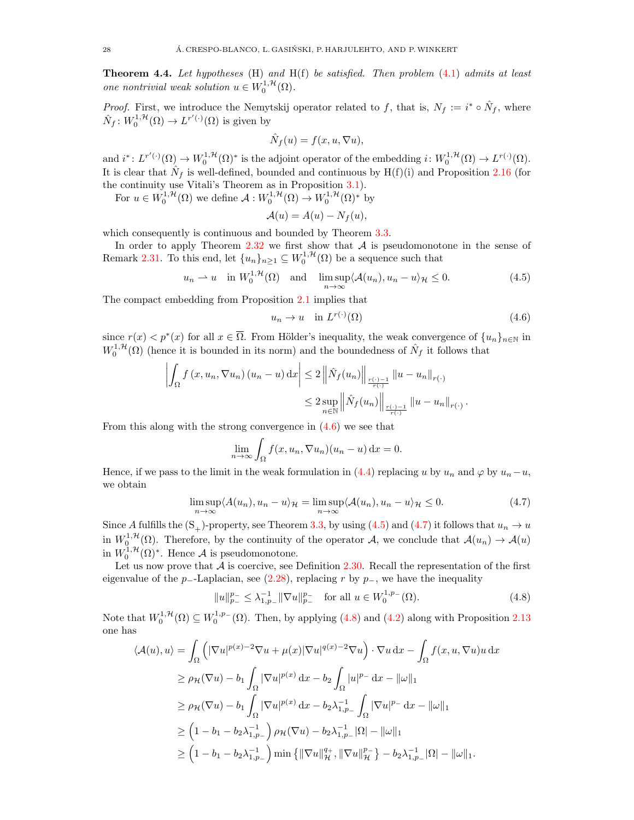<span id="page-27-0"></span>**Theorem 4.4.** Let hypotheses  $(H)$  and  $H(f)$  be satisfied. Then problem  $(4.1)$  admits at least one nontrivial weak solution  $u \in W_0^{1, \mathcal{H}}(\Omega)$ .

*Proof.* First, we introduce the Nemytskij operator related to f, that is,  $N_f := i^* \circ \hat{N}_f$ , where  $\hat{N}_f: W_0^{1, \mathcal{H}}(\Omega) \to L^{r'(\cdot)}(\Omega)$  is given by

$$
\hat{N}_f(u) = f(x, u, \nabla u),
$$

and  $i^*: L^{r'(\cdot)}(\Omega) \to W_0^{1,\mathcal{H}}(\Omega)^*$  is the adjoint operator of the embedding  $i: W_0^{1,\mathcal{H}}(\Omega) \to L^{r(\cdot)}(\Omega)$ . It is clear that  $\hat{N}_f$  is well-defined, bounded and continuous by H(f)(i) and Proposition [2.16](#page-9-0) (for the continuity use Vitali's Theorem as in Proposition [3.1\)](#page-19-3).

For  $u \in W_0^{1,\mathcal{H}}(\Omega)$  we define  $\mathcal{A}: W_0^{1,\mathcal{H}}(\Omega) \to W_0^{1,\mathcal{H}}(\Omega)^*$  by

$$
\mathcal{A}(u) = A(u) - N_f(u),
$$

which consequently is continuous and bounded by Theorem  $3.3$ .

In order to apply Theorem  $2.32$  we first show that  $A$  is pseudomonotone in the sense of Remark [2.31.](#page-19-5) To this end, let  $\{u_n\}_{n\geq 1} \subseteq W_0^{1,\mathcal{H}}(\Omega)$  be a sequence such that

$$
u_n \rightharpoonup u
$$
 in  $W_0^{1,\mathcal{H}}(\Omega)$  and  $\limsup_{n \to \infty} \langle \mathcal{A}(u_n), u_n - u \rangle_{\mathcal{H}} \le 0.$  (4.5)

The compact embedding from Proposition [2.1](#page-4-1) implies that

<span id="page-27-2"></span><span id="page-27-1"></span>
$$
u_n \to u \quad \text{in } L^{r(\cdot)}(\Omega) \tag{4.6}
$$

since  $r(x) < p^*(x)$  for all  $x \in \overline{\Omega}$ . From Hölder's inequality, the weak convergence of  $\{u_n\}_{n\in\mathbb{N}}$  in  $W_0^{1,\mathcal{H}}(\Omega)$  (hence it is bounded in its norm) and the boundedness of  $\hat{N}_f$  it follows that

$$
\left| \int_{\Omega} f(x, u_n, \nabla u_n) (u_n - u) dx \right| \leq 2 \left\| \hat{N}_f(u_n) \right\|_{\frac{r(\cdot) - 1}{r(\cdot)}} \|u - u_n\|_{r(\cdot)} \n\leq 2 \sup_{n \in \mathbb{N}} \left\| \hat{N}_f(u_n) \right\|_{\frac{r(\cdot) - 1}{r(\cdot)}} \|u - u_n\|_{r(\cdot)}.
$$

From this along with the strong convergence in [\(4.6\)](#page-27-1) we see that

<span id="page-27-3"></span>
$$
\lim_{n \to \infty} \int_{\Omega} f(x, u_n, \nabla u_n)(u_n - u) \, \mathrm{d}x = 0.
$$

Hence, if we pass to the limit in the weak formulation in [\(4.4\)](#page-26-2) replacing u by  $u_n$  and  $\varphi$  by  $u_n-u$ , we obtain

$$
\limsup_{n \to \infty} \langle A(u_n), u_n - u \rangle_{\mathcal{H}} = \limsup_{n \to \infty} \langle A(u_n), u_n - u \rangle_{\mathcal{H}} \le 0.
$$
\n(4.7)

Since A fulfills the  $(S_+)$ -property, see Theorem [3.3,](#page-21-0) by using [\(4.5\)](#page-27-2) and [\(4.7\)](#page-27-3) it follows that  $u_n \to u$ in  $W_0^{1,\mathcal{H}}(\Omega)$ . Therefore, by the continuity of the operator A, we conclude that  $\mathcal{A}(u_n) \to \mathcal{A}(u)$ in  $W_0^{1,\mathcal{H}}(\Omega)^*$ . Hence A is pseudomonotone.

Let us now prove that  $\mathcal A$  is coercive, see Definition [2.30.](#page-19-2) Recall the representation of the first eigenvalue of the p−-Laplacian, see [\(2.28\)](#page-19-6), replacing r by  $p_$ , we have the inequality

<span id="page-27-4"></span>
$$
||u||_{p_{-}}^{p_{-}} \leq \lambda_{1,p_{-}}^{-1} ||\nabla u||_{p_{-}}^{p_{-}} \quad \text{for all } u \in W_0^{1,p_{-}}(\Omega). \tag{4.8}
$$

Note that  $W_0^{1,\mathcal{H}}(\Omega) \subseteq W_0^{1,p}(\Omega)$ . Then, by applying [\(4.8\)](#page-27-4) and [\(4.2\)](#page-26-3) along with Proposition [2.13](#page-8-1) one has

$$
\langle \mathcal{A}(u), u \rangle = \int_{\Omega} \left( |\nabla u|^{p(x)-2} \nabla u + \mu(x) |\nabla u|^{q(x)-2} \nabla u \right) \cdot \nabla u \, dx - \int_{\Omega} f(x, u, \nabla u) u \, dx
$$
  
\n
$$
\geq \rho_{\mathcal{H}}(\nabla u) - b_1 \int_{\Omega} |\nabla u|^{p(x)} \, dx - b_2 \int_{\Omega} |u|^{p_-} \, dx - ||\omega||_1
$$
  
\n
$$
\geq \rho_{\mathcal{H}}(\nabla u) - b_1 \int_{\Omega} |\nabla u|^{p(x)} \, dx - b_2 \lambda_{1, p_-}^{-1} \int_{\Omega} |\nabla u|^{p_-} \, dx - ||\omega||_1
$$
  
\n
$$
\geq \left( 1 - b_1 - b_2 \lambda_{1, p_-}^{-1} \right) \rho_{\mathcal{H}}(\nabla u) - b_2 \lambda_{1, p_-}^{-1} |\Omega| - ||\omega||_1
$$
  
\n
$$
\geq \left( 1 - b_1 - b_2 \lambda_{1, p_-}^{-1} \right) \min \left\{ ||\nabla u||_{\mathcal{H}}^{q_+}, ||\nabla u||_{\mathcal{H}}^{p_-} \right\} - b_2 \lambda_{1, p_-}^{-1} |\Omega| - ||\omega||_1.
$$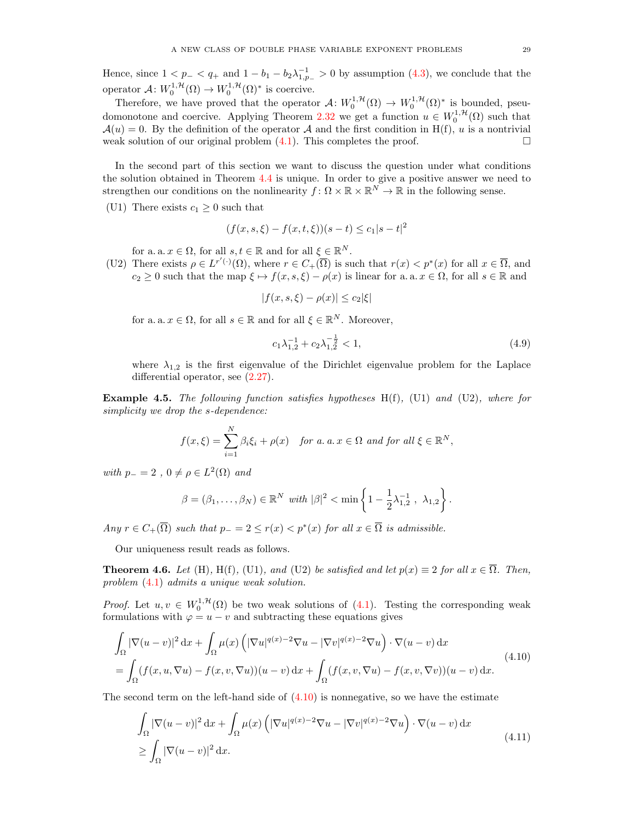Hence, since  $1 < p_- < q_+$  and  $1 - b_1 - b_2 \lambda_{1,p_-}^{-1} > 0$  by assumption [\(4.3\)](#page-26-4), we conclude that the operator  $\mathcal{A}: W_0^{1, \mathcal{H}}(\Omega) \to W_0^{1, \mathcal{H}}(\Omega)^*$  is coercive.

Therefore, we have proved that the operator  $\mathcal{A}: W_0^{1,\mathcal{H}}(\Omega) \to W_0^{1,\mathcal{H}}(\Omega)^*$  is bounded, pseu-domonotone and coercive. Applying Theorem [2.32](#page-19-4) we get a function  $u \in W_0^{1, H}(\Omega)$  such that  $\mathcal{A}(u) = 0$ . By the definition of the operator A and the first condition in H(f), u is a nontrivial weak solution of our original problem  $(4.1)$ . This completes the proof.

In the second part of this section we want to discuss the question under what conditions the solution obtained in Theorem [4.4](#page-27-0) is unique. In order to give a positive answer we need to strengthen our conditions on the nonlinearity  $f: \Omega \times \mathbb{R} \times \mathbb{R}^N \to \mathbb{R}$  in the following sense.

(U1) There exists  $c_1 \geq 0$  such that

$$
(f(x, s, \xi) - f(x, t, \xi))(s - t) \le c_1|s - t|^2
$$

for a. a.  $x \in \Omega$ , for all  $s, t \in \mathbb{R}$  and for all  $\xi \in \mathbb{R}^N$ .

(U2) There exists  $\rho \in L^{r'(\cdot)}(\Omega)$ , where  $r \in C_+(\overline{\Omega})$  is such that  $r(x) < p^*(x)$  for all  $x \in \overline{\Omega}$ , and  $c_2 \geq 0$  such that the map  $\xi \mapsto f(x, s, \xi) - \rho(x)$  is linear for a. a.  $x \in \Omega$ , for all  $s \in \mathbb{R}$  and

$$
|f(x,s,\xi) - \rho(x)| \le c_2 |\xi|
$$

for a. a.  $x \in \Omega$ , for all  $s \in \mathbb{R}$  and for all  $\xi \in \mathbb{R}^N$ . Moreover,

<span id="page-28-3"></span>
$$
c_1 \lambda_{1,2}^{-1} + c_2 \lambda_{1,2}^{-\frac{1}{2}} < 1,\tag{4.9}
$$

where  $\lambda_{1,2}$  is the first eigenvalue of the Dirichlet eigenvalue problem for the Laplace differential operator, see [\(2.27\)](#page-19-1).

**Example 4.5.** The following function satisfies hypotheses  $H(f)$ , (U1) and (U2), where for simplicity we drop the s-dependence:

$$
f(x,\xi) = \sum_{i=1}^{N} \beta_i \xi_i + \rho(x) \quad \text{for a. } a, x \in \Omega \text{ and for all } \xi \in \mathbb{R}^N,
$$

with  $p_-=2$ ,  $0 \neq \rho \in L^2(\Omega)$  and

<span id="page-28-1"></span>
$$
\beta = (\beta_1, ..., \beta_N) \in \mathbb{R}^N \text{ with } |\beta|^2 < \min \left\{ 1 - \frac{1}{2} \lambda_{1,2}^{-1}, \lambda_{1,2} \right\}.
$$

Any  $r \in C_+(\overline{\Omega})$  such that  $p_-=2 \le r(x) < p^*(x)$  for all  $x \in \overline{\Omega}$  is admissible.

Our uniqueness result reads as follows.

<span id="page-28-0"></span>**Theorem 4.6.** Let (H), H(f), (U1), and (U2) be satisfied and let  $p(x) \equiv 2$  for all  $x \in \overline{\Omega}$ . Then, problem [\(4.1\)](#page-26-1) admits a unique weak solution.

*Proof.* Let  $u, v \in W_0^{1, H}(\Omega)$  be two weak solutions of [\(4.1\)](#page-26-1). Testing the corresponding weak formulations with  $\varphi = u - v$  and subtracting these equations gives

$$
\int_{\Omega} |\nabla(u-v)|^2 dx + \int_{\Omega} \mu(x) \left( |\nabla u|^{q(x)-2} \nabla u - |\nabla v|^{q(x)-2} \nabla u \right) \cdot \nabla(u-v) dx
$$
\n
$$
= \int_{\Omega} (f(x, u, \nabla u) - f(x, v, \nabla u))(u-v) dx + \int_{\Omega} (f(x, v, \nabla u) - f(x, v, \nabla v))(u-v) dx.
$$
\n(4.10)

The second term on the left-hand side of  $(4.10)$  is nonnegative, so we have the estimate

<span id="page-28-2"></span>
$$
\int_{\Omega} |\nabla(u-v)|^2 dx + \int_{\Omega} \mu(x) \left( |\nabla u|^{q(x)-2} \nabla u - |\nabla v|^{q(x)-2} \nabla u \right) \cdot \nabla(u-v) dx
$$
\n
$$
\geq \int_{\Omega} |\nabla(u-v)|^2 dx.
$$
\n(4.11)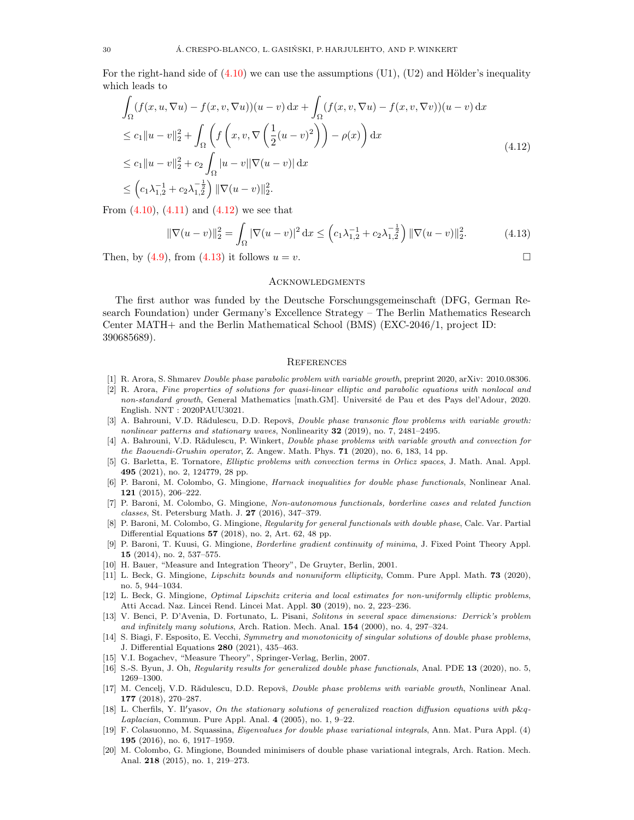For the right-hand side of  $(4.10)$  we can use the assumptions  $(U1)$ ,  $(U2)$  and Hölder's inequality which leads to

$$
\int_{\Omega} (f(x, u, \nabla u) - f(x, v, \nabla u))(u - v) dx + \int_{\Omega} (f(x, v, \nabla u) - f(x, v, \nabla v))(u - v) dx
$$
\n
$$
\leq c_1 \|u - v\|_2^2 + \int_{\Omega} \left( f\left(x, v, \nabla \left(\frac{1}{2}(u - v)^2\right)\right) - \rho(x) \right) dx
$$
\n
$$
\leq c_1 \|u - v\|_2^2 + c_2 \int_{\Omega} |u - v||\nabla(u - v)| dx
$$
\n
$$
\leq \left(c_1 \lambda_{1,2}^{-1} + c_2 \lambda_{1,2}^{-\frac{1}{2}}\right) \|\nabla(u - v)\|_2^2.
$$
\n(4.12)

From  $(4.10)$ ,  $(4.11)$  and  $(4.12)$  we see that

$$
\|\nabla(u-v)\|_2^2 = \int_{\Omega} |\nabla(u-v)|^2 dx \le \left(c_1 \lambda_{1,2}^{-1} + c_2 \lambda_{1,2}^{-\frac{1}{2}}\right) \|\nabla(u-v)\|_2^2.
$$
 (4.13)

Then, by [\(4.9\)](#page-28-3), from [\(4.13\)](#page-29-21) it follows  $u = v$ .

## <span id="page-29-21"></span><span id="page-29-20"></span>**ACKNOWLEDGMENTS**

The first author was funded by the Deutsche Forschungsgemeinschaft (DFG, German Research Foundation) under Germany's Excellence Strategy – The Berlin Mathematics Research Center MATH+ and the Berlin Mathematical School (BMS) (EXC-2046/1, project ID: 390685689).

### **REFERENCES**

- <span id="page-29-13"></span>[1] R. Arora, S. Shmarev Double phase parabolic problem with variable growth, preprint 2020, arXiv: 2010.08306.
- <span id="page-29-14"></span>[2] R. Arora, Fine properties of solutions for quasi-linear elliptic and parabolic equations with nonlocal and non-standard growth, General Mathematics [math.GM]. Université de Pau et des Pays del'Adour, 2020. English. NNT : 2020PAUU3021.
- <span id="page-29-8"></span>[3] A. Bahrouni, V.D. Rădulescu, D.D. Repovš, Double phase transonic flow problems with variable growth: nonlinear patterns and stationary waves, Nonlinearity  $32$  (2019), no. 7, 2481–2495.
- <span id="page-29-12"></span>[4] A. Bahrouni, V.D. Rădulescu, P. Winkert, Double phase problems with variable growth and convection for the Baouendi-Grushin operator, Z. Angew. Math. Phys. 71 (2020), no. 6, 183, 14 pp.
- <span id="page-29-16"></span>[5] G. Barletta, E. Tornatore, Elliptic problems with convection terms in Orlicz spaces, J. Math. Anal. Appl. 495 (2021), no. 2, 124779, 28 pp.
- <span id="page-29-0"></span>[6] P. Baroni, M. Colombo, G. Mingione, Harnack inequalities for double phase functionals, Nonlinear Anal. 121 (2015), 206–222.
- <span id="page-29-1"></span>[7] P. Baroni, M. Colombo, G. Mingione, Non-autonomous functionals, borderline cases and related function classes, St. Petersburg Math. J. 27 (2016), 347–379.
- <span id="page-29-2"></span>[8] P. Baroni, M. Colombo, G. Mingione, Regularity for general functionals with double phase, Calc. Var. Partial Differential Equations 57 (2018), no. 2, Art. 62, 48 pp.
- <span id="page-29-3"></span>[9] P. Baroni, T. Kuusi, G. Mingione, Borderline gradient continuity of minima, J. Fixed Point Theory Appl. 15 (2014), no. 2, 537–575.
- <span id="page-29-19"></span>[10] H. Bauer, "Measure and Integration Theory", De Gruyter, Berlin, 2001.
- <span id="page-29-6"></span>[11] L. Beck, G. Mingione, *Lipschitz bounds and nonuniform ellipticity*, Comm. Pure Appl. Math. **73** (2020), no. 5, 944–1034.
- <span id="page-29-7"></span>[12] L. Beck, G. Mingione, Optimal Lipschitz criteria and local estimates for non-uniformly elliptic problems, Atti Accad. Naz. Lincei Rend. Lincei Mat. Appl. 30 (2019), no. 2, 223–236.
- <span id="page-29-9"></span>[13] V. Benci, P. D'Avenia, D. Fortunato, L. Pisani, Solitons in several space dimensions: Derrick's problem and infinitely many solutions, Arch. Ration. Mech. Anal. 154 (2000), no. 4, 297–324.
- <span id="page-29-17"></span>[14] S. Biagi, F. Esposito, E. Vecchi, Symmetry and monotonicity of singular solutions of double phase problems, J. Differential Equations 280 (2021), 435–463.
- <span id="page-29-18"></span>[15] V.I. Bogachev, "Measure Theory", Springer-Verlag, Berlin, 2007.
- <span id="page-29-4"></span>[16] S.-S. Byun, J. Oh, Regularity results for generalized double phase functionals, Anal. PDE 13 (2020), no. 5, 1269–1300.
- <span id="page-29-15"></span>[17] M. Cencelj, V.D. Rădulescu, D.D. Repovš, *Double phase problems with variable growth*, Nonlinear Anal. 177 (2018), 270–287.
- <span id="page-29-10"></span>[18] L. Cherfils, Y. Il'yasov, On the stationary solutions of generalized reaction diffusion equations with  $p\&q$ -Laplacian, Commun. Pure Appl. Anal. 4 (2005), no. 1, 9–22.
- <span id="page-29-11"></span>[19] F. Colasuonno, M. Squassina, Eigenvalues for double phase variational integrals, Ann. Mat. Pura Appl. (4) 195 (2016), no. 6, 1917–1959.
- <span id="page-29-5"></span>[20] M. Colombo, G. Mingione, Bounded minimisers of double phase variational integrals, Arch. Ration. Mech. Anal. 218 (2015), no. 1, 219–273.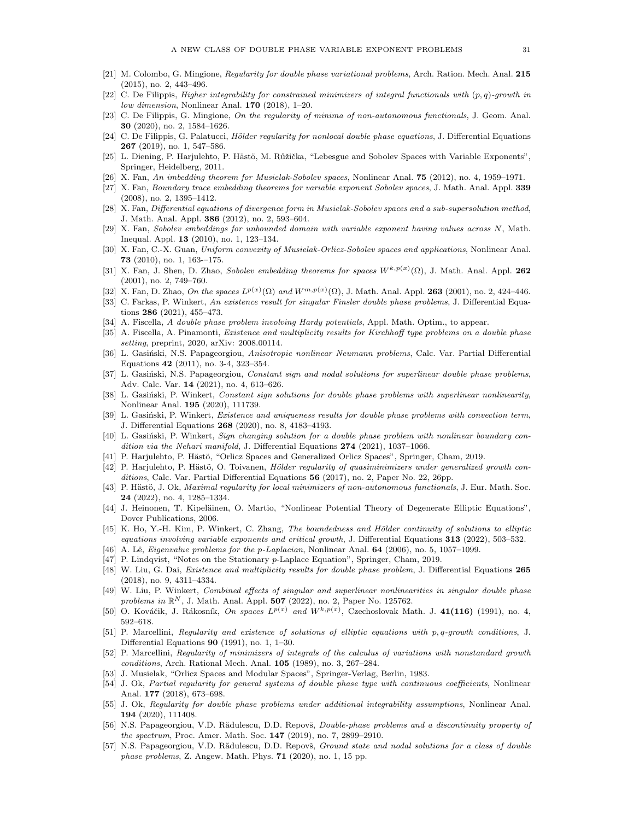- <span id="page-30-0"></span>[21] M. Colombo, G. Mingione, Regularity for double phase variational problems, Arch. Ration. Mech. Anal. 215 (2015), no. 2, 443–496.
- <span id="page-30-1"></span>[22] C. De Filippis, Higher integrability for constrained minimizers of integral functionals with  $(p, q)$ -growth in low dimension, Nonlinear Anal. 170 (2018), 1–20.
- <span id="page-30-8"></span>[23] C. De Filippis, G. Mingione, On the regularity of minima of non-autonomous functionals, J. Geom. Anal. 30 (2020), no. 2, 1584–1626.
- <span id="page-30-2"></span>[24] C. De Filippis, G. Palatucci, Hölder regularity for nonlocal double phase equations, J. Differential Equations 267 (2019), no. 1, 547–586.
- <span id="page-30-22"></span>[25] L. Diening, P. Harjulehto, P. Hästö, M. Růžička, "Lebesgue and Sobolev Spaces with Variable Exponents", Springer, Heidelberg, 2011.
- <span id="page-30-31"></span>[26] X. Fan, An imbedding theorem for Musielak-Sobolev spaces, Nonlinear Anal. 75 (2012), no. 4, 1959–1971.
- <span id="page-30-28"></span>[27] X. Fan, Boundary trace embedding theorems for variable exponent Sobolev spaces, J. Math. Anal. Appl. 339 (2008), no. 2, 1395–1412.
- <span id="page-30-32"></span>[28] X. Fan, Differential equations of divergence form in Musielak-Sobolev spaces and a sub-supersolution method, J. Math. Anal. Appl. 386 (2012), no. 2, 593–604.
- <span id="page-30-25"></span>[29] X. Fan, Sobolev embeddings for unbounded domain with variable exponent having values across N, Math. Inequal. Appl. 13 (2010), no. 1, 123–134.
- <span id="page-30-33"></span>[30] X. Fan, C.-X. Guan, Uniform convexity of Musielak-Orlicz-Sobolev spaces and applications, Nonlinear Anal. 73 (2010), no. 1, 163-–175.
- <span id="page-30-26"></span>[31] X. Fan, J. Shen, D. Zhao, Sobolev embedding theorems for spaces  $W^{k,p(x)}(\Omega)$ , J. Math. Anal. Appl. 262 (2001), no. 2, 749–760.
- <span id="page-30-23"></span>[32] X. Fan, D. Zhao, On the spaces  $L^{p(x)}(\Omega)$  and  $W^{m,p(x)}(\Omega)$ , J. Math. Anal. Appl. 263 (2001), no. 2, 424–446.
- <span id="page-30-19"></span>[33] C. Farkas, P. Winkert, An existence result for singular Finsler double phase problems, J. Differential Equations 286 (2021), 455–473.
- <span id="page-30-14"></span>[34] A. Fiscella, A double phase problem involving Hardy potentials, Appl. Math. Optim., to appear.
- <span id="page-30-15"></span>[35] A. Fiscella, A. Pinamonti, Existence and multiplicity results for Kirchhoff type problems on a double phase setting, preprint, 2020, arXiv: 2008.00114.
- <span id="page-30-11"></span>[36] L. Gasiński, N.S. Papageorgiou, Anisotropic nonlinear Neumann problems, Calc. Var. Partial Differential Equations 42 (2011), no. 3-4, 323–354.
- <span id="page-30-12"></span>[37] L. Gasiński, N.S. Papageorgiou, Constant sign and nodal solutions for superlinear double phase problems, Adv. Calc. Var. 14 (2021), no. 4, 613–626.
- <span id="page-30-16"></span>[38] L. Gasinski, P. Winkert, Constant sign solutions for double phase problems with superlinear nonlinearity, Nonlinear Anal. 195 (2020), 111739.
- <span id="page-30-17"></span>[39] L. Gasiński, P. Winkert, Existence and uniqueness results for double phase problems with convection term, J. Differential Equations 268 (2020), no. 8, 4183–4193.
- <span id="page-30-13"></span>[40] L. Gasiński, P. Winkert, Sign changing solution for a double phase problem with nonlinear boundary condition via the Nehari manifold, J. Differential Equations  $274$  (2021), 1037–1066.
- <span id="page-30-30"></span>[41] P. Harjulehto, P. Hästö, "Orlicz Spaces and Generalized Orlicz Spaces", Springer, Cham, 2019.
- <span id="page-30-3"></span>[42] P. Harjulehto, P. Hästö, O. Toivanen, Hölder regularity of quasiminimizers under generalized growth conditions, Calc. Var. Partial Differential Equations 56 (2017), no. 2, Paper No. 22, 26pp.
- <span id="page-30-9"></span>[43] P. Hästö, J. Ok, Maximal regularity for local minimizers of non-autonomous functionals, J. Eur. Math. Soc. 24 (2022), no. 4, 1285–1334.
- <span id="page-30-34"></span>[44] J. Heinonen, T. Kipeläinen, O. Martio, "Nonlinear Potential Theory of Degenerate Elliptic Equations", Dover Publications, 2006.
- <span id="page-30-27"></span>[45] K. Ho, Y.-H. Kim, P. Winkert, C. Zhang, The boundedness and Hölder continuity of solutions to elliptic equations involving variable exponents and critical growth, J. Differential Equations 313 (2022), 503–532.
- <span id="page-30-35"></span>[46] A. Lê, *Eigenvalue problems for the p-Laplacian*, Nonlinear Anal. **64** (2006), no. 5, 1057–1099.
- <span id="page-30-36"></span>[47] P. Lindqvist, "Notes on the Stationary p-Laplace Equation", Springer, Cham, 2019.
- <span id="page-30-10"></span>[48] W. Liu, G. Dai, Existence and multiplicity results for double phase problem, J. Differential Equations 265 (2018), no. 9, 4311–4334.
- <span id="page-30-20"></span>[49] W. Liu, P. Winkert, Combined effects of singular and superlinear nonlinearities in singular double phase problems in  $\mathbb{R}^N$ , J. Math. Anal. Appl. 507 (2022), no. 2, Paper No. 125762.
- <span id="page-30-24"></span>[50] O. Kováčik, J. Rákosník, On spaces  $L^{p(x)}$  and  $W^{k,p(x)}$ , Czechoslovak Math. J. 41(116) (1991), no. 4, 592–618.
- <span id="page-30-4"></span>[51] P. Marcellini, Regularity and existence of solutions of elliptic equations with p, q-growth conditions, J. Differential Equations 90 (1991), no. 1, 1–30.
- <span id="page-30-5"></span>[52] P. Marcellini, Regularity of minimizers of integrals of the calculus of variations with nonstandard growth conditions, Arch. Rational Mech. Anal. 105 (1989), no. 3, 267–284.
- <span id="page-30-29"></span>[53] J. Musielak, "Orlicz Spaces and Modular Spaces", Springer-Verlag, Berlin, 1983.
- <span id="page-30-6"></span>[54] J. Ok, Partial regularity for general systems of double phase type with continuous coefficients, Nonlinear Anal. 177 (2018), 673–698.
- <span id="page-30-7"></span>[55] J. Ok, Regularity for double phase problems under additional integrability assumptions, Nonlinear Anal. 194 (2020), 111408.
- <span id="page-30-21"></span>[56] N.S. Papageorgiou, V.D. Rădulescu, D.D. Repovš, *Double-phase problems and a discontinuity property of* the spectrum, Proc. Amer. Math. Soc. 147 (2019), no. 7, 2899–2910.
- <span id="page-30-18"></span>[57] N.S. Papageorgiou, V.D. Rădulescu, D.D. Repovš, Ground state and nodal solutions for a class of double phase problems, Z. Angew. Math. Phys. 71 (2020), no. 1, 15 pp.